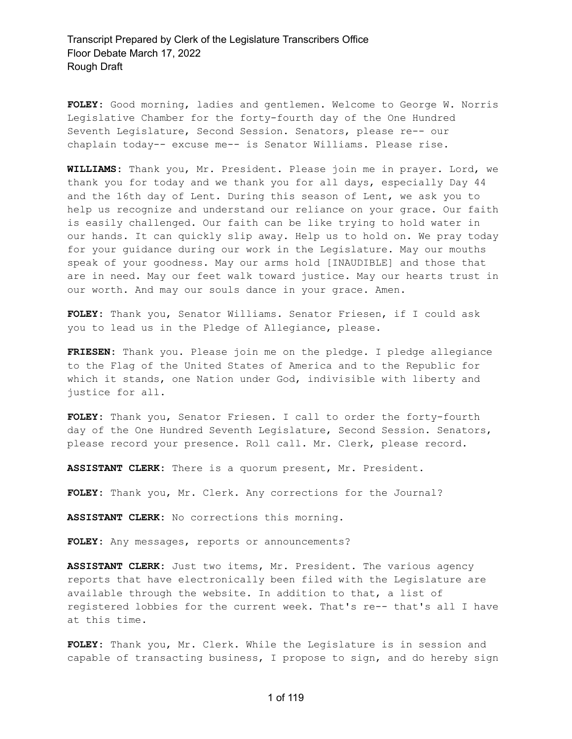**FOLEY:** Good morning, ladies and gentlemen. Welcome to George W. Norris Legislative Chamber for the forty-fourth day of the One Hundred Seventh Legislature, Second Session. Senators, please re-- our chaplain today-- excuse me-- is Senator Williams. Please rise.

**WILLIAMS:** Thank you, Mr. President. Please join me in prayer. Lord, we thank you for today and we thank you for all days, especially Day 44 and the 16th day of Lent. During this season of Lent, we ask you to help us recognize and understand our reliance on your grace. Our faith is easily challenged. Our faith can be like trying to hold water in our hands. It can quickly slip away. Help us to hold on. We pray today for your guidance during our work in the Legislature. May our mouths speak of your goodness. May our arms hold [INAUDIBLE] and those that are in need. May our feet walk toward justice. May our hearts trust in our worth. And may our souls dance in your grace. Amen.

**FOLEY:** Thank you, Senator Williams. Senator Friesen, if I could ask you to lead us in the Pledge of Allegiance, please.

**FRIESEN:** Thank you. Please join me on the pledge. I pledge allegiance to the Flag of the United States of America and to the Republic for which it stands, one Nation under God, indivisible with liberty and justice for all.

**FOLEY:** Thank you, Senator Friesen. I call to order the forty-fourth day of the One Hundred Seventh Legislature, Second Session. Senators, please record your presence. Roll call. Mr. Clerk, please record.

**ASSISTANT CLERK:** There is a quorum present, Mr. President.

**FOLEY:** Thank you, Mr. Clerk. Any corrections for the Journal?

**ASSISTANT CLERK:** No corrections this morning.

**FOLEY:** Any messages, reports or announcements?

**ASSISTANT CLERK:** Just two items, Mr. President. The various agency reports that have electronically been filed with the Legislature are available through the website. In addition to that, a list of registered lobbies for the current week. That's re-- that's all I have at this time.

**FOLEY:** Thank you, Mr. Clerk. While the Legislature is in session and capable of transacting business, I propose to sign, and do hereby sign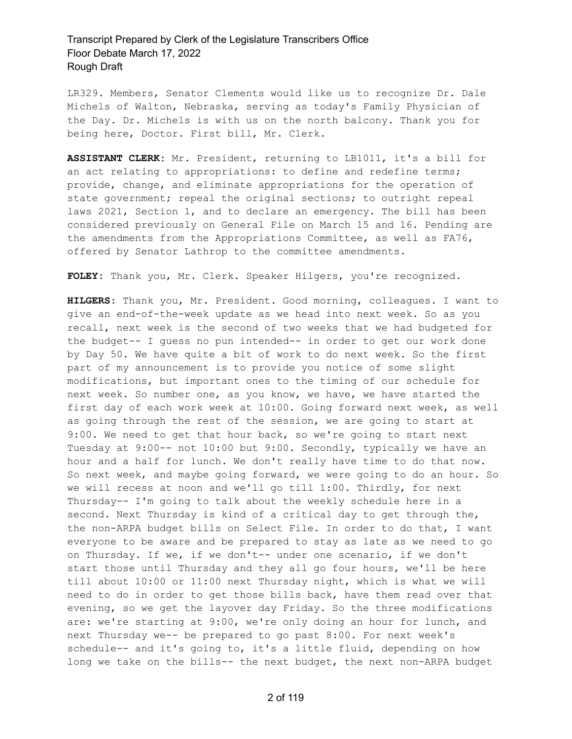LR329. Members, Senator Clements would like us to recognize Dr. Dale Michels of Walton, Nebraska, serving as today's Family Physician of the Day. Dr. Michels is with us on the north balcony. Thank you for being here, Doctor. First bill, Mr. Clerk.

**ASSISTANT CLERK:** Mr. President, returning to LB1011, it's a bill for an act relating to appropriations: to define and redefine terms; provide, change, and eliminate appropriations for the operation of state government; repeal the original sections; to outright repeal laws 2021, Section 1, and to declare an emergency. The bill has been considered previously on General File on March 15 and 16. Pending are the amendments from the Appropriations Committee, as well as FA76, offered by Senator Lathrop to the committee amendments.

**FOLEY:** Thank you, Mr. Clerk. Speaker Hilgers, you're recognized.

**HILGERS:** Thank you, Mr. President. Good morning, colleagues. I want to give an end-of-the-week update as we head into next week. So as you recall, next week is the second of two weeks that we had budgeted for the budget-- I guess no pun intended-- in order to get our work done by Day 50. We have quite a bit of work to do next week. So the first part of my announcement is to provide you notice of some slight modifications, but important ones to the timing of our schedule for next week. So number one, as you know, we have, we have started the first day of each work week at 10:00. Going forward next week, as well as going through the rest of the session, we are going to start at 9:00. We need to get that hour back, so we're going to start next Tuesday at 9:00-- not 10:00 but 9:00. Secondly, typically we have an hour and a half for lunch. We don't really have time to do that now. So next week, and maybe going forward, we were going to do an hour. So we will recess at noon and we'll go till 1:00. Thirdly, for next Thursday-- I'm going to talk about the weekly schedule here in a second. Next Thursday is kind of a critical day to get through the, the non-ARPA budget bills on Select File. In order to do that, I want everyone to be aware and be prepared to stay as late as we need to go on Thursday. If we, if we don't-- under one scenario, if we don't start those until Thursday and they all go four hours, we'll be here till about 10:00 or 11:00 next Thursday night, which is what we will need to do in order to get those bills back, have them read over that evening, so we get the layover day Friday. So the three modifications are: we're starting at 9:00, we're only doing an hour for lunch, and next Thursday we-- be prepared to go past 8:00. For next week's schedule-- and it's going to, it's a little fluid, depending on how long we take on the bills-- the next budget, the next non-ARPA budget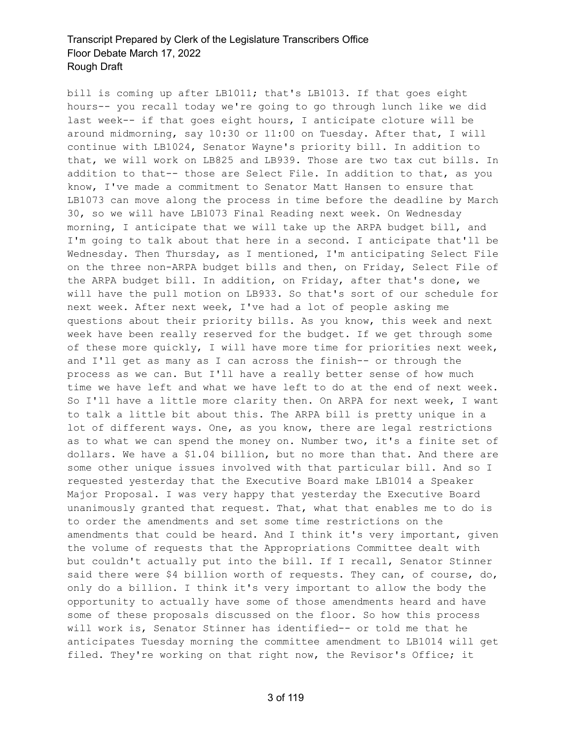bill is coming up after LB1011; that's LB1013. If that goes eight hours-- you recall today we're going to go through lunch like we did last week-- if that goes eight hours, I anticipate cloture will be around midmorning, say 10:30 or 11:00 on Tuesday. After that, I will continue with LB1024, Senator Wayne's priority bill. In addition to that, we will work on LB825 and LB939. Those are two tax cut bills. In addition to that-- those are Select File. In addition to that, as you know, I've made a commitment to Senator Matt Hansen to ensure that LB1073 can move along the process in time before the deadline by March 30, so we will have LB1073 Final Reading next week. On Wednesday morning, I anticipate that we will take up the ARPA budget bill, and I'm going to talk about that here in a second. I anticipate that'll be Wednesday. Then Thursday, as I mentioned, I'm anticipating Select File on the three non-ARPA budget bills and then, on Friday, Select File of the ARPA budget bill. In addition, on Friday, after that's done, we will have the pull motion on LB933. So that's sort of our schedule for next week. After next week, I've had a lot of people asking me questions about their priority bills. As you know, this week and next week have been really reserved for the budget. If we get through some of these more quickly, I will have more time for priorities next week, and I'll get as many as I can across the finish-- or through the process as we can. But I'll have a really better sense of how much time we have left and what we have left to do at the end of next week. So I'll have a little more clarity then. On ARPA for next week, I want to talk a little bit about this. The ARPA bill is pretty unique in a lot of different ways. One, as you know, there are legal restrictions as to what we can spend the money on. Number two, it's a finite set of dollars. We have a \$1.04 billion, but no more than that. And there are some other unique issues involved with that particular bill. And so I requested yesterday that the Executive Board make LB1014 a Speaker Major Proposal. I was very happy that yesterday the Executive Board unanimously granted that request. That, what that enables me to do is to order the amendments and set some time restrictions on the amendments that could be heard. And I think it's very important, given the volume of requests that the Appropriations Committee dealt with but couldn't actually put into the bill. If I recall, Senator Stinner said there were \$4 billion worth of requests. They can, of course, do, only do a billion. I think it's very important to allow the body the opportunity to actually have some of those amendments heard and have some of these proposals discussed on the floor. So how this process will work is, Senator Stinner has identified-- or told me that he anticipates Tuesday morning the committee amendment to LB1014 will get filed. They're working on that right now, the Revisor's Office; it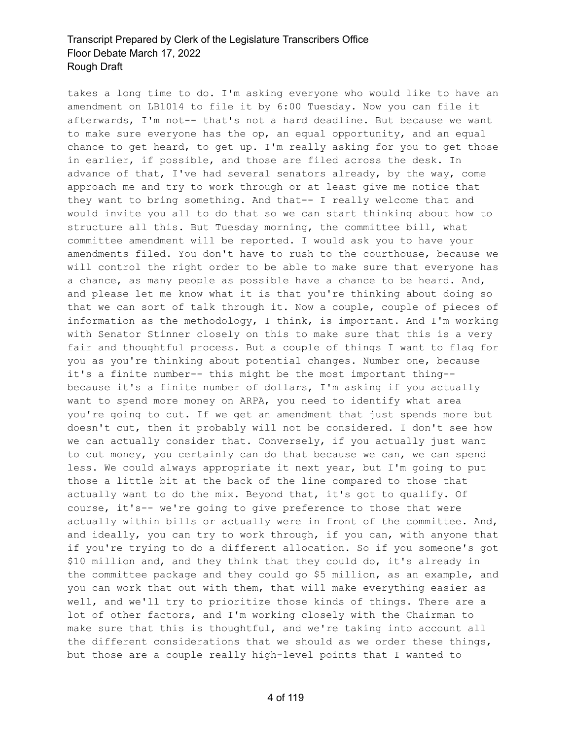takes a long time to do. I'm asking everyone who would like to have an amendment on LB1014 to file it by 6:00 Tuesday. Now you can file it afterwards, I'm not-- that's not a hard deadline. But because we want to make sure everyone has the op, an equal opportunity, and an equal chance to get heard, to get up. I'm really asking for you to get those in earlier, if possible, and those are filed across the desk. In advance of that, I've had several senators already, by the way, come approach me and try to work through or at least give me notice that they want to bring something. And that-- I really welcome that and would invite you all to do that so we can start thinking about how to structure all this. But Tuesday morning, the committee bill, what committee amendment will be reported. I would ask you to have your amendments filed. You don't have to rush to the courthouse, because we will control the right order to be able to make sure that everyone has a chance, as many people as possible have a chance to be heard. And, and please let me know what it is that you're thinking about doing so that we can sort of talk through it. Now a couple, couple of pieces of information as the methodology, I think, is important. And I'm working with Senator Stinner closely on this to make sure that this is a very fair and thoughtful process. But a couple of things I want to flag for you as you're thinking about potential changes. Number one, because it's a finite number-- this might be the most important thing- because it's a finite number of dollars, I'm asking if you actually want to spend more money on ARPA, you need to identify what area you're going to cut. If we get an amendment that just spends more but doesn't cut, then it probably will not be considered. I don't see how we can actually consider that. Conversely, if you actually just want to cut money, you certainly can do that because we can, we can spend less. We could always appropriate it next year, but I'm going to put those a little bit at the back of the line compared to those that actually want to do the mix. Beyond that, it's got to qualify. Of course, it's-- we're going to give preference to those that were actually within bills or actually were in front of the committee. And, and ideally, you can try to work through, if you can, with anyone that if you're trying to do a different allocation. So if you someone's got \$10 million and, and they think that they could do, it's already in the committee package and they could go \$5 million, as an example, and you can work that out with them, that will make everything easier as well, and we'll try to prioritize those kinds of things. There are a lot of other factors, and I'm working closely with the Chairman to make sure that this is thoughtful, and we're taking into account all the different considerations that we should as we order these things, but those are a couple really high-level points that I wanted to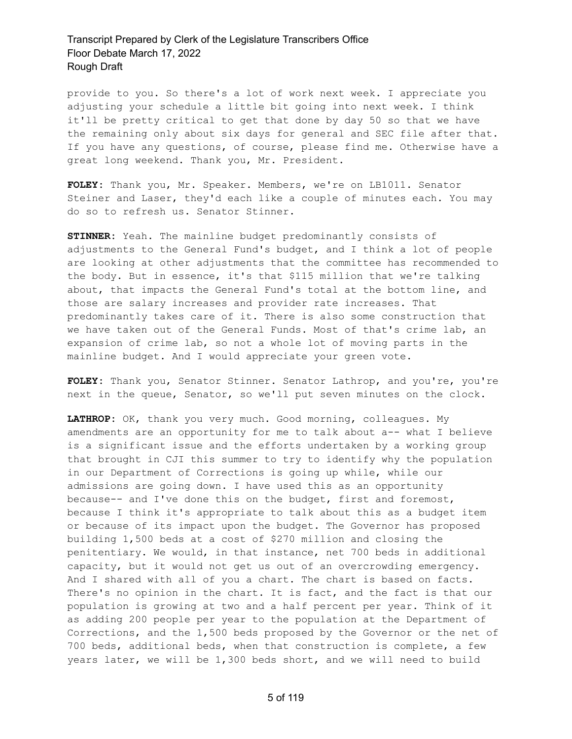provide to you. So there's a lot of work next week. I appreciate you adjusting your schedule a little bit going into next week. I think it'll be pretty critical to get that done by day 50 so that we have the remaining only about six days for general and SEC file after that. If you have any questions, of course, please find me. Otherwise have a great long weekend. Thank you, Mr. President.

**FOLEY:** Thank you, Mr. Speaker. Members, we're on LB1011. Senator Steiner and Laser, they'd each like a couple of minutes each. You may do so to refresh us. Senator Stinner.

**STINNER:** Yeah. The mainline budget predominantly consists of adjustments to the General Fund's budget, and I think a lot of people are looking at other adjustments that the committee has recommended to the body. But in essence, it's that \$115 million that we're talking about, that impacts the General Fund's total at the bottom line, and those are salary increases and provider rate increases. That predominantly takes care of it. There is also some construction that we have taken out of the General Funds. Most of that's crime lab, an expansion of crime lab, so not a whole lot of moving parts in the mainline budget. And I would appreciate your green vote.

**FOLEY:** Thank you, Senator Stinner. Senator Lathrop, and you're, you're next in the queue, Senator, so we'll put seven minutes on the clock.

**LATHROP:** OK, thank you very much. Good morning, colleagues. My amendments are an opportunity for me to talk about a-- what I believe is a significant issue and the efforts undertaken by a working group that brought in CJI this summer to try to identify why the population in our Department of Corrections is going up while, while our admissions are going down. I have used this as an opportunity because-- and I've done this on the budget, first and foremost, because I think it's appropriate to talk about this as a budget item or because of its impact upon the budget. The Governor has proposed building 1,500 beds at a cost of \$270 million and closing the penitentiary. We would, in that instance, net 700 beds in additional capacity, but it would not get us out of an overcrowding emergency. And I shared with all of you a chart. The chart is based on facts. There's no opinion in the chart. It is fact, and the fact is that our population is growing at two and a half percent per year. Think of it as adding 200 people per year to the population at the Department of Corrections, and the 1,500 beds proposed by the Governor or the net of 700 beds, additional beds, when that construction is complete, a few years later, we will be 1,300 beds short, and we will need to build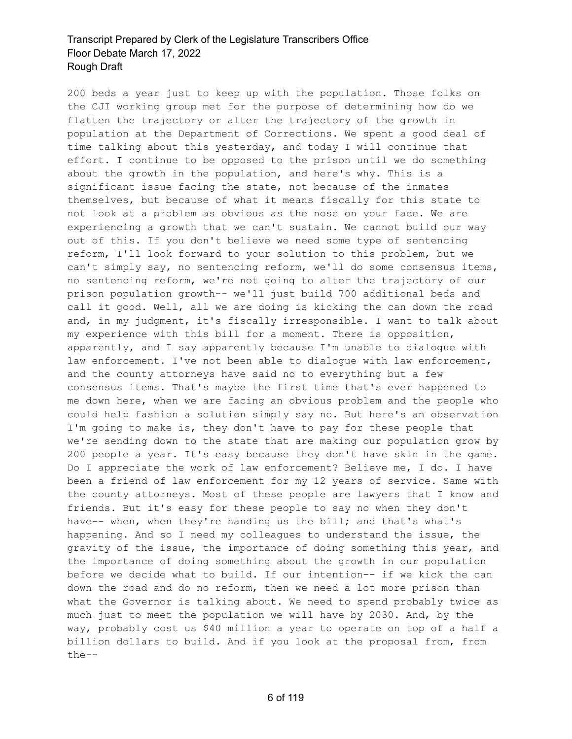200 beds a year just to keep up with the population. Those folks on the CJI working group met for the purpose of determining how do we flatten the trajectory or alter the trajectory of the growth in population at the Department of Corrections. We spent a good deal of time talking about this yesterday, and today I will continue that effort. I continue to be opposed to the prison until we do something about the growth in the population, and here's why. This is a significant issue facing the state, not because of the inmates themselves, but because of what it means fiscally for this state to not look at a problem as obvious as the nose on your face. We are experiencing a growth that we can't sustain. We cannot build our way out of this. If you don't believe we need some type of sentencing reform, I'll look forward to your solution to this problem, but we can't simply say, no sentencing reform, we'll do some consensus items, no sentencing reform, we're not going to alter the trajectory of our prison population growth-- we'll just build 700 additional beds and call it good. Well, all we are doing is kicking the can down the road and, in my judgment, it's fiscally irresponsible. I want to talk about my experience with this bill for a moment. There is opposition, apparently, and I say apparently because I'm unable to dialogue with law enforcement. I've not been able to dialoque with law enforcement, and the county attorneys have said no to everything but a few consensus items. That's maybe the first time that's ever happened to me down here, when we are facing an obvious problem and the people who could help fashion a solution simply say no. But here's an observation I'm going to make is, they don't have to pay for these people that we're sending down to the state that are making our population grow by 200 people a year. It's easy because they don't have skin in the game. Do I appreciate the work of law enforcement? Believe me, I do. I have been a friend of law enforcement for my 12 years of service. Same with the county attorneys. Most of these people are lawyers that I know and friends. But it's easy for these people to say no when they don't have-- when, when they're handing us the bill; and that's what's happening. And so I need my colleagues to understand the issue, the gravity of the issue, the importance of doing something this year, and the importance of doing something about the growth in our population before we decide what to build. If our intention-- if we kick the can down the road and do no reform, then we need a lot more prison than what the Governor is talking about. We need to spend probably twice as much just to meet the population we will have by 2030. And, by the way, probably cost us \$40 million a year to operate on top of a half a billion dollars to build. And if you look at the proposal from, from the--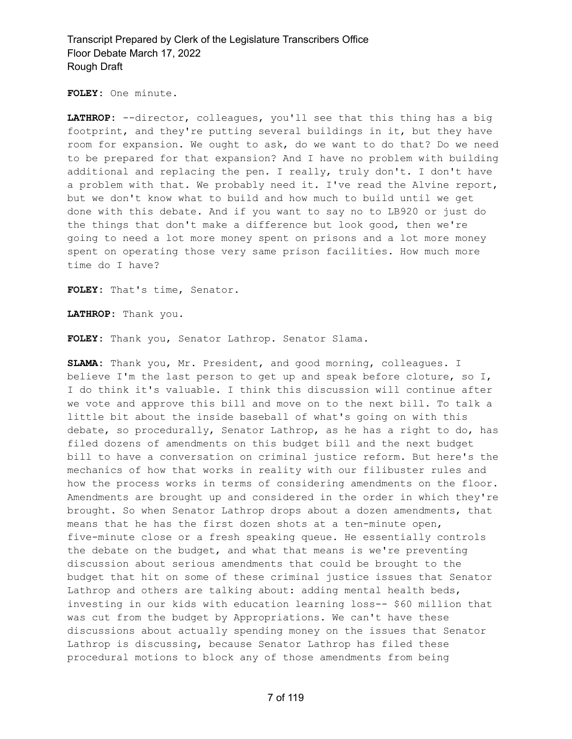**FOLEY:** One minute.

**LATHROP:** --director, colleagues, you'll see that this thing has a big footprint, and they're putting several buildings in it, but they have room for expansion. We ought to ask, do we want to do that? Do we need to be prepared for that expansion? And I have no problem with building additional and replacing the pen. I really, truly don't. I don't have a problem with that. We probably need it. I've read the Alvine report, but we don't know what to build and how much to build until we get done with this debate. And if you want to say no to LB920 or just do the things that don't make a difference but look good, then we're going to need a lot more money spent on prisons and a lot more money spent on operating those very same prison facilities. How much more time do I have?

**FOLEY:** That's time, Senator.

**LATHROP:** Thank you.

**FOLEY:** Thank you, Senator Lathrop. Senator Slama.

**SLAMA:** Thank you, Mr. President, and good morning, colleagues. I believe I'm the last person to get up and speak before cloture, so I, I do think it's valuable. I think this discussion will continue after we vote and approve this bill and move on to the next bill. To talk a little bit about the inside baseball of what's going on with this debate, so procedurally, Senator Lathrop, as he has a right to do, has filed dozens of amendments on this budget bill and the next budget bill to have a conversation on criminal justice reform. But here's the mechanics of how that works in reality with our filibuster rules and how the process works in terms of considering amendments on the floor. Amendments are brought up and considered in the order in which they're brought. So when Senator Lathrop drops about a dozen amendments, that means that he has the first dozen shots at a ten-minute open, five-minute close or a fresh speaking queue. He essentially controls the debate on the budget, and what that means is we're preventing discussion about serious amendments that could be brought to the budget that hit on some of these criminal justice issues that Senator Lathrop and others are talking about: adding mental health beds, investing in our kids with education learning loss-- \$60 million that was cut from the budget by Appropriations. We can't have these discussions about actually spending money on the issues that Senator Lathrop is discussing, because Senator Lathrop has filed these procedural motions to block any of those amendments from being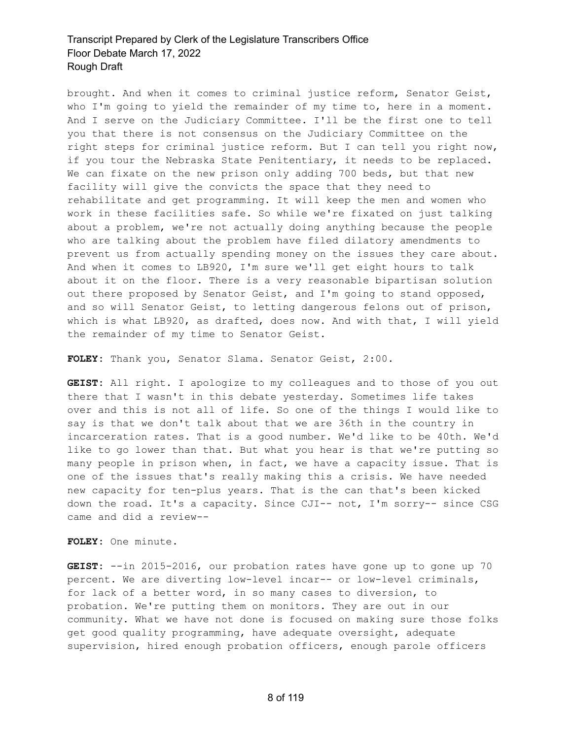brought. And when it comes to criminal justice reform, Senator Geist, who I'm going to yield the remainder of my time to, here in a moment. And I serve on the Judiciary Committee. I'll be the first one to tell you that there is not consensus on the Judiciary Committee on the right steps for criminal justice reform. But I can tell you right now, if you tour the Nebraska State Penitentiary, it needs to be replaced. We can fixate on the new prison only adding 700 beds, but that new facility will give the convicts the space that they need to rehabilitate and get programming. It will keep the men and women who work in these facilities safe. So while we're fixated on just talking about a problem, we're not actually doing anything because the people who are talking about the problem have filed dilatory amendments to prevent us from actually spending money on the issues they care about. And when it comes to LB920, I'm sure we'll get eight hours to talk about it on the floor. There is a very reasonable bipartisan solution out there proposed by Senator Geist, and I'm going to stand opposed, and so will Senator Geist, to letting dangerous felons out of prison, which is what LB920, as drafted, does now. And with that, I will yield the remainder of my time to Senator Geist.

**FOLEY:** Thank you, Senator Slama. Senator Geist, 2:00.

**GEIST:** All right. I apologize to my colleagues and to those of you out there that I wasn't in this debate yesterday. Sometimes life takes over and this is not all of life. So one of the things I would like to say is that we don't talk about that we are 36th in the country in incarceration rates. That is a good number. We'd like to be 40th. We'd like to go lower than that. But what you hear is that we're putting so many people in prison when, in fact, we have a capacity issue. That is one of the issues that's really making this a crisis. We have needed new capacity for ten-plus years. That is the can that's been kicked down the road. It's a capacity. Since CJI-- not, I'm sorry-- since CSG came and did a review--

**FOLEY:** One minute.

**GEIST:** --in 2015-2016, our probation rates have gone up to gone up 70 percent. We are diverting low-level incar-- or low-level criminals, for lack of a better word, in so many cases to diversion, to probation. We're putting them on monitors. They are out in our community. What we have not done is focused on making sure those folks get good quality programming, have adequate oversight, adequate supervision, hired enough probation officers, enough parole officers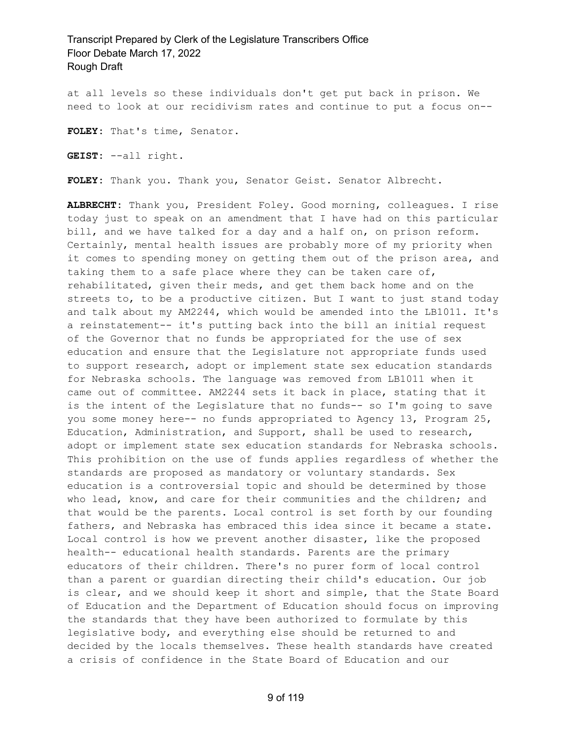at all levels so these individuals don't get put back in prison. We need to look at our recidivism rates and continue to put a focus on--

**FOLEY:** That's time, Senator.

**GEIST:** --all right.

**FOLEY:** Thank you. Thank you, Senator Geist. Senator Albrecht.

**ALBRECHT:** Thank you, President Foley. Good morning, colleagues. I rise today just to speak on an amendment that I have had on this particular bill, and we have talked for a day and a half on, on prison reform. Certainly, mental health issues are probably more of my priority when it comes to spending money on getting them out of the prison area, and taking them to a safe place where they can be taken care of, rehabilitated, given their meds, and get them back home and on the streets to, to be a productive citizen. But I want to just stand today and talk about my AM2244, which would be amended into the LB1011. It's a reinstatement-- it's putting back into the bill an initial request of the Governor that no funds be appropriated for the use of sex education and ensure that the Legislature not appropriate funds used to support research, adopt or implement state sex education standards for Nebraska schools. The language was removed from LB1011 when it came out of committee. AM2244 sets it back in place, stating that it is the intent of the Legislature that no funds-- so I'm going to save you some money here-- no funds appropriated to Agency 13, Program 25, Education, Administration, and Support, shall be used to research, adopt or implement state sex education standards for Nebraska schools. This prohibition on the use of funds applies regardless of whether the standards are proposed as mandatory or voluntary standards. Sex education is a controversial topic and should be determined by those who lead, know, and care for their communities and the children; and that would be the parents. Local control is set forth by our founding fathers, and Nebraska has embraced this idea since it became a state. Local control is how we prevent another disaster, like the proposed health-- educational health standards. Parents are the primary educators of their children. There's no purer form of local control than a parent or guardian directing their child's education. Our job is clear, and we should keep it short and simple, that the State Board of Education and the Department of Education should focus on improving the standards that they have been authorized to formulate by this legislative body, and everything else should be returned to and decided by the locals themselves. These health standards have created a crisis of confidence in the State Board of Education and our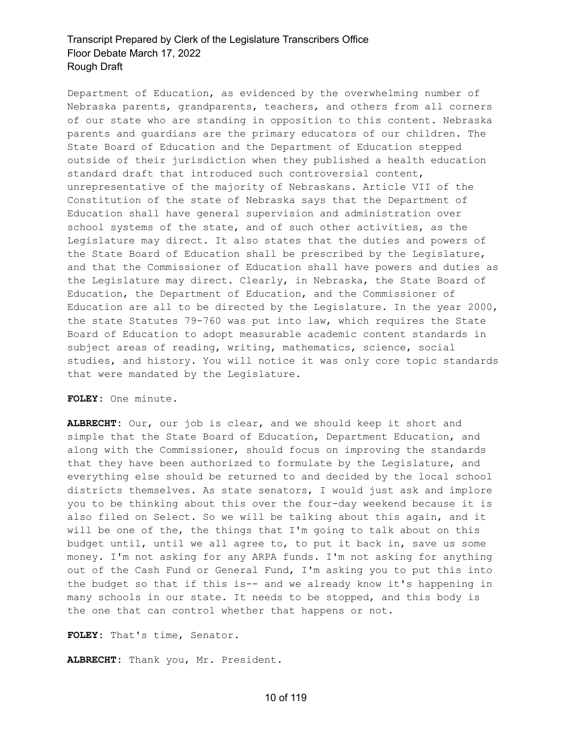Department of Education, as evidenced by the overwhelming number of Nebraska parents, grandparents, teachers, and others from all corners of our state who are standing in opposition to this content. Nebraska parents and guardians are the primary educators of our children. The State Board of Education and the Department of Education stepped outside of their jurisdiction when they published a health education standard draft that introduced such controversial content, unrepresentative of the majority of Nebraskans. Article VII of the Constitution of the state of Nebraska says that the Department of Education shall have general supervision and administration over school systems of the state, and of such other activities, as the Legislature may direct. It also states that the duties and powers of the State Board of Education shall be prescribed by the Legislature, and that the Commissioner of Education shall have powers and duties as the Legislature may direct. Clearly, in Nebraska, the State Board of Education, the Department of Education, and the Commissioner of Education are all to be directed by the Legislature. In the year 2000, the state Statutes 79-760 was put into law, which requires the State Board of Education to adopt measurable academic content standards in subject areas of reading, writing, mathematics, science, social studies, and history. You will notice it was only core topic standards that were mandated by the Legislature.

#### **FOLEY:** One minute.

**ALBRECHT:** Our, our job is clear, and we should keep it short and simple that the State Board of Education, Department Education, and along with the Commissioner, should focus on improving the standards that they have been authorized to formulate by the Legislature, and everything else should be returned to and decided by the local school districts themselves. As state senators, I would just ask and implore you to be thinking about this over the four-day weekend because it is also filed on Select. So we will be talking about this again, and it will be one of the, the things that I'm going to talk about on this budget until, until we all agree to, to put it back in, save us some money. I'm not asking for any ARPA funds. I'm not asking for anything out of the Cash Fund or General Fund, I'm asking you to put this into the budget so that if this is-- and we already know it's happening in many schools in our state. It needs to be stopped, and this body is the one that can control whether that happens or not.

**FOLEY:** That's time, Senator.

**ALBRECHT:** Thank you, Mr. President.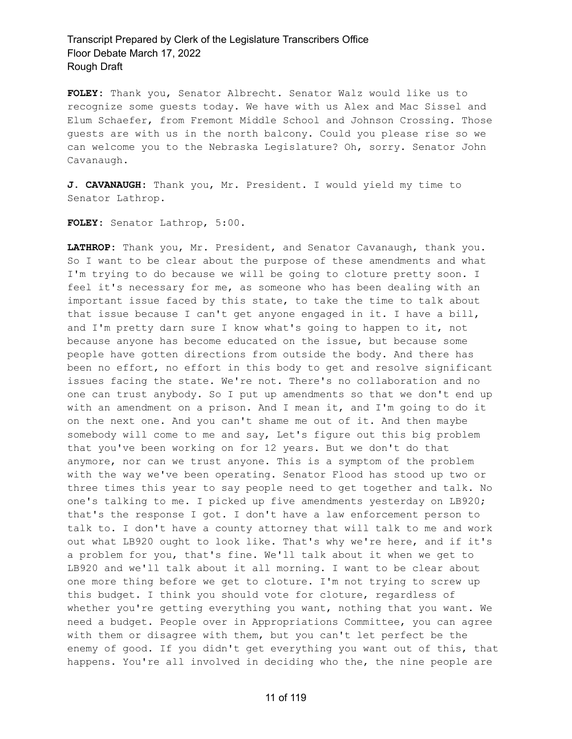**FOLEY:** Thank you, Senator Albrecht. Senator Walz would like us to recognize some guests today. We have with us Alex and Mac Sissel and Elum Schaefer, from Fremont Middle School and Johnson Crossing. Those guests are with us in the north balcony. Could you please rise so we can welcome you to the Nebraska Legislature? Oh, sorry. Senator John Cavanaugh.

**J. CAVANAUGH:** Thank you, Mr. President. I would yield my time to Senator Lathrop.

**FOLEY:** Senator Lathrop, 5:00.

**LATHROP:** Thank you, Mr. President, and Senator Cavanaugh, thank you. So I want to be clear about the purpose of these amendments and what I'm trying to do because we will be going to cloture pretty soon. I feel it's necessary for me, as someone who has been dealing with an important issue faced by this state, to take the time to talk about that issue because I can't get anyone engaged in it. I have a bill, and I'm pretty darn sure I know what's going to happen to it, not because anyone has become educated on the issue, but because some people have gotten directions from outside the body. And there has been no effort, no effort in this body to get and resolve significant issues facing the state. We're not. There's no collaboration and no one can trust anybody. So I put up amendments so that we don't end up with an amendment on a prison. And I mean it, and I'm going to do it on the next one. And you can't shame me out of it. And then maybe somebody will come to me and say, Let's figure out this big problem that you've been working on for 12 years. But we don't do that anymore, nor can we trust anyone. This is a symptom of the problem with the way we've been operating. Senator Flood has stood up two or three times this year to say people need to get together and talk. No one's talking to me. I picked up five amendments yesterday on LB920; that's the response I got. I don't have a law enforcement person to talk to. I don't have a county attorney that will talk to me and work out what LB920 ought to look like. That's why we're here, and if it's a problem for you, that's fine. We'll talk about it when we get to LB920 and we'll talk about it all morning. I want to be clear about one more thing before we get to cloture. I'm not trying to screw up this budget. I think you should vote for cloture, regardless of whether you're getting everything you want, nothing that you want. We need a budget. People over in Appropriations Committee, you can agree with them or disagree with them, but you can't let perfect be the enemy of good. If you didn't get everything you want out of this, that happens. You're all involved in deciding who the, the nine people are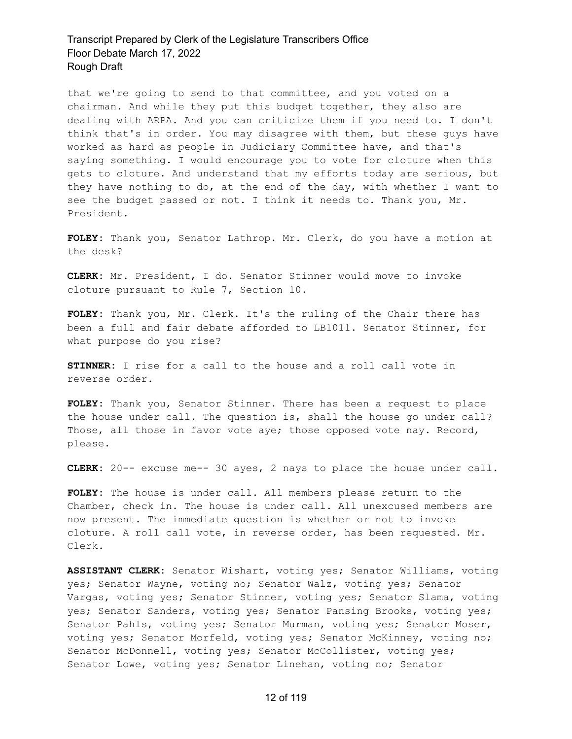that we're going to send to that committee, and you voted on a chairman. And while they put this budget together, they also are dealing with ARPA. And you can criticize them if you need to. I don't think that's in order. You may disagree with them, but these guys have worked as hard as people in Judiciary Committee have, and that's saying something. I would encourage you to vote for cloture when this gets to cloture. And understand that my efforts today are serious, but they have nothing to do, at the end of the day, with whether I want to see the budget passed or not. I think it needs to. Thank you, Mr. President.

**FOLEY:** Thank you, Senator Lathrop. Mr. Clerk, do you have a motion at the desk?

**CLERK:** Mr. President, I do. Senator Stinner would move to invoke cloture pursuant to Rule 7, Section 10.

**FOLEY:** Thank you, Mr. Clerk. It's the ruling of the Chair there has been a full and fair debate afforded to LB1011. Senator Stinner, for what purpose do you rise?

**STINNER:** I rise for a call to the house and a roll call vote in reverse order.

**FOLEY:** Thank you, Senator Stinner. There has been a request to place the house under call. The question is, shall the house go under call? Those, all those in favor vote aye; those opposed vote nay. Record, please.

**CLERK:** 20-- excuse me-- 30 ayes, 2 nays to place the house under call.

**FOLEY:** The house is under call. All members please return to the Chamber, check in. The house is under call. All unexcused members are now present. The immediate question is whether or not to invoke cloture. A roll call vote, in reverse order, has been requested. Mr. Clerk.

**ASSISTANT CLERK:** Senator Wishart, voting yes; Senator Williams, voting yes; Senator Wayne, voting no; Senator Walz, voting yes; Senator Vargas, voting yes; Senator Stinner, voting yes; Senator Slama, voting yes; Senator Sanders, voting yes; Senator Pansing Brooks, voting yes; Senator Pahls, voting yes; Senator Murman, voting yes; Senator Moser, voting yes; Senator Morfeld, voting yes; Senator McKinney, voting no; Senator McDonnell, voting yes; Senator McCollister, voting yes; Senator Lowe, voting yes; Senator Linehan, voting no; Senator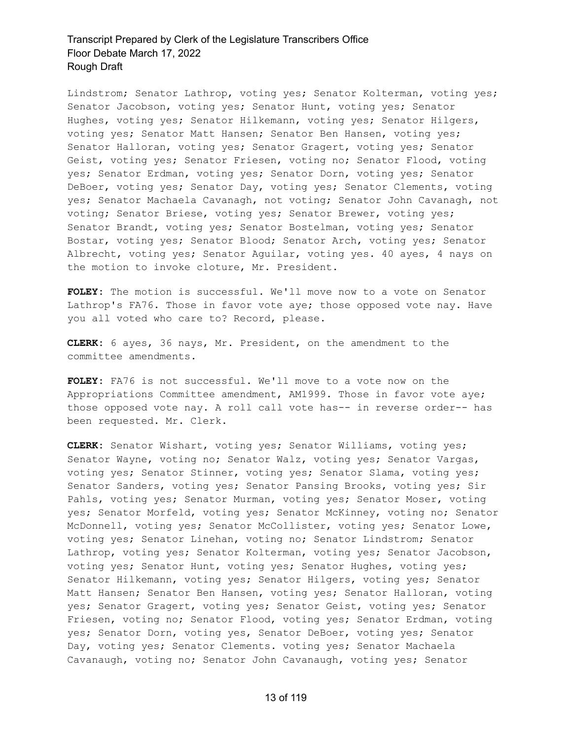Lindstrom; Senator Lathrop, voting yes; Senator Kolterman, voting yes; Senator Jacobson, voting yes; Senator Hunt, voting yes; Senator Hughes, voting yes; Senator Hilkemann, voting yes; Senator Hilgers, voting yes; Senator Matt Hansen; Senator Ben Hansen, voting yes; Senator Halloran, voting yes; Senator Gragert, voting yes; Senator Geist, voting yes; Senator Friesen, voting no; Senator Flood, voting yes; Senator Erdman, voting yes; Senator Dorn, voting yes; Senator DeBoer, voting yes; Senator Day, voting yes; Senator Clements, voting yes; Senator Machaela Cavanagh, not voting; Senator John Cavanagh, not voting; Senator Briese, voting yes; Senator Brewer, voting yes; Senator Brandt, voting yes; Senator Bostelman, voting yes; Senator Bostar, voting yes; Senator Blood; Senator Arch, voting yes; Senator Albrecht, voting yes; Senator Aguilar, voting yes. 40 ayes, 4 nays on the motion to invoke cloture, Mr. President.

**FOLEY:** The motion is successful. We'll move now to a vote on Senator Lathrop's FA76. Those in favor vote aye; those opposed vote nay. Have you all voted who care to? Record, please.

**CLERK:** 6 ayes, 36 nays, Mr. President, on the amendment to the committee amendments.

**FOLEY:** FA76 is not successful. We'll move to a vote now on the Appropriations Committee amendment, AM1999. Those in favor vote aye; those opposed vote nay. A roll call vote has-- in reverse order-- has been requested. Mr. Clerk.

**CLERK:** Senator Wishart, voting yes; Senator Williams, voting yes; Senator Wayne, voting no; Senator Walz, voting yes; Senator Vargas, voting yes; Senator Stinner, voting yes; Senator Slama, voting yes; Senator Sanders, voting yes; Senator Pansing Brooks, voting yes; Sir Pahls, voting yes; Senator Murman, voting yes; Senator Moser, voting yes; Senator Morfeld, voting yes; Senator McKinney, voting no; Senator McDonnell, voting yes; Senator McCollister, voting yes; Senator Lowe, voting yes; Senator Linehan, voting no; Senator Lindstrom; Senator Lathrop, voting yes; Senator Kolterman, voting yes; Senator Jacobson, voting yes; Senator Hunt, voting yes; Senator Hughes, voting yes; Senator Hilkemann, voting yes; Senator Hilgers, voting yes; Senator Matt Hansen; Senator Ben Hansen, voting yes; Senator Halloran, voting yes; Senator Gragert, voting yes; Senator Geist, voting yes; Senator Friesen, voting no; Senator Flood, voting yes; Senator Erdman, voting yes; Senator Dorn, voting yes, Senator DeBoer, voting yes; Senator Day, voting yes; Senator Clements. voting yes; Senator Machaela Cavanaugh, voting no; Senator John Cavanaugh, voting yes; Senator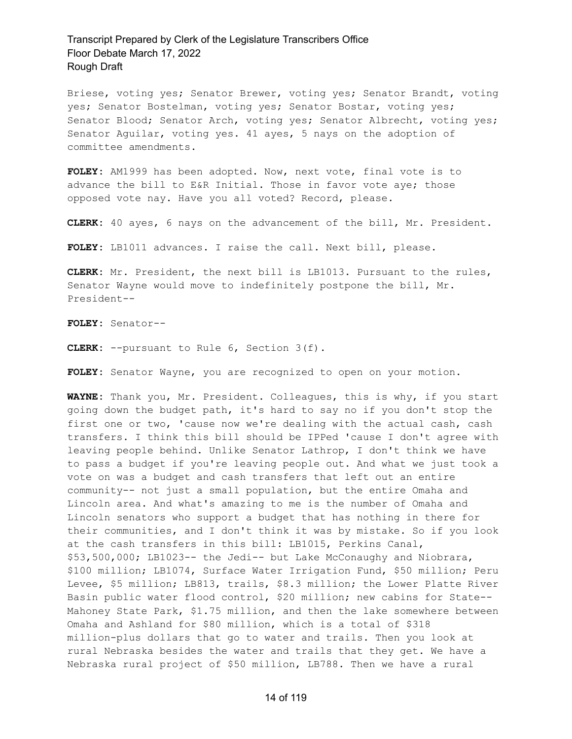Briese, voting yes; Senator Brewer, voting yes; Senator Brandt, voting yes; Senator Bostelman, voting yes; Senator Bostar, voting yes; Senator Blood; Senator Arch, voting yes; Senator Albrecht, voting yes; Senator Aguilar, voting yes. 41 ayes, 5 nays on the adoption of committee amendments.

**FOLEY:** AM1999 has been adopted. Now, next vote, final vote is to advance the bill to E&R Initial. Those in favor vote aye; those opposed vote nay. Have you all voted? Record, please.

**CLERK:** 40 ayes, 6 nays on the advancement of the bill, Mr. President.

**FOLEY:** LB1011 advances. I raise the call. Next bill, please.

**CLERK:** Mr. President, the next bill is LB1013. Pursuant to the rules, Senator Wayne would move to indefinitely postpone the bill, Mr. President--

**FOLEY:** Senator--

**CLERK:** --pursuant to Rule 6, Section 3(f).

**FOLEY:** Senator Wayne, you are recognized to open on your motion.

**WAYNE:** Thank you, Mr. President. Colleagues, this is why, if you start going down the budget path, it's hard to say no if you don't stop the first one or two, 'cause now we're dealing with the actual cash, cash transfers. I think this bill should be IPPed 'cause I don't agree with leaving people behind. Unlike Senator Lathrop, I don't think we have to pass a budget if you're leaving people out. And what we just took a vote on was a budget and cash transfers that left out an entire community-- not just a small population, but the entire Omaha and Lincoln area. And what's amazing to me is the number of Omaha and Lincoln senators who support a budget that has nothing in there for their communities, and I don't think it was by mistake. So if you look at the cash transfers in this bill: LB1015, Perkins Canal, \$53,500,000; LB1023-- the Jedi-- but Lake McConaughy and Niobrara, \$100 million; LB1074, Surface Water Irrigation Fund, \$50 million; Peru Levee, \$5 million; LB813, trails, \$8.3 million; the Lower Platte River Basin public water flood control, \$20 million; new cabins for State-- Mahoney State Park, \$1.75 million, and then the lake somewhere between Omaha and Ashland for \$80 million, which is a total of \$318 million-plus dollars that go to water and trails. Then you look at rural Nebraska besides the water and trails that they get. We have a Nebraska rural project of \$50 million, LB788. Then we have a rural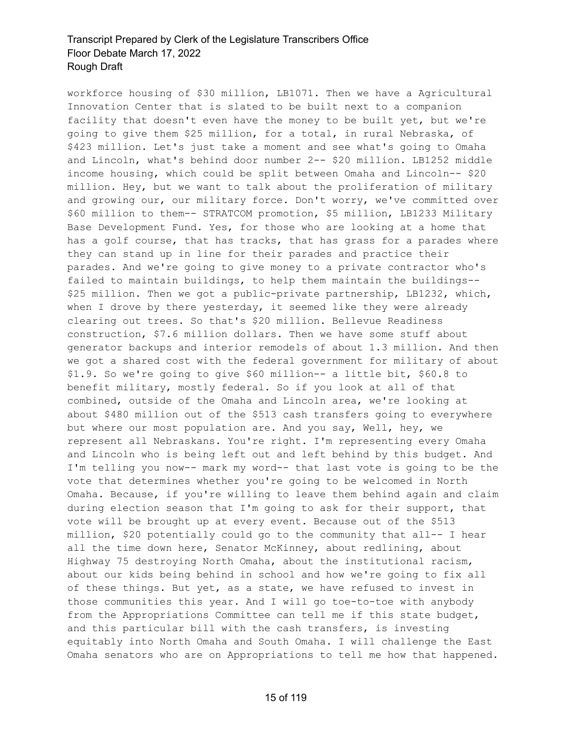workforce housing of \$30 million, LB1071. Then we have a Agricultural Innovation Center that is slated to be built next to a companion facility that doesn't even have the money to be built yet, but we're going to give them \$25 million, for a total, in rural Nebraska, of \$423 million. Let's just take a moment and see what's going to Omaha and Lincoln, what's behind door number 2-- \$20 million. LB1252 middle income housing, which could be split between Omaha and Lincoln-- \$20 million. Hey, but we want to talk about the proliferation of military and growing our, our military force. Don't worry, we've committed over \$60 million to them-- STRATCOM promotion, \$5 million, LB1233 Military Base Development Fund. Yes, for those who are looking at a home that has a golf course, that has tracks, that has grass for a parades where they can stand up in line for their parades and practice their parades. And we're going to give money to a private contractor who's failed to maintain buildings, to help them maintain the buildings-- \$25 million. Then we got a public-private partnership, LB1232, which, when I drove by there yesterday, it seemed like they were already clearing out trees. So that's \$20 million. Bellevue Readiness construction, \$7.6 million dollars. Then we have some stuff about generator backups and interior remodels of about 1.3 million. And then we got a shared cost with the federal government for military of about \$1.9. So we're going to give \$60 million-- a little bit, \$60.8 to benefit military, mostly federal. So if you look at all of that combined, outside of the Omaha and Lincoln area, we're looking at about \$480 million out of the \$513 cash transfers going to everywhere but where our most population are. And you say, Well, hey, we represent all Nebraskans. You're right. I'm representing every Omaha and Lincoln who is being left out and left behind by this budget. And I'm telling you now-- mark my word-- that last vote is going to be the vote that determines whether you're going to be welcomed in North Omaha. Because, if you're willing to leave them behind again and claim during election season that I'm going to ask for their support, that vote will be brought up at every event. Because out of the \$513 million, \$20 potentially could go to the community that all-- I hear all the time down here, Senator McKinney, about redlining, about Highway 75 destroying North Omaha, about the institutional racism, about our kids being behind in school and how we're going to fix all of these things. But yet, as a state, we have refused to invest in those communities this year. And I will go toe-to-toe with anybody from the Appropriations Committee can tell me if this state budget, and this particular bill with the cash transfers, is investing equitably into North Omaha and South Omaha. I will challenge the East Omaha senators who are on Appropriations to tell me how that happened.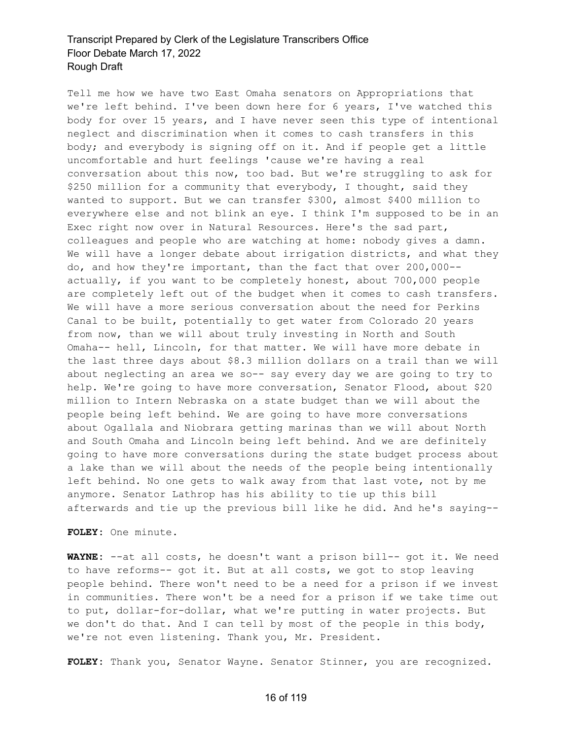Tell me how we have two East Omaha senators on Appropriations that we're left behind. I've been down here for 6 years, I've watched this body for over 15 years, and I have never seen this type of intentional neglect and discrimination when it comes to cash transfers in this body; and everybody is signing off on it. And if people get a little uncomfortable and hurt feelings 'cause we're having a real conversation about this now, too bad. But we're struggling to ask for \$250 million for a community that everybody, I thought, said they wanted to support. But we can transfer \$300, almost \$400 million to everywhere else and not blink an eye. I think I'm supposed to be in an Exec right now over in Natural Resources. Here's the sad part, colleagues and people who are watching at home: nobody gives a damn. We will have a longer debate about irrigation districts, and what they do, and how they're important, than the fact that over 200,000- actually, if you want to be completely honest, about 700,000 people are completely left out of the budget when it comes to cash transfers. We will have a more serious conversation about the need for Perkins Canal to be built, potentially to get water from Colorado 20 years from now, than we will about truly investing in North and South Omaha-- hell, Lincoln, for that matter. We will have more debate in the last three days about \$8.3 million dollars on a trail than we will about neglecting an area we so-- say every day we are going to try to help. We're going to have more conversation, Senator Flood, about \$20 million to Intern Nebraska on a state budget than we will about the people being left behind. We are going to have more conversations about Ogallala and Niobrara getting marinas than we will about North and South Omaha and Lincoln being left behind. And we are definitely going to have more conversations during the state budget process about a lake than we will about the needs of the people being intentionally left behind. No one gets to walk away from that last vote, not by me anymore. Senator Lathrop has his ability to tie up this bill afterwards and tie up the previous bill like he did. And he's saying--

**FOLEY:** One minute.

**WAYNE:** --at all costs, he doesn't want a prison bill-- got it. We need to have reforms-- got it. But at all costs, we got to stop leaving people behind. There won't need to be a need for a prison if we invest in communities. There won't be a need for a prison if we take time out to put, dollar-for-dollar, what we're putting in water projects. But we don't do that. And I can tell by most of the people in this body, we're not even listening. Thank you, Mr. President.

**FOLEY:** Thank you, Senator Wayne. Senator Stinner, you are recognized.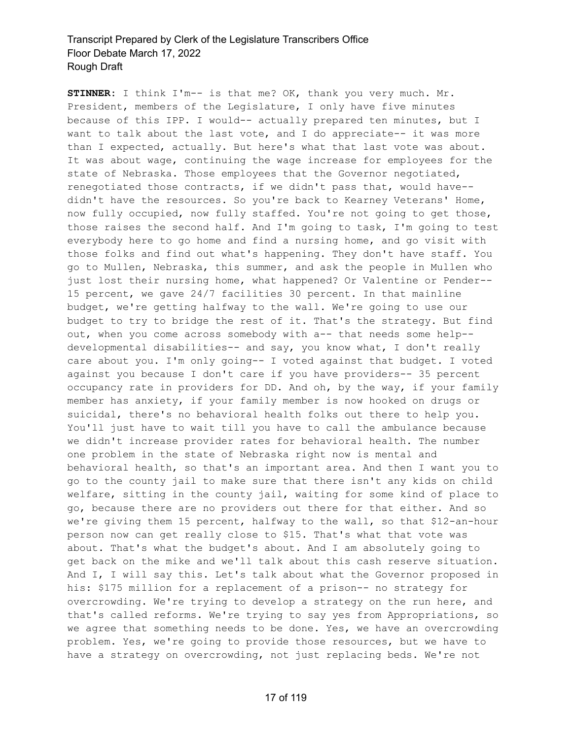**STINNER:** I think I'm-- is that me? OK, thank you very much. Mr. President, members of the Legislature, I only have five minutes because of this IPP. I would-- actually prepared ten minutes, but I want to talk about the last vote, and I do appreciate-- it was more than I expected, actually. But here's what that last vote was about. It was about wage, continuing the wage increase for employees for the state of Nebraska. Those employees that the Governor negotiated, renegotiated those contracts, if we didn't pass that, would have- didn't have the resources. So you're back to Kearney Veterans' Home, now fully occupied, now fully staffed. You're not going to get those, those raises the second half. And I'm going to task, I'm going to test everybody here to go home and find a nursing home, and go visit with those folks and find out what's happening. They don't have staff. You go to Mullen, Nebraska, this summer, and ask the people in Mullen who just lost their nursing home, what happened? Or Valentine or Pender-- 15 percent, we gave 24/7 facilities 30 percent. In that mainline budget, we're getting halfway to the wall. We're going to use our budget to try to bridge the rest of it. That's the strategy. But find out, when you come across somebody with a-- that needs some help- developmental disabilities-- and say, you know what, I don't really care about you. I'm only going-- I voted against that budget. I voted against you because I don't care if you have providers-- 35 percent occupancy rate in providers for DD. And oh, by the way, if your family member has anxiety, if your family member is now hooked on drugs or suicidal, there's no behavioral health folks out there to help you. You'll just have to wait till you have to call the ambulance because we didn't increase provider rates for behavioral health. The number one problem in the state of Nebraska right now is mental and behavioral health, so that's an important area. And then I want you to go to the county jail to make sure that there isn't any kids on child welfare, sitting in the county jail, waiting for some kind of place to go, because there are no providers out there for that either. And so we're giving them 15 percent, halfway to the wall, so that \$12-an-hour person now can get really close to \$15. That's what that vote was about. That's what the budget's about. And I am absolutely going to get back on the mike and we'll talk about this cash reserve situation. And I, I will say this. Let's talk about what the Governor proposed in his: \$175 million for a replacement of a prison-- no strategy for overcrowding. We're trying to develop a strategy on the run here, and that's called reforms. We're trying to say yes from Appropriations, so we agree that something needs to be done. Yes, we have an overcrowding problem. Yes, we're going to provide those resources, but we have to have a strategy on overcrowding, not just replacing beds. We're not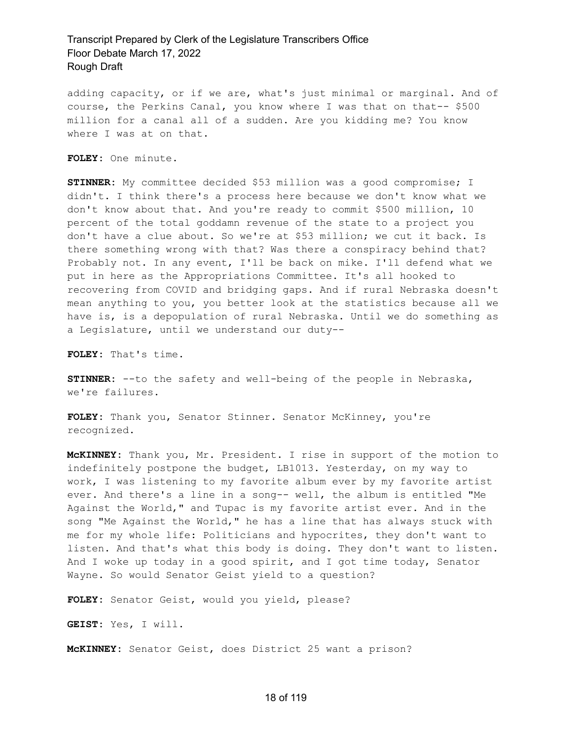adding capacity, or if we are, what's just minimal or marginal. And of course, the Perkins Canal, you know where I was that on that-- \$500 million for a canal all of a sudden. Are you kidding me? You know where I was at on that.

**FOLEY:** One minute.

**STINNER:** My committee decided \$53 million was a good compromise; I didn't. I think there's a process here because we don't know what we don't know about that. And you're ready to commit \$500 million, 10 percent of the total goddamn revenue of the state to a project you don't have a clue about. So we're at \$53 million; we cut it back. Is there something wrong with that? Was there a conspiracy behind that? Probably not. In any event, I'll be back on mike. I'll defend what we put in here as the Appropriations Committee. It's all hooked to recovering from COVID and bridging gaps. And if rural Nebraska doesn't mean anything to you, you better look at the statistics because all we have is, is a depopulation of rural Nebraska. Until we do something as a Legislature, until we understand our duty--

**FOLEY:** That's time.

**STINNER:** --to the safety and well-being of the people in Nebraska, we're failures.

**FOLEY:** Thank you, Senator Stinner. Senator McKinney, you're recognized.

**McKINNEY:** Thank you, Mr. President. I rise in support of the motion to indefinitely postpone the budget, LB1013. Yesterday, on my way to work, I was listening to my favorite album ever by my favorite artist ever. And there's a line in a song-- well, the album is entitled "Me Against the World," and Tupac is my favorite artist ever. And in the song "Me Against the World," he has a line that has always stuck with me for my whole life: Politicians and hypocrites, they don't want to listen. And that's what this body is doing. They don't want to listen. And I woke up today in a good spirit, and I got time today, Senator Wayne. So would Senator Geist yield to a question?

**FOLEY:** Senator Geist, would you yield, please?

**GEIST:** Yes, I will.

**McKINNEY:** Senator Geist, does District 25 want a prison?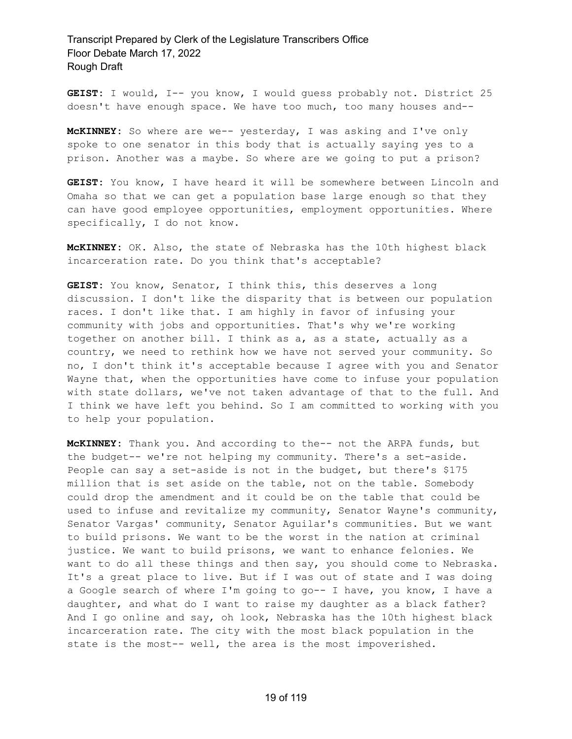**GEIST:** I would, I-- you know, I would guess probably not. District 25 doesn't have enough space. We have too much, too many houses and--

**McKINNEY:** So where are we-- yesterday, I was asking and I've only spoke to one senator in this body that is actually saying yes to a prison. Another was a maybe. So where are we going to put a prison?

**GEIST:** You know, I have heard it will be somewhere between Lincoln and Omaha so that we can get a population base large enough so that they can have good employee opportunities, employment opportunities. Where specifically, I do not know.

**McKINNEY:** OK. Also, the state of Nebraska has the 10th highest black incarceration rate. Do you think that's acceptable?

**GEIST:** You know, Senator, I think this, this deserves a long discussion. I don't like the disparity that is between our population races. I don't like that. I am highly in favor of infusing your community with jobs and opportunities. That's why we're working together on another bill. I think as a, as a state, actually as a country, we need to rethink how we have not served your community. So no, I don't think it's acceptable because I agree with you and Senator Wayne that, when the opportunities have come to infuse your population with state dollars, we've not taken advantage of that to the full. And I think we have left you behind. So I am committed to working with you to help your population.

**McKINNEY:** Thank you. And according to the-- not the ARPA funds, but the budget-- we're not helping my community. There's a set-aside. People can say a set-aside is not in the budget, but there's \$175 million that is set aside on the table, not on the table. Somebody could drop the amendment and it could be on the table that could be used to infuse and revitalize my community, Senator Wayne's community, Senator Vargas' community, Senator Aguilar's communities. But we want to build prisons. We want to be the worst in the nation at criminal justice. We want to build prisons, we want to enhance felonies. We want to do all these things and then say, you should come to Nebraska. It's a great place to live. But if I was out of state and I was doing a Google search of where I'm going to go-- I have, you know, I have a daughter, and what do I want to raise my daughter as a black father? And I go online and say, oh look, Nebraska has the 10th highest black incarceration rate. The city with the most black population in the state is the most-- well, the area is the most impoverished.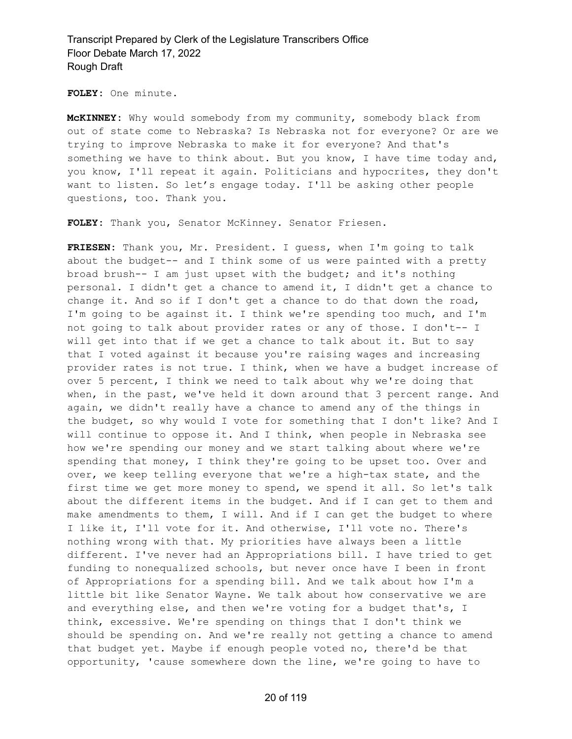**FOLEY:** One minute.

**McKINNEY:** Why would somebody from my community, somebody black from out of state come to Nebraska? Is Nebraska not for everyone? Or are we trying to improve Nebraska to make it for everyone? And that's something we have to think about. But you know, I have time today and, you know, I'll repeat it again. Politicians and hypocrites, they don't want to listen. So let's engage today. I'll be asking other people questions, too. Thank you.

**FOLEY:** Thank you, Senator McKinney. Senator Friesen.

**FRIESEN:** Thank you, Mr. President. I guess, when I'm going to talk about the budget-- and I think some of us were painted with a pretty broad brush-- I am just upset with the budget; and it's nothing personal. I didn't get a chance to amend it, I didn't get a chance to change it. And so if I don't get a chance to do that down the road, I'm going to be against it. I think we're spending too much, and I'm not going to talk about provider rates or any of those. I don't-- I will get into that if we get a chance to talk about it. But to say that I voted against it because you're raising wages and increasing provider rates is not true. I think, when we have a budget increase of over 5 percent, I think we need to talk about why we're doing that when, in the past, we've held it down around that 3 percent range. And again, we didn't really have a chance to amend any of the things in the budget, so why would I vote for something that I don't like? And I will continue to oppose it. And I think, when people in Nebraska see how we're spending our money and we start talking about where we're spending that money, I think they're going to be upset too. Over and over, we keep telling everyone that we're a high-tax state, and the first time we get more money to spend, we spend it all. So let's talk about the different items in the budget. And if I can get to them and make amendments to them, I will. And if I can get the budget to where I like it, I'll vote for it. And otherwise, I'll vote no. There's nothing wrong with that. My priorities have always been a little different. I've never had an Appropriations bill. I have tried to get funding to nonequalized schools, but never once have I been in front of Appropriations for a spending bill. And we talk about how I'm a little bit like Senator Wayne. We talk about how conservative we are and everything else, and then we're voting for a budget that's, I think, excessive. We're spending on things that I don't think we should be spending on. And we're really not getting a chance to amend that budget yet. Maybe if enough people voted no, there'd be that opportunity, 'cause somewhere down the line, we're going to have to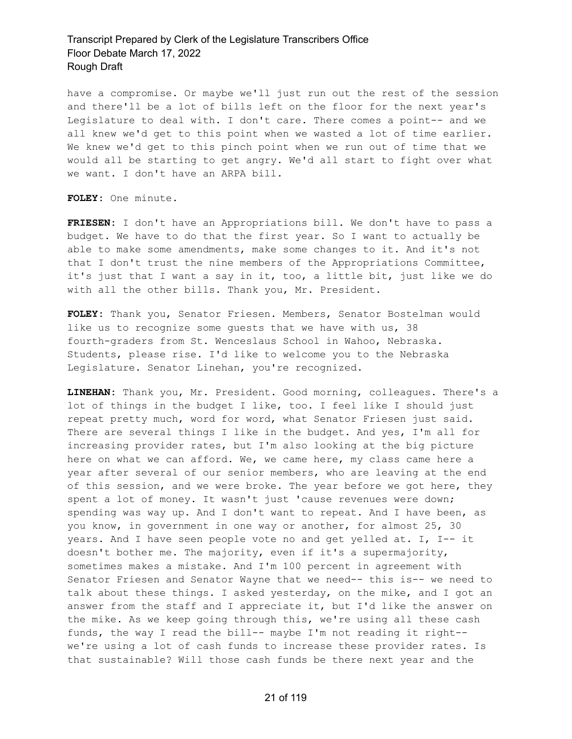have a compromise. Or maybe we'll just run out the rest of the session and there'll be a lot of bills left on the floor for the next year's Legislature to deal with. I don't care. There comes a point-- and we all knew we'd get to this point when we wasted a lot of time earlier. We knew we'd get to this pinch point when we run out of time that we would all be starting to get angry. We'd all start to fight over what we want. I don't have an ARPA bill.

**FOLEY:** One minute.

**FRIESEN:** I don't have an Appropriations bill. We don't have to pass a budget. We have to do that the first year. So I want to actually be able to make some amendments, make some changes to it. And it's not that I don't trust the nine members of the Appropriations Committee, it's just that I want a say in it, too, a little bit, just like we do with all the other bills. Thank you, Mr. President.

**FOLEY:** Thank you, Senator Friesen. Members, Senator Bostelman would like us to recognize some guests that we have with us, 38 fourth-graders from St. Wenceslaus School in Wahoo, Nebraska. Students, please rise. I'd like to welcome you to the Nebraska Legislature. Senator Linehan, you're recognized.

**LINEHAN:** Thank you, Mr. President. Good morning, colleagues. There's a lot of things in the budget I like, too. I feel like I should just repeat pretty much, word for word, what Senator Friesen just said. There are several things I like in the budget. And yes, I'm all for increasing provider rates, but I'm also looking at the big picture here on what we can afford. We, we came here, my class came here a year after several of our senior members, who are leaving at the end of this session, and we were broke. The year before we got here, they spent a lot of money. It wasn't just 'cause revenues were down; spending was way up. And I don't want to repeat. And I have been, as you know, in government in one way or another, for almost 25, 30 years. And I have seen people vote no and get yelled at. I, I-- it doesn't bother me. The majority, even if it's a supermajority, sometimes makes a mistake. And I'm 100 percent in agreement with Senator Friesen and Senator Wayne that we need-- this is-- we need to talk about these things. I asked yesterday, on the mike, and I got an answer from the staff and I appreciate it, but I'd like the answer on the mike. As we keep going through this, we're using all these cash funds, the way I read the bill-- maybe I'm not reading it right- we're using a lot of cash funds to increase these provider rates. Is that sustainable? Will those cash funds be there next year and the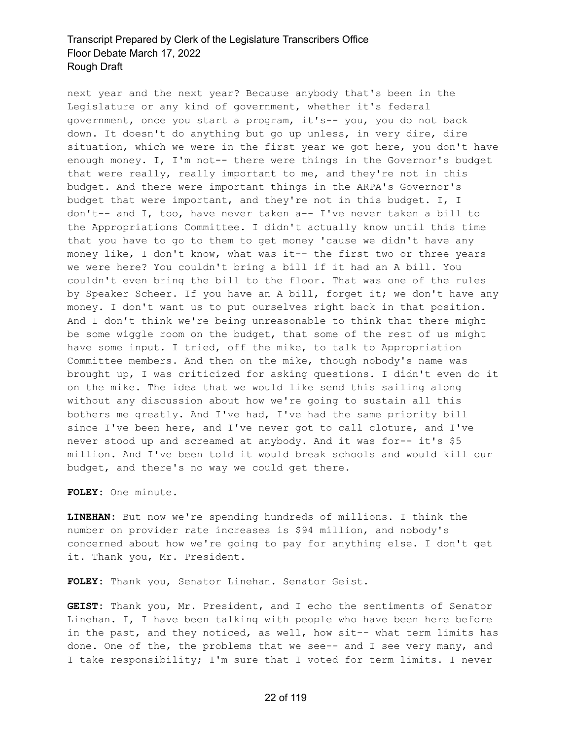next year and the next year? Because anybody that's been in the Legislature or any kind of government, whether it's federal government, once you start a program, it's-- you, you do not back down. It doesn't do anything but go up unless, in very dire, dire situation, which we were in the first year we got here, you don't have enough money. I, I'm not-- there were things in the Governor's budget that were really, really important to me, and they're not in this budget. And there were important things in the ARPA's Governor's budget that were important, and they're not in this budget. I, I don't-- and I, too, have never taken a-- I've never taken a bill to the Appropriations Committee. I didn't actually know until this time that you have to go to them to get money 'cause we didn't have any money like, I don't know, what was it-- the first two or three years we were here? You couldn't bring a bill if it had an A bill. You couldn't even bring the bill to the floor. That was one of the rules by Speaker Scheer. If you have an A bill, forget it; we don't have any money. I don't want us to put ourselves right back in that position. And I don't think we're being unreasonable to think that there might be some wiggle room on the budget, that some of the rest of us might have some input. I tried, off the mike, to talk to Appropriation Committee members. And then on the mike, though nobody's name was brought up, I was criticized for asking questions. I didn't even do it on the mike. The idea that we would like send this sailing along without any discussion about how we're going to sustain all this bothers me greatly. And I've had, I've had the same priority bill since I've been here, and I've never got to call cloture, and I've never stood up and screamed at anybody. And it was for-- it's \$5 million. And I've been told it would break schools and would kill our budget, and there's no way we could get there.

**FOLEY:** One minute.

**LINEHAN:** But now we're spending hundreds of millions. I think the number on provider rate increases is \$94 million, and nobody's concerned about how we're going to pay for anything else. I don't get it. Thank you, Mr. President.

**FOLEY:** Thank you, Senator Linehan. Senator Geist.

**GEIST:** Thank you, Mr. President, and I echo the sentiments of Senator Linehan. I, I have been talking with people who have been here before in the past, and they noticed, as well, how sit-- what term limits has done. One of the, the problems that we see-- and I see very many, and I take responsibility; I'm sure that I voted for term limits. I never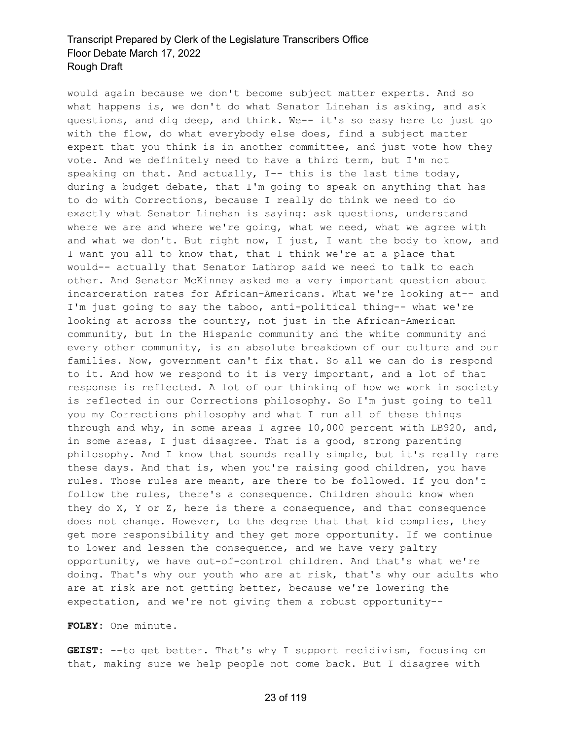would again because we don't become subject matter experts. And so what happens is, we don't do what Senator Linehan is asking, and ask questions, and dig deep, and think. We-- it's so easy here to just go with the flow, do what everybody else does, find a subject matter expert that you think is in another committee, and just vote how they vote. And we definitely need to have a third term, but I'm not speaking on that. And actually, I-- this is the last time today, during a budget debate, that I'm going to speak on anything that has to do with Corrections, because I really do think we need to do exactly what Senator Linehan is saying: ask questions, understand where we are and where we're going, what we need, what we agree with and what we don't. But right now, I just, I want the body to know, and I want you all to know that, that I think we're at a place that would-- actually that Senator Lathrop said we need to talk to each other. And Senator McKinney asked me a very important question about incarceration rates for African-Americans. What we're looking at-- and I'm just going to say the taboo, anti-political thing-- what we're looking at across the country, not just in the African-American community, but in the Hispanic community and the white community and every other community, is an absolute breakdown of our culture and our families. Now, government can't fix that. So all we can do is respond to it. And how we respond to it is very important, and a lot of that response is reflected. A lot of our thinking of how we work in society is reflected in our Corrections philosophy. So I'm just going to tell you my Corrections philosophy and what I run all of these things through and why, in some areas I agree 10,000 percent with LB920, and, in some areas, I just disagree. That is a good, strong parenting philosophy. And I know that sounds really simple, but it's really rare these days. And that is, when you're raising good children, you have rules. Those rules are meant, are there to be followed. If you don't follow the rules, there's a consequence. Children should know when they do X, Y or Z, here is there a consequence, and that consequence does not change. However, to the degree that that kid complies, they get more responsibility and they get more opportunity. If we continue to lower and lessen the consequence, and we have very paltry opportunity, we have out-of-control children. And that's what we're doing. That's why our youth who are at risk, that's why our adults who are at risk are not getting better, because we're lowering the expectation, and we're not giving them a robust opportunity--

#### **FOLEY:** One minute.

**GEIST:** --to get better. That's why I support recidivism, focusing on that, making sure we help people not come back. But I disagree with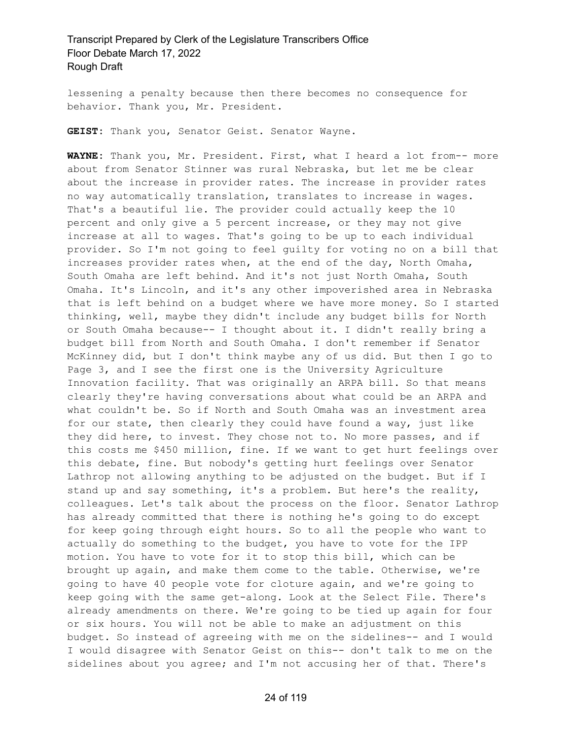lessening a penalty because then there becomes no consequence for behavior. Thank you, Mr. President.

**GEIST:** Thank you, Senator Geist. Senator Wayne.

**WAYNE:** Thank you, Mr. President. First, what I heard a lot from-- more about from Senator Stinner was rural Nebraska, but let me be clear about the increase in provider rates. The increase in provider rates no way automatically translation, translates to increase in wages. That's a beautiful lie. The provider could actually keep the 10 percent and only give a 5 percent increase, or they may not give increase at all to wages. That's going to be up to each individual provider. So I'm not going to feel guilty for voting no on a bill that increases provider rates when, at the end of the day, North Omaha, South Omaha are left behind. And it's not just North Omaha, South Omaha. It's Lincoln, and it's any other impoverished area in Nebraska that is left behind on a budget where we have more money. So I started thinking, well, maybe they didn't include any budget bills for North or South Omaha because-- I thought about it. I didn't really bring a budget bill from North and South Omaha. I don't remember if Senator McKinney did, but I don't think maybe any of us did. But then I go to Page 3, and I see the first one is the University Agriculture Innovation facility. That was originally an ARPA bill. So that means clearly they're having conversations about what could be an ARPA and what couldn't be. So if North and South Omaha was an investment area for our state, then clearly they could have found a way, just like they did here, to invest. They chose not to. No more passes, and if this costs me \$450 million, fine. If we want to get hurt feelings over this debate, fine. But nobody's getting hurt feelings over Senator Lathrop not allowing anything to be adjusted on the budget. But if I stand up and say something, it's a problem. But here's the reality, colleagues. Let's talk about the process on the floor. Senator Lathrop has already committed that there is nothing he's going to do except for keep going through eight hours. So to all the people who want to actually do something to the budget, you have to vote for the IPP motion. You have to vote for it to stop this bill, which can be brought up again, and make them come to the table. Otherwise, we're going to have 40 people vote for cloture again, and we're going to keep going with the same get-along. Look at the Select File. There's already amendments on there. We're going to be tied up again for four or six hours. You will not be able to make an adjustment on this budget. So instead of agreeing with me on the sidelines-- and I would I would disagree with Senator Geist on this-- don't talk to me on the sidelines about you agree; and I'm not accusing her of that. There's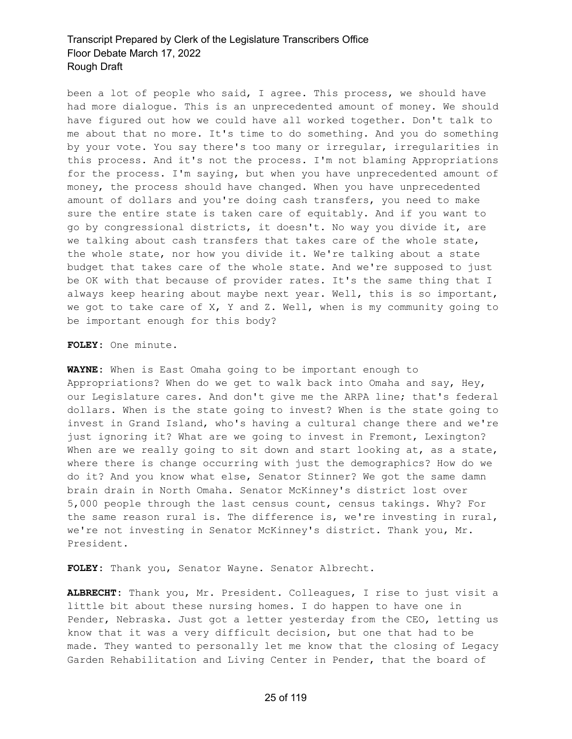been a lot of people who said, I agree. This process, we should have had more dialogue. This is an unprecedented amount of money. We should have figured out how we could have all worked together. Don't talk to me about that no more. It's time to do something. And you do something by your vote. You say there's too many or irregular, irregularities in this process. And it's not the process. I'm not blaming Appropriations for the process. I'm saying, but when you have unprecedented amount of money, the process should have changed. When you have unprecedented amount of dollars and you're doing cash transfers, you need to make sure the entire state is taken care of equitably. And if you want to go by congressional districts, it doesn't. No way you divide it, are we talking about cash transfers that takes care of the whole state, the whole state, nor how you divide it. We're talking about a state budget that takes care of the whole state. And we're supposed to just be OK with that because of provider rates. It's the same thing that I always keep hearing about maybe next year. Well, this is so important, we got to take care of X, Y and Z. Well, when is my community going to be important enough for this body?

**FOLEY:** One minute.

**WAYNE:** When is East Omaha going to be important enough to Appropriations? When do we get to walk back into Omaha and say, Hey, our Legislature cares. And don't give me the ARPA line; that's federal dollars. When is the state going to invest? When is the state going to invest in Grand Island, who's having a cultural change there and we're just ignoring it? What are we going to invest in Fremont, Lexington? When are we really going to sit down and start looking at, as a state, where there is change occurring with just the demographics? How do we do it? And you know what else, Senator Stinner? We got the same damn brain drain in North Omaha. Senator McKinney's district lost over 5,000 people through the last census count, census takings. Why? For the same reason rural is. The difference is, we're investing in rural, we're not investing in Senator McKinney's district. Thank you, Mr. President.

**FOLEY:** Thank you, Senator Wayne. Senator Albrecht.

**ALBRECHT:** Thank you, Mr. President. Colleagues, I rise to just visit a little bit about these nursing homes. I do happen to have one in Pender, Nebraska. Just got a letter yesterday from the CEO, letting us know that it was a very difficult decision, but one that had to be made. They wanted to personally let me know that the closing of Legacy Garden Rehabilitation and Living Center in Pender, that the board of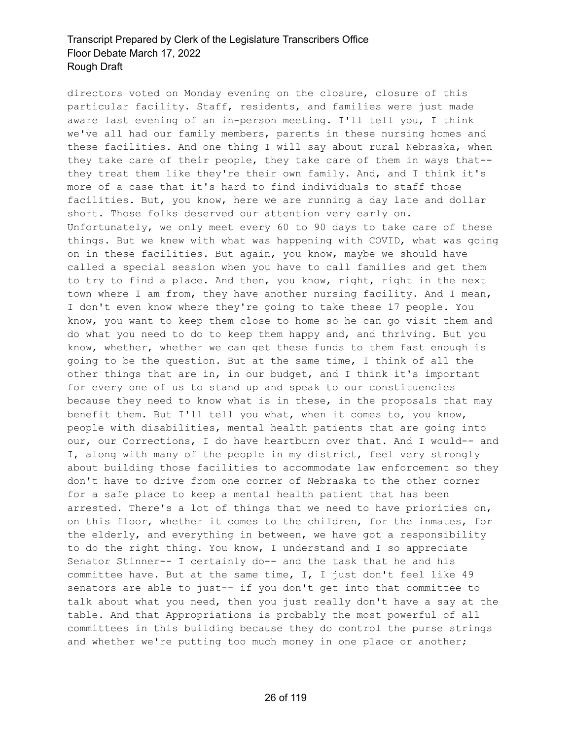directors voted on Monday evening on the closure, closure of this particular facility. Staff, residents, and families were just made aware last evening of an in-person meeting. I'll tell you, I think we've all had our family members, parents in these nursing homes and these facilities. And one thing I will say about rural Nebraska, when they take care of their people, they take care of them in ways that- they treat them like they're their own family. And, and I think it's more of a case that it's hard to find individuals to staff those facilities. But, you know, here we are running a day late and dollar short. Those folks deserved our attention very early on. Unfortunately, we only meet every 60 to 90 days to take care of these things. But we knew with what was happening with COVID, what was going on in these facilities. But again, you know, maybe we should have called a special session when you have to call families and get them to try to find a place. And then, you know, right, right in the next town where I am from, they have another nursing facility. And I mean, I don't even know where they're going to take these 17 people. You know, you want to keep them close to home so he can go visit them and do what you need to do to keep them happy and, and thriving. But you know, whether, whether we can get these funds to them fast enough is going to be the question. But at the same time, I think of all the other things that are in, in our budget, and I think it's important for every one of us to stand up and speak to our constituencies because they need to know what is in these, in the proposals that may benefit them. But I'll tell you what, when it comes to, you know, people with disabilities, mental health patients that are going into our, our Corrections, I do have heartburn over that. And I would-- and I, along with many of the people in my district, feel very strongly about building those facilities to accommodate law enforcement so they don't have to drive from one corner of Nebraska to the other corner for a safe place to keep a mental health patient that has been arrested. There's a lot of things that we need to have priorities on, on this floor, whether it comes to the children, for the inmates, for the elderly, and everything in between, we have got a responsibility to do the right thing. You know, I understand and I so appreciate Senator Stinner-- I certainly do-- and the task that he and his committee have. But at the same time, I, I just don't feel like 49 senators are able to just-- if you don't get into that committee to talk about what you need, then you just really don't have a say at the table. And that Appropriations is probably the most powerful of all committees in this building because they do control the purse strings and whether we're putting too much money in one place or another;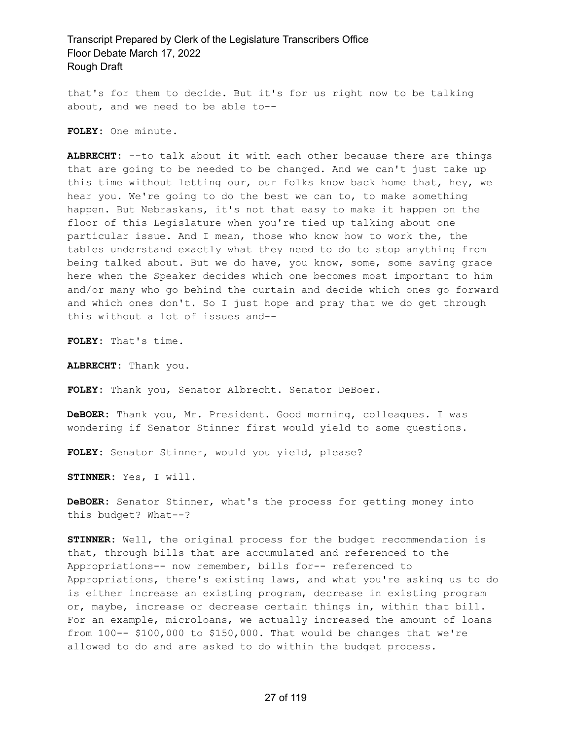that's for them to decide. But it's for us right now to be talking about, and we need to be able to--

**FOLEY:** One minute.

**ALBRECHT:** --to talk about it with each other because there are things that are going to be needed to be changed. And we can't just take up this time without letting our, our folks know back home that, hey, we hear you. We're going to do the best we can to, to make something happen. But Nebraskans, it's not that easy to make it happen on the floor of this Legislature when you're tied up talking about one particular issue. And I mean, those who know how to work the, the tables understand exactly what they need to do to stop anything from being talked about. But we do have, you know, some, some saving grace here when the Speaker decides which one becomes most important to him and/or many who go behind the curtain and decide which ones go forward and which ones don't. So I just hope and pray that we do get through this without a lot of issues and--

**FOLEY:** That's time.

**ALBRECHT:** Thank you.

**FOLEY:** Thank you, Senator Albrecht. Senator DeBoer.

**DeBOER:** Thank you, Mr. President. Good morning, colleagues. I was wondering if Senator Stinner first would yield to some questions.

**FOLEY:** Senator Stinner, would you yield, please?

**STINNER:** Yes, I will.

**DeBOER:** Senator Stinner, what's the process for getting money into this budget? What--?

**STINNER:** Well, the original process for the budget recommendation is that, through bills that are accumulated and referenced to the Appropriations-- now remember, bills for-- referenced to Appropriations, there's existing laws, and what you're asking us to do is either increase an existing program, decrease in existing program or, maybe, increase or decrease certain things in, within that bill. For an example, microloans, we actually increased the amount of loans from 100-- \$100,000 to \$150,000. That would be changes that we're allowed to do and are asked to do within the budget process.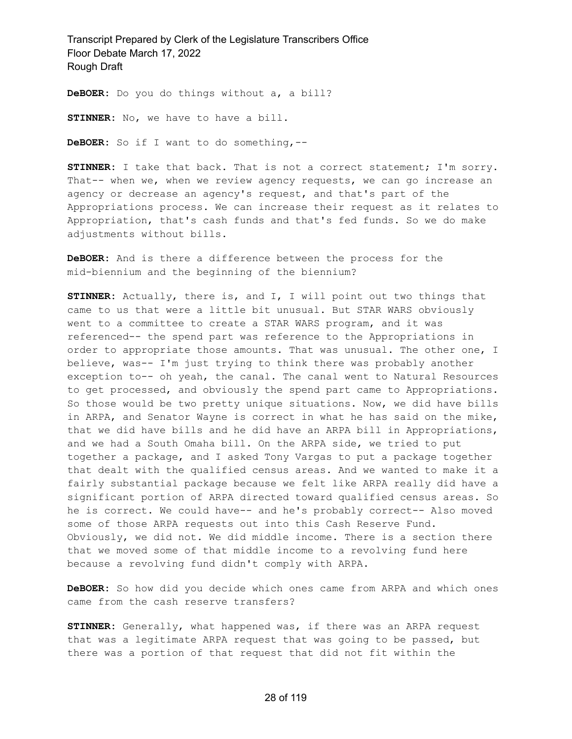**DeBOER:** Do you do things without a, a bill?

**STINNER:** No, we have to have a bill.

**DeBOER:** So if I want to do something,--

**STINNER:** I take that back. That is not a correct statement; I'm sorry. That-- when we, when we review agency requests, we can go increase an agency or decrease an agency's request, and that's part of the Appropriations process. We can increase their request as it relates to Appropriation, that's cash funds and that's fed funds. So we do make adjustments without bills.

**DeBOER:** And is there a difference between the process for the mid-biennium and the beginning of the biennium?

**STINNER:** Actually, there is, and I, I will point out two things that came to us that were a little bit unusual. But STAR WARS obviously went to a committee to create a STAR WARS program, and it was referenced-- the spend part was reference to the Appropriations in order to appropriate those amounts. That was unusual. The other one, I believe, was-- I'm just trying to think there was probably another exception to-- oh yeah, the canal. The canal went to Natural Resources to get processed, and obviously the spend part came to Appropriations. So those would be two pretty unique situations. Now, we did have bills in ARPA, and Senator Wayne is correct in what he has said on the mike, that we did have bills and he did have an ARPA bill in Appropriations, and we had a South Omaha bill. On the ARPA side, we tried to put together a package, and I asked Tony Vargas to put a package together that dealt with the qualified census areas. And we wanted to make it a fairly substantial package because we felt like ARPA really did have a significant portion of ARPA directed toward qualified census areas. So he is correct. We could have-- and he's probably correct-- Also moved some of those ARPA requests out into this Cash Reserve Fund. Obviously, we did not. We did middle income. There is a section there that we moved some of that middle income to a revolving fund here because a revolving fund didn't comply with ARPA.

**DeBOER:** So how did you decide which ones came from ARPA and which ones came from the cash reserve transfers?

**STINNER:** Generally, what happened was, if there was an ARPA request that was a legitimate ARPA request that was going to be passed, but there was a portion of that request that did not fit within the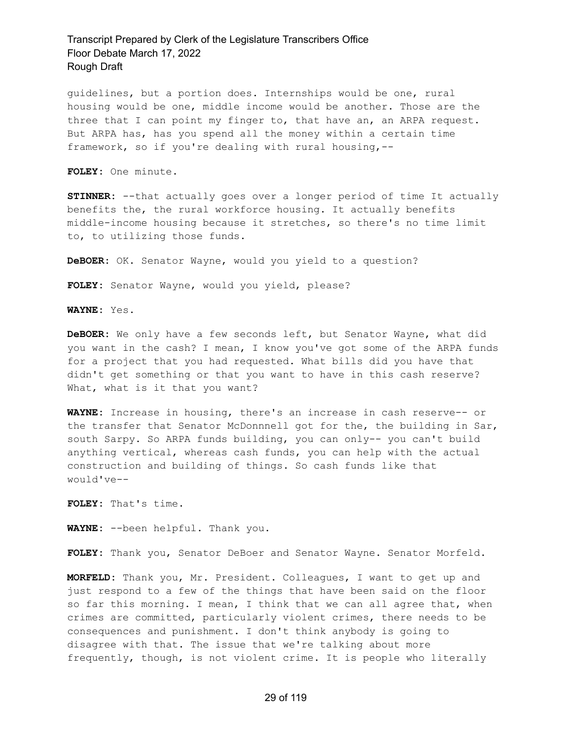guidelines, but a portion does. Internships would be one, rural housing would be one, middle income would be another. Those are the three that I can point my finger to, that have an, an ARPA request. But ARPA has, has you spend all the money within a certain time framework, so if you're dealing with rural housing,--

**FOLEY:** One minute.

**STINNER:** --that actually goes over a longer period of time It actually benefits the, the rural workforce housing. It actually benefits middle-income housing because it stretches, so there's no time limit to, to utilizing those funds.

**DeBOER:** OK. Senator Wayne, would you yield to a question?

**FOLEY:** Senator Wayne, would you yield, please?

**WAYNE:** Yes.

**DeBOER:** We only have a few seconds left, but Senator Wayne, what did you want in the cash? I mean, I know you've got some of the ARPA funds for a project that you had requested. What bills did you have that didn't get something or that you want to have in this cash reserve? What, what is it that you want?

**WAYNE:** Increase in housing, there's an increase in cash reserve-- or the transfer that Senator McDonnnell got for the, the building in Sar, south Sarpy. So ARPA funds building, you can only-- you can't build anything vertical, whereas cash funds, you can help with the actual construction and building of things. So cash funds like that would've--

**FOLEY:** That's time.

**WAYNE:** --been helpful. Thank you.

**FOLEY:** Thank you, Senator DeBoer and Senator Wayne. Senator Morfeld.

**MORFELD:** Thank you, Mr. President. Colleagues, I want to get up and just respond to a few of the things that have been said on the floor so far this morning. I mean, I think that we can all agree that, when crimes are committed, particularly violent crimes, there needs to be consequences and punishment. I don't think anybody is going to disagree with that. The issue that we're talking about more frequently, though, is not violent crime. It is people who literally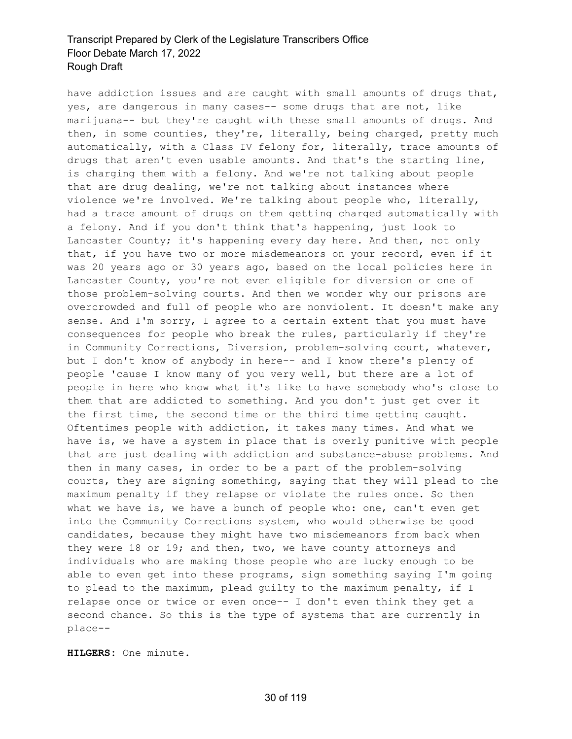have addiction issues and are caught with small amounts of drugs that, yes, are dangerous in many cases-- some drugs that are not, like marijuana-- but they're caught with these small amounts of drugs. And then, in some counties, they're, literally, being charged, pretty much automatically, with a Class IV felony for, literally, trace amounts of drugs that aren't even usable amounts. And that's the starting line, is charging them with a felony. And we're not talking about people that are drug dealing, we're not talking about instances where violence we're involved. We're talking about people who, literally, had a trace amount of drugs on them getting charged automatically with a felony. And if you don't think that's happening, just look to Lancaster County; it's happening every day here. And then, not only that, if you have two or more misdemeanors on your record, even if it was 20 years ago or 30 years ago, based on the local policies here in Lancaster County, you're not even eligible for diversion or one of those problem-solving courts. And then we wonder why our prisons are overcrowded and full of people who are nonviolent. It doesn't make any sense. And I'm sorry, I agree to a certain extent that you must have consequences for people who break the rules, particularly if they're in Community Corrections, Diversion, problem-solving court, whatever, but I don't know of anybody in here-- and I know there's plenty of people 'cause I know many of you very well, but there are a lot of people in here who know what it's like to have somebody who's close to them that are addicted to something. And you don't just get over it the first time, the second time or the third time getting caught. Oftentimes people with addiction, it takes many times. And what we have is, we have a system in place that is overly punitive with people that are just dealing with addiction and substance-abuse problems. And then in many cases, in order to be a part of the problem-solving courts, they are signing something, saying that they will plead to the maximum penalty if they relapse or violate the rules once. So then what we have is, we have a bunch of people who: one, can't even get into the Community Corrections system, who would otherwise be good candidates, because they might have two misdemeanors from back when they were 18 or 19; and then, two, we have county attorneys and individuals who are making those people who are lucky enough to be able to even get into these programs, sign something saying I'm going to plead to the maximum, plead guilty to the maximum penalty, if I relapse once or twice or even once-- I don't even think they get a second chance. So this is the type of systems that are currently in place--

**HILGERS:** One minute.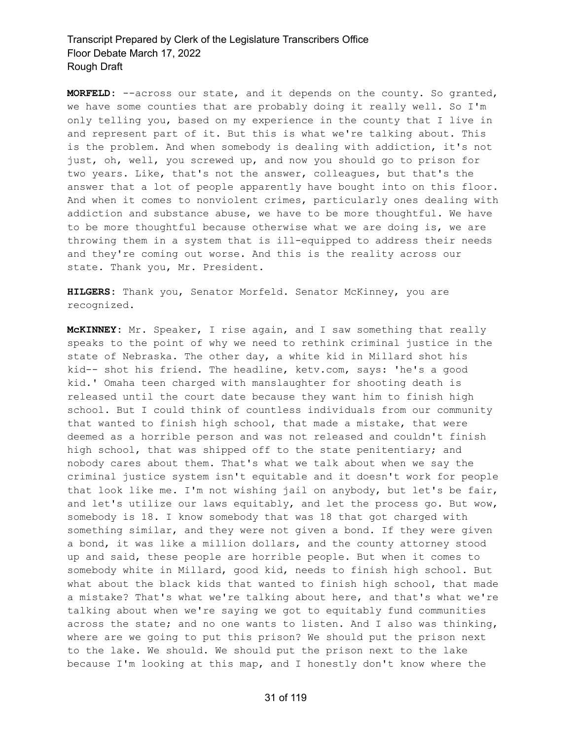**MORFELD:** --across our state, and it depends on the county. So granted, we have some counties that are probably doing it really well. So I'm only telling you, based on my experience in the county that I live in and represent part of it. But this is what we're talking about. This is the problem. And when somebody is dealing with addiction, it's not just, oh, well, you screwed up, and now you should go to prison for two years. Like, that's not the answer, colleagues, but that's the answer that a lot of people apparently have bought into on this floor. And when it comes to nonviolent crimes, particularly ones dealing with addiction and substance abuse, we have to be more thoughtful. We have to be more thoughtful because otherwise what we are doing is, we are throwing them in a system that is ill-equipped to address their needs and they're coming out worse. And this is the reality across our state. Thank you, Mr. President.

**HILGERS:** Thank you, Senator Morfeld. Senator McKinney, you are recognized.

**McKINNEY:** Mr. Speaker, I rise again, and I saw something that really speaks to the point of why we need to rethink criminal justice in the state of Nebraska. The other day, a white kid in Millard shot his kid-- shot his friend. The headline, ketv.com, says: 'he's a good kid.' Omaha teen charged with manslaughter for shooting death is released until the court date because they want him to finish high school. But I could think of countless individuals from our community that wanted to finish high school, that made a mistake, that were deemed as a horrible person and was not released and couldn't finish high school, that was shipped off to the state penitentiary; and nobody cares about them. That's what we talk about when we say the criminal justice system isn't equitable and it doesn't work for people that look like me. I'm not wishing jail on anybody, but let's be fair, and let's utilize our laws equitably, and let the process go. But wow, somebody is 18. I know somebody that was 18 that got charged with something similar, and they were not given a bond. If they were given a bond, it was like a million dollars, and the county attorney stood up and said, these people are horrible people. But when it comes to somebody white in Millard, good kid, needs to finish high school. But what about the black kids that wanted to finish high school, that made a mistake? That's what we're talking about here, and that's what we're talking about when we're saying we got to equitably fund communities across the state; and no one wants to listen. And I also was thinking, where are we going to put this prison? We should put the prison next to the lake. We should. We should put the prison next to the lake because I'm looking at this map, and I honestly don't know where the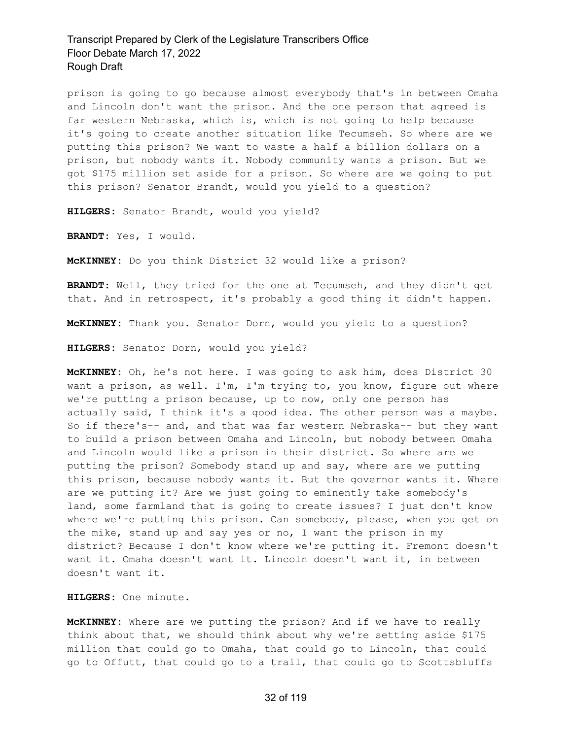prison is going to go because almost everybody that's in between Omaha and Lincoln don't want the prison. And the one person that agreed is far western Nebraska, which is, which is not going to help because it's going to create another situation like Tecumseh. So where are we putting this prison? We want to waste a half a billion dollars on a prison, but nobody wants it. Nobody community wants a prison. But we got \$175 million set aside for a prison. So where are we going to put this prison? Senator Brandt, would you yield to a question?

**HILGERS:** Senator Brandt, would you yield?

**BRANDT:** Yes, I would.

**McKINNEY:** Do you think District 32 would like a prison?

**BRANDT:** Well, they tried for the one at Tecumseh, and they didn't get that. And in retrospect, it's probably a good thing it didn't happen.

**McKINNEY:** Thank you. Senator Dorn, would you yield to a question?

**HILGERS:** Senator Dorn, would you yield?

**McKINNEY:** Oh, he's not here. I was going to ask him, does District 30 want a prison, as well. I'm, I'm trying to, you know, figure out where we're putting a prison because, up to now, only one person has actually said, I think it's a good idea. The other person was a maybe. So if there's-- and, and that was far western Nebraska-- but they want to build a prison between Omaha and Lincoln, but nobody between Omaha and Lincoln would like a prison in their district. So where are we putting the prison? Somebody stand up and say, where are we putting this prison, because nobody wants it. But the governor wants it. Where are we putting it? Are we just going to eminently take somebody's land, some farmland that is going to create issues? I just don't know where we're putting this prison. Can somebody, please, when you get on the mike, stand up and say yes or no, I want the prison in my district? Because I don't know where we're putting it. Fremont doesn't want it. Omaha doesn't want it. Lincoln doesn't want it, in between doesn't want it.

**HILGERS:** One minute.

**McKINNEY:** Where are we putting the prison? And if we have to really think about that, we should think about why we're setting aside \$175 million that could go to Omaha, that could go to Lincoln, that could go to Offutt, that could go to a trail, that could go to Scottsbluffs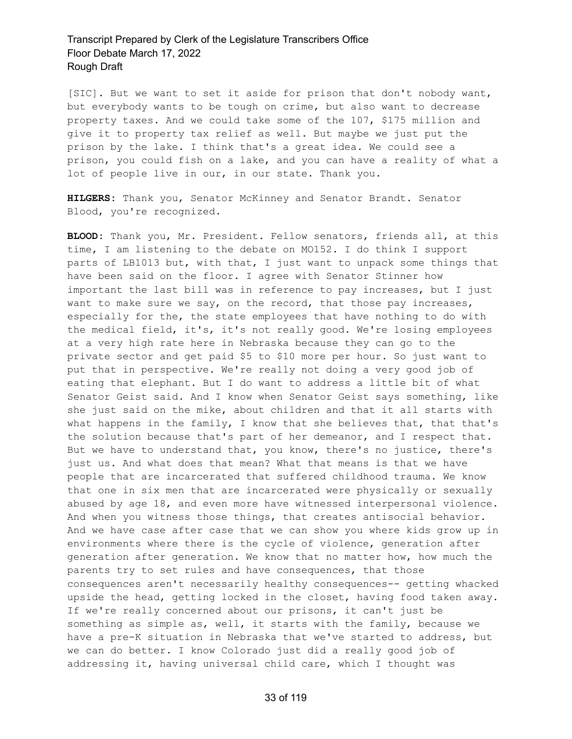[SIC]. But we want to set it aside for prison that don't nobody want, but everybody wants to be tough on crime, but also want to decrease property taxes. And we could take some of the 107, \$175 million and give it to property tax relief as well. But maybe we just put the prison by the lake. I think that's a great idea. We could see a prison, you could fish on a lake, and you can have a reality of what a lot of people live in our, in our state. Thank you.

**HILGERS:** Thank you, Senator McKinney and Senator Brandt. Senator Blood, you're recognized.

**BLOOD:** Thank you, Mr. President. Fellow senators, friends all, at this time, I am listening to the debate on MO152. I do think I support parts of LB1013 but, with that, I just want to unpack some things that have been said on the floor. I agree with Senator Stinner how important the last bill was in reference to pay increases, but I just want to make sure we say, on the record, that those pay increases, especially for the, the state employees that have nothing to do with the medical field, it's, it's not really good. We're losing employees at a very high rate here in Nebraska because they can go to the private sector and get paid \$5 to \$10 more per hour. So just want to put that in perspective. We're really not doing a very good job of eating that elephant. But I do want to address a little bit of what Senator Geist said. And I know when Senator Geist says something, like she just said on the mike, about children and that it all starts with what happens in the family, I know that she believes that, that that's the solution because that's part of her demeanor, and I respect that. But we have to understand that, you know, there's no justice, there's just us. And what does that mean? What that means is that we have people that are incarcerated that suffered childhood trauma. We know that one in six men that are incarcerated were physically or sexually abused by age 18, and even more have witnessed interpersonal violence. And when you witness those things, that creates antisocial behavior. And we have case after case that we can show you where kids grow up in environments where there is the cycle of violence, generation after generation after generation. We know that no matter how, how much the parents try to set rules and have consequences, that those consequences aren't necessarily healthy consequences-- getting whacked upside the head, getting locked in the closet, having food taken away. If we're really concerned about our prisons, it can't just be something as simple as, well, it starts with the family, because we have a pre-K situation in Nebraska that we've started to address, but we can do better. I know Colorado just did a really good job of addressing it, having universal child care, which I thought was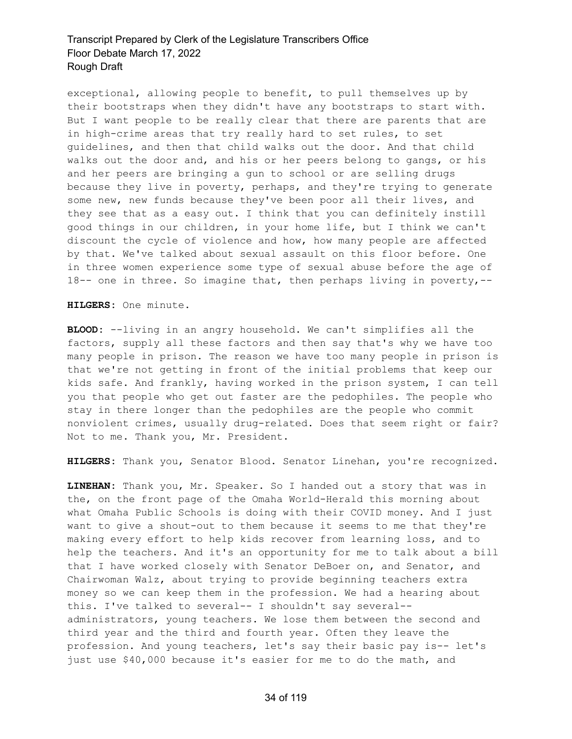exceptional, allowing people to benefit, to pull themselves up by their bootstraps when they didn't have any bootstraps to start with. But I want people to be really clear that there are parents that are in high-crime areas that try really hard to set rules, to set guidelines, and then that child walks out the door. And that child walks out the door and, and his or her peers belong to gangs, or his and her peers are bringing a gun to school or are selling drugs because they live in poverty, perhaps, and they're trying to generate some new, new funds because they've been poor all their lives, and they see that as a easy out. I think that you can definitely instill good things in our children, in your home life, but I think we can't discount the cycle of violence and how, how many people are affected by that. We've talked about sexual assault on this floor before. One in three women experience some type of sexual abuse before the age of 18-- one in three. So imagine that, then perhaps living in poverty,--

**HILGERS:** One minute.

**BLOOD:** --living in an angry household. We can't simplifies all the factors, supply all these factors and then say that's why we have too many people in prison. The reason we have too many people in prison is that we're not getting in front of the initial problems that keep our kids safe. And frankly, having worked in the prison system, I can tell you that people who get out faster are the pedophiles. The people who stay in there longer than the pedophiles are the people who commit nonviolent crimes, usually drug-related. Does that seem right or fair? Not to me. Thank you, Mr. President.

**HILGERS:** Thank you, Senator Blood. Senator Linehan, you're recognized.

**LINEHAN:** Thank you, Mr. Speaker. So I handed out a story that was in the, on the front page of the Omaha World-Herald this morning about what Omaha Public Schools is doing with their COVID money. And I just want to give a shout-out to them because it seems to me that they're making every effort to help kids recover from learning loss, and to help the teachers. And it's an opportunity for me to talk about a bill that I have worked closely with Senator DeBoer on, and Senator, and Chairwoman Walz, about trying to provide beginning teachers extra money so we can keep them in the profession. We had a hearing about this. I've talked to several-- I shouldn't say several- administrators, young teachers. We lose them between the second and third year and the third and fourth year. Often they leave the profession. And young teachers, let's say their basic pay is-- let's just use \$40,000 because it's easier for me to do the math, and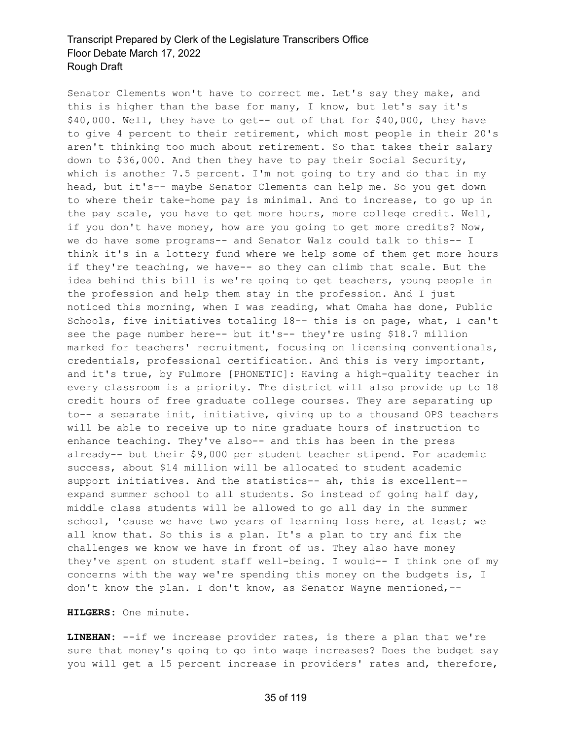Senator Clements won't have to correct me. Let's say they make, and this is higher than the base for many, I know, but let's say it's \$40,000. Well, they have to get-- out of that for \$40,000, they have to give 4 percent to their retirement, which most people in their 20's aren't thinking too much about retirement. So that takes their salary down to \$36,000. And then they have to pay their Social Security, which is another 7.5 percent. I'm not going to try and do that in my head, but it's-- maybe Senator Clements can help me. So you get down to where their take-home pay is minimal. And to increase, to go up in the pay scale, you have to get more hours, more college credit. Well, if you don't have money, how are you going to get more credits? Now, we do have some programs-- and Senator Walz could talk to this-- I think it's in a lottery fund where we help some of them get more hours if they're teaching, we have-- so they can climb that scale. But the idea behind this bill is we're going to get teachers, young people in the profession and help them stay in the profession. And I just noticed this morning, when I was reading, what Omaha has done, Public Schools, five initiatives totaling 18-- this is on page, what, I can't see the page number here-- but it's-- they're using \$18.7 million marked for teachers' recruitment, focusing on licensing conventionals, credentials, professional certification. And this is very important, and it's true, by Fulmore [PHONETIC]: Having a high-quality teacher in every classroom is a priority. The district will also provide up to 18 credit hours of free graduate college courses. They are separating up to-- a separate init, initiative, giving up to a thousand OPS teachers will be able to receive up to nine graduate hours of instruction to enhance teaching. They've also-- and this has been in the press already-- but their \$9,000 per student teacher stipend. For academic success, about \$14 million will be allocated to student academic support initiatives. And the statistics-- ah, this is excellent- expand summer school to all students. So instead of going half day, middle class students will be allowed to go all day in the summer school, 'cause we have two years of learning loss here, at least; we all know that. So this is a plan. It's a plan to try and fix the challenges we know we have in front of us. They also have money they've spent on student staff well-being. I would-- I think one of my concerns with the way we're spending this money on the budgets is, I don't know the plan. I don't know, as Senator Wayne mentioned,--

#### **HILGERS:** One minute.

**LINEHAN:** --if we increase provider rates, is there a plan that we're sure that money's going to go into wage increases? Does the budget say you will get a 15 percent increase in providers' rates and, therefore,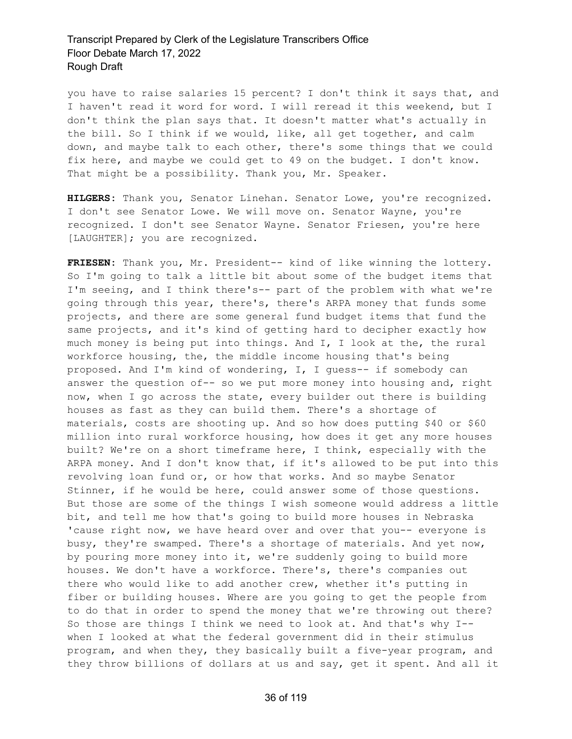you have to raise salaries 15 percent? I don't think it says that, and I haven't read it word for word. I will reread it this weekend, but I don't think the plan says that. It doesn't matter what's actually in the bill. So I think if we would, like, all get together, and calm down, and maybe talk to each other, there's some things that we could fix here, and maybe we could get to 49 on the budget. I don't know. That might be a possibility. Thank you, Mr. Speaker.

**HILGERS:** Thank you, Senator Linehan. Senator Lowe, you're recognized. I don't see Senator Lowe. We will move on. Senator Wayne, you're recognized. I don't see Senator Wayne. Senator Friesen, you're here [LAUGHTER]; you are recognized.

**FRIESEN:** Thank you, Mr. President-- kind of like winning the lottery. So I'm going to talk a little bit about some of the budget items that I'm seeing, and I think there's-- part of the problem with what we're going through this year, there's, there's ARPA money that funds some projects, and there are some general fund budget items that fund the same projects, and it's kind of getting hard to decipher exactly how much money is being put into things. And I, I look at the, the rural workforce housing, the, the middle income housing that's being proposed. And I'm kind of wondering, I, I guess-- if somebody can answer the question of-- so we put more money into housing and, right now, when I go across the state, every builder out there is building houses as fast as they can build them. There's a shortage of materials, costs are shooting up. And so how does putting \$40 or \$60 million into rural workforce housing, how does it get any more houses built? We're on a short timeframe here, I think, especially with the ARPA money. And I don't know that, if it's allowed to be put into this revolving loan fund or, or how that works. And so maybe Senator Stinner, if he would be here, could answer some of those questions. But those are some of the things I wish someone would address a little bit, and tell me how that's going to build more houses in Nebraska 'cause right now, we have heard over and over that you-- everyone is busy, they're swamped. There's a shortage of materials. And yet now, by pouring more money into it, we're suddenly going to build more houses. We don't have a workforce. There's, there's companies out there who would like to add another crew, whether it's putting in fiber or building houses. Where are you going to get the people from to do that in order to spend the money that we're throwing out there? So those are things I think we need to look at. And that's why I- when I looked at what the federal government did in their stimulus program, and when they, they basically built a five-year program, and they throw billions of dollars at us and say, get it spent. And all it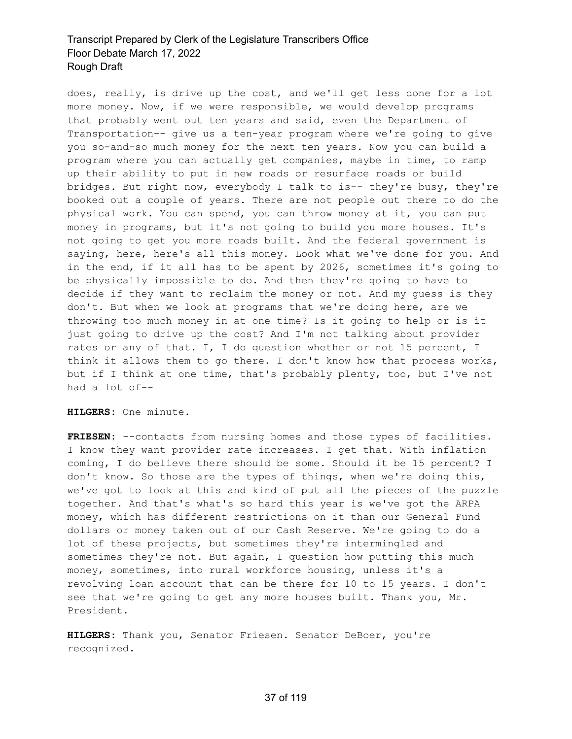does, really, is drive up the cost, and we'll get less done for a lot more money. Now, if we were responsible, we would develop programs that probably went out ten years and said, even the Department of Transportation-- give us a ten-year program where we're going to give you so-and-so much money for the next ten years. Now you can build a program where you can actually get companies, maybe in time, to ramp up their ability to put in new roads or resurface roads or build bridges. But right now, everybody I talk to is-- they're busy, they're booked out a couple of years. There are not people out there to do the physical work. You can spend, you can throw money at it, you can put money in programs, but it's not going to build you more houses. It's not going to get you more roads built. And the federal government is saying, here, here's all this money. Look what we've done for you. And in the end, if it all has to be spent by 2026, sometimes it's going to be physically impossible to do. And then they're going to have to decide if they want to reclaim the money or not. And my guess is they don't. But when we look at programs that we're doing here, are we throwing too much money in at one time? Is it going to help or is it just going to drive up the cost? And I'm not talking about provider rates or any of that. I, I do question whether or not 15 percent, I think it allows them to go there. I don't know how that process works, but if I think at one time, that's probably plenty, too, but I've not had a lot of--

**HILGERS:** One minute.

**FRIESEN:** --contacts from nursing homes and those types of facilities. I know they want provider rate increases. I get that. With inflation coming, I do believe there should be some. Should it be 15 percent? I don't know. So those are the types of things, when we're doing this, we've got to look at this and kind of put all the pieces of the puzzle together. And that's what's so hard this year is we've got the ARPA money, which has different restrictions on it than our General Fund dollars or money taken out of our Cash Reserve. We're going to do a lot of these projects, but sometimes they're intermingled and sometimes they're not. But again, I question how putting this much money, sometimes, into rural workforce housing, unless it's a revolving loan account that can be there for 10 to 15 years. I don't see that we're going to get any more houses built. Thank you, Mr. President.

**HILGERS:** Thank you, Senator Friesen. Senator DeBoer, you're recognized.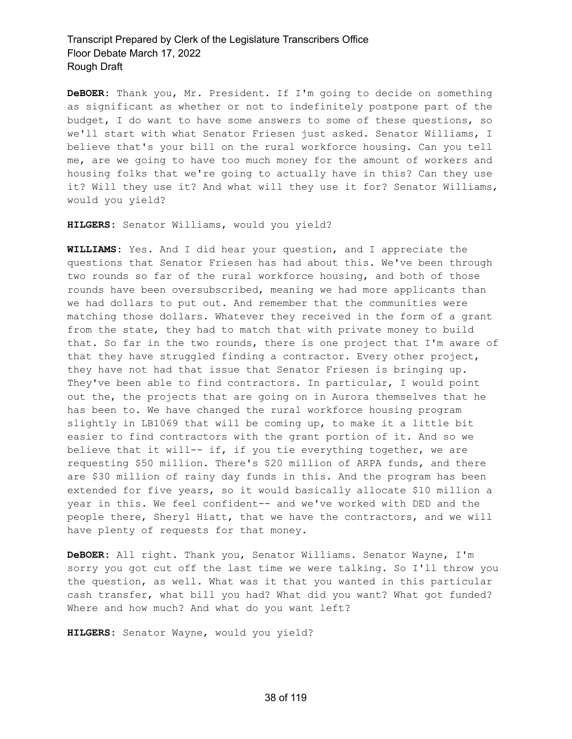**DeBOER:** Thank you, Mr. President. If I'm going to decide on something as significant as whether or not to indefinitely postpone part of the budget, I do want to have some answers to some of these questions, so we'll start with what Senator Friesen just asked. Senator Williams, I believe that's your bill on the rural workforce housing. Can you tell me, are we going to have too much money for the amount of workers and housing folks that we're going to actually have in this? Can they use it? Will they use it? And what will they use it for? Senator Williams, would you yield?

**HILGERS:** Senator Williams, would you yield?

**WILLIAMS:** Yes. And I did hear your question, and I appreciate the questions that Senator Friesen has had about this. We've been through two rounds so far of the rural workforce housing, and both of those rounds have been oversubscribed, meaning we had more applicants than we had dollars to put out. And remember that the communities were matching those dollars. Whatever they received in the form of a grant from the state, they had to match that with private money to build that. So far in the two rounds, there is one project that I'm aware of that they have struggled finding a contractor. Every other project, they have not had that issue that Senator Friesen is bringing up. They've been able to find contractors. In particular, I would point out the, the projects that are going on in Aurora themselves that he has been to. We have changed the rural workforce housing program slightly in LB1069 that will be coming up, to make it a little bit easier to find contractors with the grant portion of it. And so we believe that it will-- if, if you tie everything together, we are requesting \$50 million. There's \$20 million of ARPA funds, and there are \$30 million of rainy day funds in this. And the program has been extended for five years, so it would basically allocate \$10 million a year in this. We feel confident-- and we've worked with DED and the people there, Sheryl Hiatt, that we have the contractors, and we will have plenty of requests for that money.

**DeBOER:** All right. Thank you, Senator Williams. Senator Wayne, I'm sorry you got cut off the last time we were talking. So I'll throw you the question, as well. What was it that you wanted in this particular cash transfer, what bill you had? What did you want? What got funded? Where and how much? And what do you want left?

**HILGERS:** Senator Wayne, would you yield?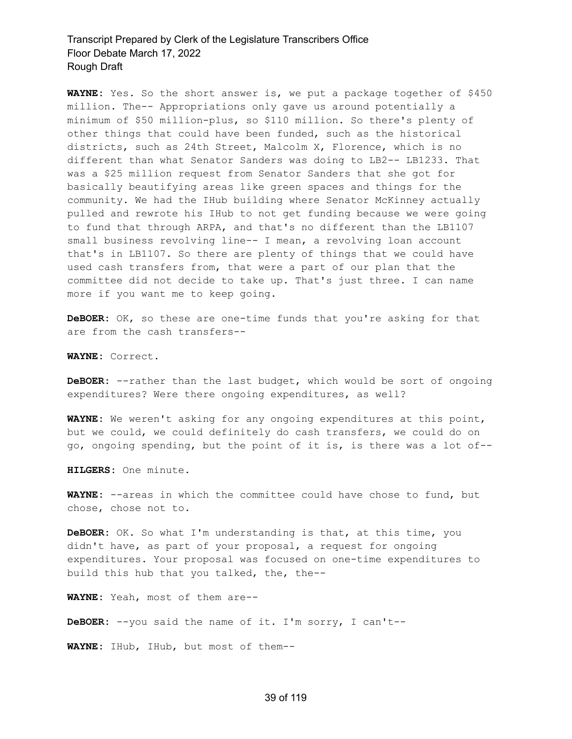**WAYNE:** Yes. So the short answer is, we put a package together of \$450 million. The-- Appropriations only gave us around potentially a minimum of \$50 million-plus, so \$110 million. So there's plenty of other things that could have been funded, such as the historical districts, such as 24th Street, Malcolm X, Florence, which is no different than what Senator Sanders was doing to LB2-- LB1233. That was a \$25 million request from Senator Sanders that she got for basically beautifying areas like green spaces and things for the community. We had the IHub building where Senator McKinney actually pulled and rewrote his IHub to not get funding because we were going to fund that through ARPA, and that's no different than the LB1107 small business revolving line-- I mean, a revolving loan account that's in LB1107. So there are plenty of things that we could have used cash transfers from, that were a part of our plan that the committee did not decide to take up. That's just three. I can name more if you want me to keep going.

**DeBOER:** OK, so these are one-time funds that you're asking for that are from the cash transfers--

**WAYNE:** Correct.

**DeBOER:** --rather than the last budget, which would be sort of ongoing expenditures? Were there ongoing expenditures, as well?

**WAYNE:** We weren't asking for any ongoing expenditures at this point, but we could, we could definitely do cash transfers, we could do on go, ongoing spending, but the point of it is, is there was a lot of--

**HILGERS:** One minute.

**WAYNE:** --areas in which the committee could have chose to fund, but chose, chose not to.

**DeBOER:** OK. So what I'm understanding is that, at this time, you didn't have, as part of your proposal, a request for ongoing expenditures. Your proposal was focused on one-time expenditures to build this hub that you talked, the, the--

**WAYNE:** Yeah, most of them are--

**DeBOER:** --you said the name of it. I'm sorry, I can't--

**WAYNE:** IHub, IHub, but most of them--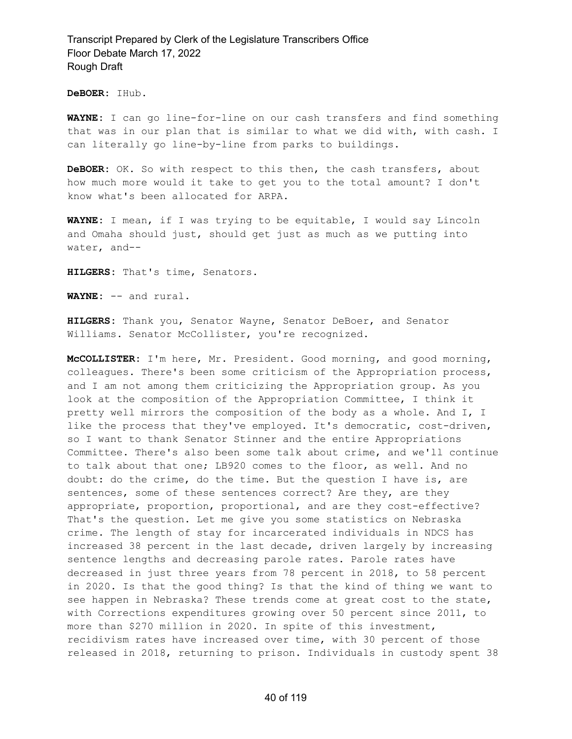**DeBOER:** IHub.

**WAYNE:** I can go line-for-line on our cash transfers and find something that was in our plan that is similar to what we did with, with cash. I can literally go line-by-line from parks to buildings.

**DeBOER:** OK. So with respect to this then, the cash transfers, about how much more would it take to get you to the total amount? I don't know what's been allocated for ARPA.

**WAYNE:** I mean, if I was trying to be equitable, I would say Lincoln and Omaha should just, should get just as much as we putting into water, and--

**HILGERS:** That's time, Senators.

**WAYNE:** -- and rural.

**HILGERS:** Thank you, Senator Wayne, Senator DeBoer, and Senator Williams. Senator McCollister, you're recognized.

**McCOLLISTER:** I'm here, Mr. President. Good morning, and good morning, colleagues. There's been some criticism of the Appropriation process, and I am not among them criticizing the Appropriation group. As you look at the composition of the Appropriation Committee, I think it pretty well mirrors the composition of the body as a whole. And I, I like the process that they've employed. It's democratic, cost-driven, so I want to thank Senator Stinner and the entire Appropriations Committee. There's also been some talk about crime, and we'll continue to talk about that one; LB920 comes to the floor, as well. And no doubt: do the crime, do the time. But the question I have is, are sentences, some of these sentences correct? Are they, are they appropriate, proportion, proportional, and are they cost-effective? That's the question. Let me give you some statistics on Nebraska crime. The length of stay for incarcerated individuals in NDCS has increased 38 percent in the last decade, driven largely by increasing sentence lengths and decreasing parole rates. Parole rates have decreased in just three years from 78 percent in 2018, to 58 percent in 2020. Is that the good thing? Is that the kind of thing we want to see happen in Nebraska? These trends come at great cost to the state, with Corrections expenditures growing over 50 percent since 2011, to more than \$270 million in 2020. In spite of this investment, recidivism rates have increased over time, with 30 percent of those released in 2018, returning to prison. Individuals in custody spent 38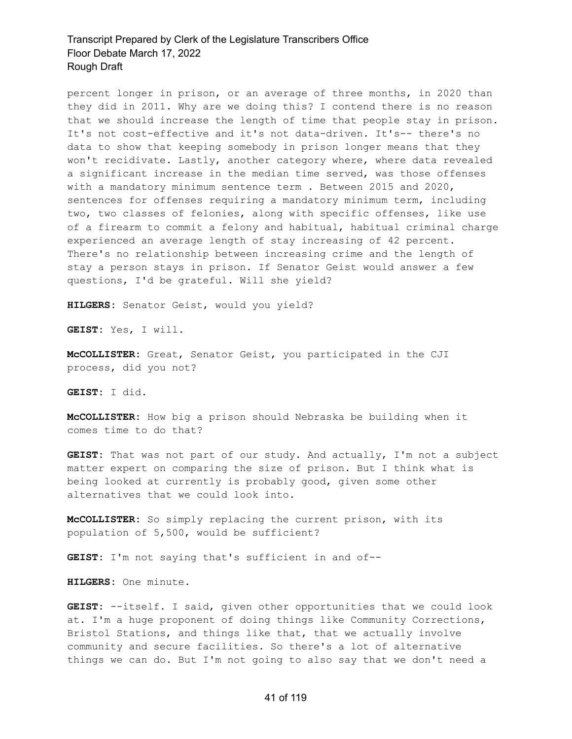percent longer in prison, or an average of three months, in 2020 than they did in 2011. Why are we doing this? I contend there is no reason that we should increase the length of time that people stay in prison. It's not cost-effective and it's not data-driven. It's-- there's no data to show that keeping somebody in prison longer means that they won't recidivate. Lastly, another category where, where data revealed a significant increase in the median time served, was those offenses with a mandatory minimum sentence term . Between 2015 and 2020, sentences for offenses requiring a mandatory minimum term, including two, two classes of felonies, along with specific offenses, like use of a firearm to commit a felony and habitual, habitual criminal charge experienced an average length of stay increasing of 42 percent. There's no relationship between increasing crime and the length of stay a person stays in prison. If Senator Geist would answer a few questions, I'd be grateful. Will she yield?

**HILGERS:** Senator Geist, would you yield?

**GEIST:** Yes, I will.

**McCOLLISTER:** Great, Senator Geist, you participated in the CJI process, did you not?

**GEIST:** I did.

**McCOLLISTER:** How big a prison should Nebraska be building when it comes time to do that?

**GEIST:** That was not part of our study. And actually, I'm not a subject matter expert on comparing the size of prison. But I think what is being looked at currently is probably good, given some other alternatives that we could look into.

**McCOLLISTER:** So simply replacing the current prison, with its population of 5,500, would be sufficient?

**GEIST:** I'm not saying that's sufficient in and of--

**HILGERS:** One minute.

**GEIST:** --itself. I said, given other opportunities that we could look at. I'm a huge proponent of doing things like Community Corrections, Bristol Stations, and things like that, that we actually involve community and secure facilities. So there's a lot of alternative things we can do. But I'm not going to also say that we don't need a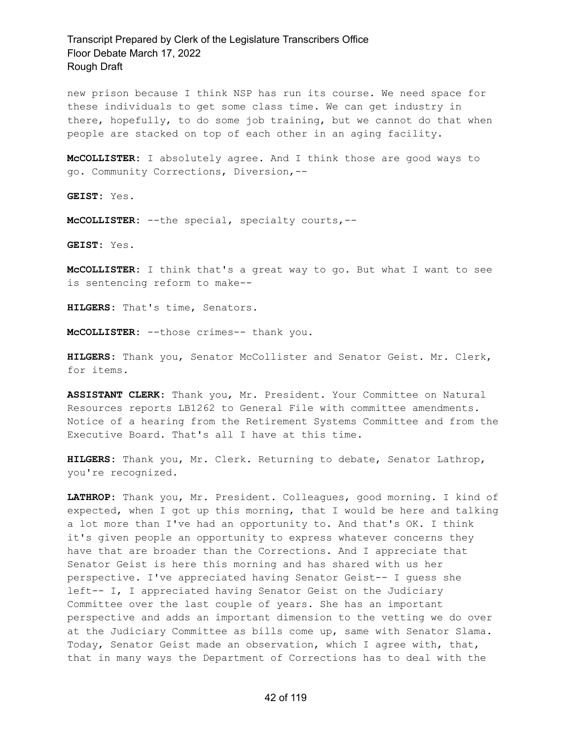new prison because I think NSP has run its course. We need space for these individuals to get some class time. We can get industry in there, hopefully, to do some job training, but we cannot do that when people are stacked on top of each other in an aging facility.

**McCOLLISTER:** I absolutely agree. And I think those are good ways to go. Community Corrections, Diversion,--

**GEIST:** Yes.

**McCOLLISTER:** --the special, specialty courts,--

**GEIST:** Yes.

**McCOLLISTER:** I think that's a great way to go. But what I want to see is sentencing reform to make--

**HILGERS:** That's time, Senators.

**McCOLLISTER:** --those crimes-- thank you.

**HILGERS:** Thank you, Senator McCollister and Senator Geist. Mr. Clerk, for items.

**ASSISTANT CLERK:** Thank you, Mr. President. Your Committee on Natural Resources reports LB1262 to General File with committee amendments. Notice of a hearing from the Retirement Systems Committee and from the Executive Board. That's all I have at this time.

**HILGERS:** Thank you, Mr. Clerk. Returning to debate, Senator Lathrop, you're recognized.

**LATHROP:** Thank you, Mr. President. Colleagues, good morning. I kind of expected, when I got up this morning, that I would be here and talking a lot more than I've had an opportunity to. And that's OK. I think it's given people an opportunity to express whatever concerns they have that are broader than the Corrections. And I appreciate that Senator Geist is here this morning and has shared with us her perspective. I've appreciated having Senator Geist-- I guess she left-- I, I appreciated having Senator Geist on the Judiciary Committee over the last couple of years. She has an important perspective and adds an important dimension to the vetting we do over at the Judiciary Committee as bills come up, same with Senator Slama. Today, Senator Geist made an observation, which I agree with, that, that in many ways the Department of Corrections has to deal with the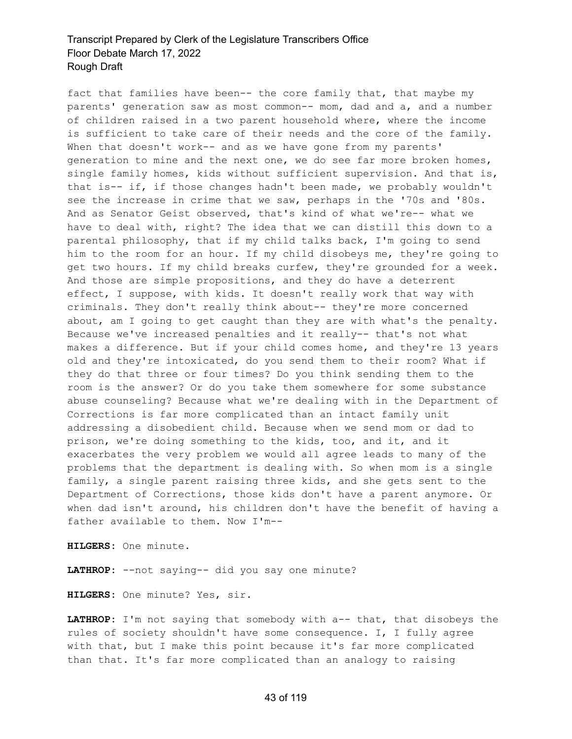fact that families have been-- the core family that, that maybe my parents' generation saw as most common-- mom, dad and a, and a number of children raised in a two parent household where, where the income is sufficient to take care of their needs and the core of the family. When that doesn't work-- and as we have gone from my parents' generation to mine and the next one, we do see far more broken homes, single family homes, kids without sufficient supervision. And that is, that is-- if, if those changes hadn't been made, we probably wouldn't see the increase in crime that we saw, perhaps in the '70s and '80s. And as Senator Geist observed, that's kind of what we're-- what we have to deal with, right? The idea that we can distill this down to a parental philosophy, that if my child talks back, I'm going to send him to the room for an hour. If my child disobeys me, they're going to get two hours. If my child breaks curfew, they're grounded for a week. And those are simple propositions, and they do have a deterrent effect, I suppose, with kids. It doesn't really work that way with criminals. They don't really think about-- they're more concerned about, am I going to get caught than they are with what's the penalty. Because we've increased penalties and it really-- that's not what makes a difference. But if your child comes home, and they're 13 years old and they're intoxicated, do you send them to their room? What if they do that three or four times? Do you think sending them to the room is the answer? Or do you take them somewhere for some substance abuse counseling? Because what we're dealing with in the Department of Corrections is far more complicated than an intact family unit addressing a disobedient child. Because when we send mom or dad to prison, we're doing something to the kids, too, and it, and it exacerbates the very problem we would all agree leads to many of the problems that the department is dealing with. So when mom is a single family, a single parent raising three kids, and she gets sent to the Department of Corrections, those kids don't have a parent anymore. Or when dad isn't around, his children don't have the benefit of having a father available to them. Now I'm--

**HILGERS:** One minute.

**LATHROP:** --not saying-- did you say one minute?

**HILGERS:** One minute? Yes, sir.

**LATHROP:** I'm not saying that somebody with a-- that, that disobeys the rules of society shouldn't have some consequence. I, I fully agree with that, but I make this point because it's far more complicated than that. It's far more complicated than an analogy to raising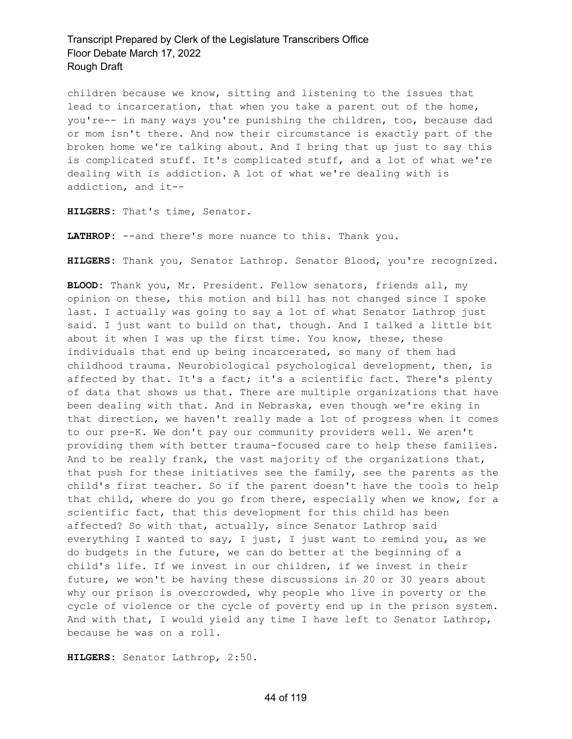children because we know, sitting and listening to the issues that lead to incarceration, that when you take a parent out of the home, you're-- in many ways you're punishing the children, too, because dad or mom isn't there. And now their circumstance is exactly part of the broken home we're talking about. And I bring that up just to say this is complicated stuff. It's complicated stuff, and a lot of what we're dealing with is addiction. A lot of what we're dealing with is addiction, and it--

**HILGERS:** That's time, Senator.

LATHROP: --and there's more nuance to this. Thank you.

**HILGERS:** Thank you, Senator Lathrop. Senator Blood, you're recognized.

**BLOOD:** Thank you, Mr. President. Fellow senators, friends all, my opinion on these, this motion and bill has not changed since I spoke last. I actually was going to say a lot of what Senator Lathrop just said. I just want to build on that, though. And I talked a little bit about it when I was up the first time. You know, these, these individuals that end up being incarcerated, so many of them had childhood trauma. Neurobiological psychological development, then, is affected by that. It's a fact; it's a scientific fact. There's plenty of data that shows us that. There are multiple organizations that have been dealing with that. And in Nebraska, even though we're eking in that direction, we haven't really made a lot of progress when it comes to our pre-K. We don't pay our community providers well. We aren't providing them with better trauma-focused care to help these families. And to be really frank, the vast majority of the organizations that, that push for these initiatives see the family, see the parents as the child's first teacher. So if the parent doesn't have the tools to help that child, where do you go from there, especially when we know, for a scientific fact, that this development for this child has been affected? So with that, actually, since Senator Lathrop said everything I wanted to say, I just, I just want to remind you, as we do budgets in the future, we can do better at the beginning of a child's life. If we invest in our children, if we invest in their future, we won't be having these discussions in 20 or 30 years about why our prison is overcrowded, why people who live in poverty or the cycle of violence or the cycle of poverty end up in the prison system. And with that, I would yield any time I have left to Senator Lathrop, because he was on a roll.

**HILGERS:** Senator Lathrop, 2:50.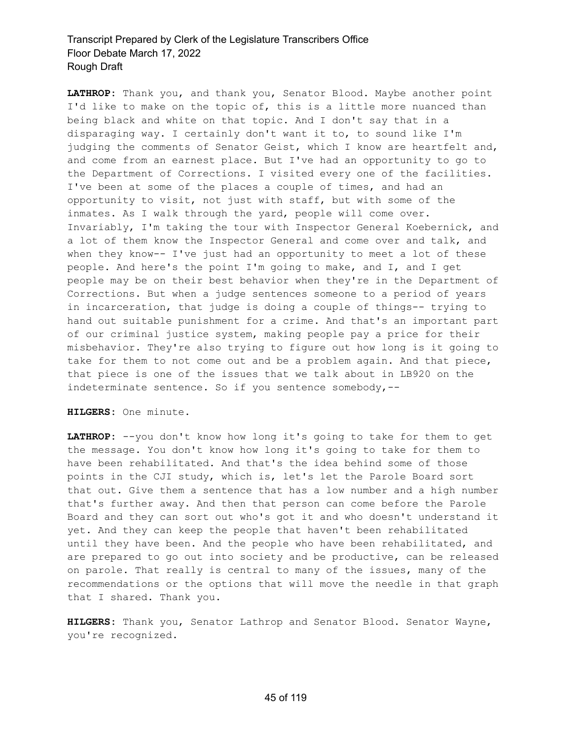**LATHROP:** Thank you, and thank you, Senator Blood. Maybe another point I'd like to make on the topic of, this is a little more nuanced than being black and white on that topic. And I don't say that in a disparaging way. I certainly don't want it to, to sound like I'm judging the comments of Senator Geist, which I know are heartfelt and, and come from an earnest place. But I've had an opportunity to go to the Department of Corrections. I visited every one of the facilities. I've been at some of the places a couple of times, and had an opportunity to visit, not just with staff, but with some of the inmates. As I walk through the yard, people will come over. Invariably, I'm taking the tour with Inspector General Koebernick, and a lot of them know the Inspector General and come over and talk, and when they know-- I've just had an opportunity to meet a lot of these people. And here's the point I'm going to make, and I, and I get people may be on their best behavior when they're in the Department of Corrections. But when a judge sentences someone to a period of years in incarceration, that judge is doing a couple of things-- trying to hand out suitable punishment for a crime. And that's an important part of our criminal justice system, making people pay a price for their misbehavior. They're also trying to figure out how long is it going to take for them to not come out and be a problem again. And that piece, that piece is one of the issues that we talk about in LB920 on the indeterminate sentence. So if you sentence somebody,--

**HILGERS:** One minute.

**LATHROP:** --you don't know how long it's going to take for them to get the message. You don't know how long it's going to take for them to have been rehabilitated. And that's the idea behind some of those points in the CJI study, which is, let's let the Parole Board sort that out. Give them a sentence that has a low number and a high number that's further away. And then that person can come before the Parole Board and they can sort out who's got it and who doesn't understand it yet. And they can keep the people that haven't been rehabilitated until they have been. And the people who have been rehabilitated, and are prepared to go out into society and be productive, can be released on parole. That really is central to many of the issues, many of the recommendations or the options that will move the needle in that graph that I shared. Thank you.

**HILGERS:** Thank you, Senator Lathrop and Senator Blood. Senator Wayne, you're recognized.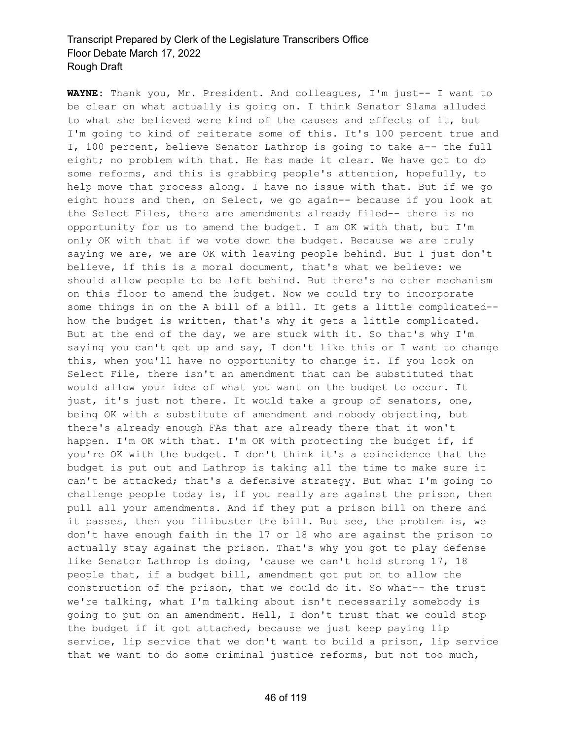**WAYNE:** Thank you, Mr. President. And colleagues, I'm just-- I want to be clear on what actually is going on. I think Senator Slama alluded to what she believed were kind of the causes and effects of it, but I'm going to kind of reiterate some of this. It's 100 percent true and I, 100 percent, believe Senator Lathrop is going to take a-- the full eight; no problem with that. He has made it clear. We have got to do some reforms, and this is grabbing people's attention, hopefully, to help move that process along. I have no issue with that. But if we go eight hours and then, on Select, we go again-- because if you look at the Select Files, there are amendments already filed-- there is no opportunity for us to amend the budget. I am OK with that, but I'm only OK with that if we vote down the budget. Because we are truly saying we are, we are OK with leaving people behind. But I just don't believe, if this is a moral document, that's what we believe: we should allow people to be left behind. But there's no other mechanism on this floor to amend the budget. Now we could try to incorporate some things in on the A bill of a bill. It gets a little complicated- how the budget is written, that's why it gets a little complicated. But at the end of the day, we are stuck with it. So that's why I'm saying you can't get up and say, I don't like this or I want to change this, when you'll have no opportunity to change it. If you look on Select File, there isn't an amendment that can be substituted that would allow your idea of what you want on the budget to occur. It just, it's just not there. It would take a group of senators, one, being OK with a substitute of amendment and nobody objecting, but there's already enough FAs that are already there that it won't happen. I'm OK with that. I'm OK with protecting the budget if, if you're OK with the budget. I don't think it's a coincidence that the budget is put out and Lathrop is taking all the time to make sure it can't be attacked; that's a defensive strategy. But what I'm going to challenge people today is, if you really are against the prison, then pull all your amendments. And if they put a prison bill on there and it passes, then you filibuster the bill. But see, the problem is, we don't have enough faith in the 17 or 18 who are against the prison to actually stay against the prison. That's why you got to play defense like Senator Lathrop is doing, 'cause we can't hold strong 17, 18 people that, if a budget bill, amendment got put on to allow the construction of the prison, that we could do it. So what-- the trust we're talking, what I'm talking about isn't necessarily somebody is going to put on an amendment. Hell, I don't trust that we could stop the budget if it got attached, because we just keep paying lip service, lip service that we don't want to build a prison, lip service that we want to do some criminal justice reforms, but not too much,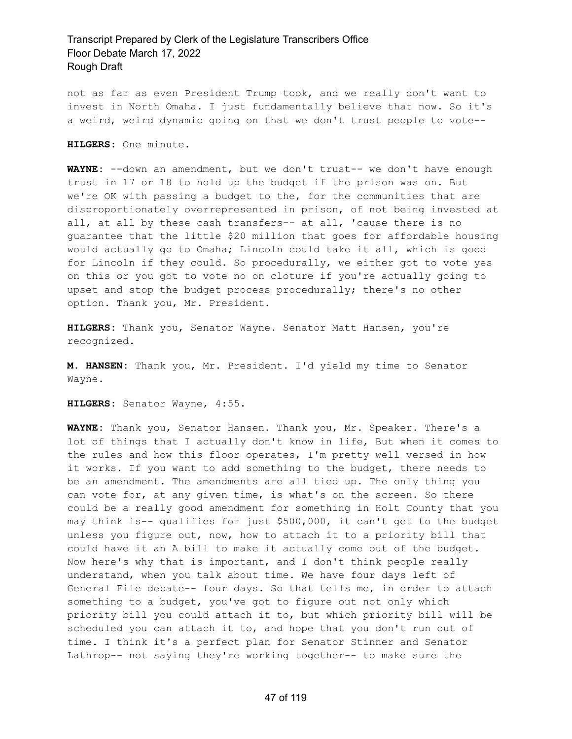not as far as even President Trump took, and we really don't want to invest in North Omaha. I just fundamentally believe that now. So it's a weird, weird dynamic going on that we don't trust people to vote--

**HILGERS:** One minute.

**WAYNE:** --down an amendment, but we don't trust-- we don't have enough trust in 17 or 18 to hold up the budget if the prison was on. But we're OK with passing a budget to the, for the communities that are disproportionately overrepresented in prison, of not being invested at all, at all by these cash transfers-- at all, 'cause there is no guarantee that the little \$20 million that goes for affordable housing would actually go to Omaha; Lincoln could take it all, which is good for Lincoln if they could. So procedurally, we either got to vote yes on this or you got to vote no on cloture if you're actually going to upset and stop the budget process procedurally; there's no other option. Thank you, Mr. President.

**HILGERS:** Thank you, Senator Wayne. Senator Matt Hansen, you're recognized.

**M. HANSEN:** Thank you, Mr. President. I'd yield my time to Senator Wayne.

**HILGERS:** Senator Wayne, 4:55.

**WAYNE:** Thank you, Senator Hansen. Thank you, Mr. Speaker. There's a lot of things that I actually don't know in life, But when it comes to the rules and how this floor operates, I'm pretty well versed in how it works. If you want to add something to the budget, there needs to be an amendment. The amendments are all tied up. The only thing you can vote for, at any given time, is what's on the screen. So there could be a really good amendment for something in Holt County that you may think is-- qualifies for just \$500,000, it can't get to the budget unless you figure out, now, how to attach it to a priority bill that could have it an A bill to make it actually come out of the budget. Now here's why that is important, and I don't think people really understand, when you talk about time. We have four days left of General File debate-- four days. So that tells me, in order to attach something to a budget, you've got to figure out not only which priority bill you could attach it to, but which priority bill will be scheduled you can attach it to, and hope that you don't run out of time. I think it's a perfect plan for Senator Stinner and Senator Lathrop-- not saying they're working together-- to make sure the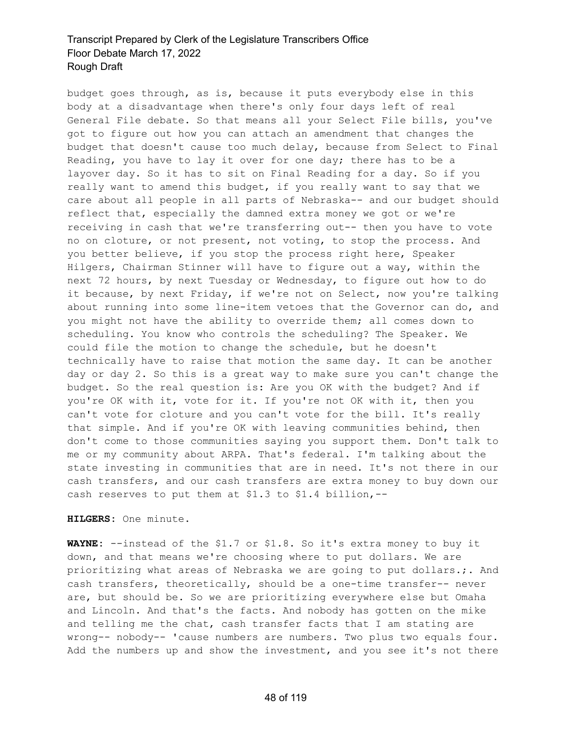budget goes through, as is, because it puts everybody else in this body at a disadvantage when there's only four days left of real General File debate. So that means all your Select File bills, you've got to figure out how you can attach an amendment that changes the budget that doesn't cause too much delay, because from Select to Final Reading, you have to lay it over for one day; there has to be a layover day. So it has to sit on Final Reading for a day. So if you really want to amend this budget, if you really want to say that we care about all people in all parts of Nebraska-- and our budget should reflect that, especially the damned extra money we got or we're receiving in cash that we're transferring out-- then you have to vote no on cloture, or not present, not voting, to stop the process. And you better believe, if you stop the process right here, Speaker Hilgers, Chairman Stinner will have to figure out a way, within the next 72 hours, by next Tuesday or Wednesday, to figure out how to do it because, by next Friday, if we're not on Select, now you're talking about running into some line-item vetoes that the Governor can do, and you might not have the ability to override them; all comes down to scheduling. You know who controls the scheduling? The Speaker. We could file the motion to change the schedule, but he doesn't technically have to raise that motion the same day. It can be another day or day 2. So this is a great way to make sure you can't change the budget. So the real question is: Are you OK with the budget? And if you're OK with it, vote for it. If you're not OK with it, then you can't vote for cloture and you can't vote for the bill. It's really that simple. And if you're OK with leaving communities behind, then don't come to those communities saying you support them. Don't talk to me or my community about ARPA. That's federal. I'm talking about the state investing in communities that are in need. It's not there in our cash transfers, and our cash transfers are extra money to buy down our cash reserves to put them at \$1.3 to \$1.4 billion,--

**HILGERS:** One minute.

**WAYNE:** --instead of the \$1.7 or \$1.8. So it's extra money to buy it down, and that means we're choosing where to put dollars. We are prioritizing what areas of Nebraska we are going to put dollars.;. And cash transfers, theoretically, should be a one-time transfer-- never are, but should be. So we are prioritizing everywhere else but Omaha and Lincoln. And that's the facts. And nobody has gotten on the mike and telling me the chat, cash transfer facts that I am stating are wrong-- nobody-- 'cause numbers are numbers. Two plus two equals four. Add the numbers up and show the investment, and you see it's not there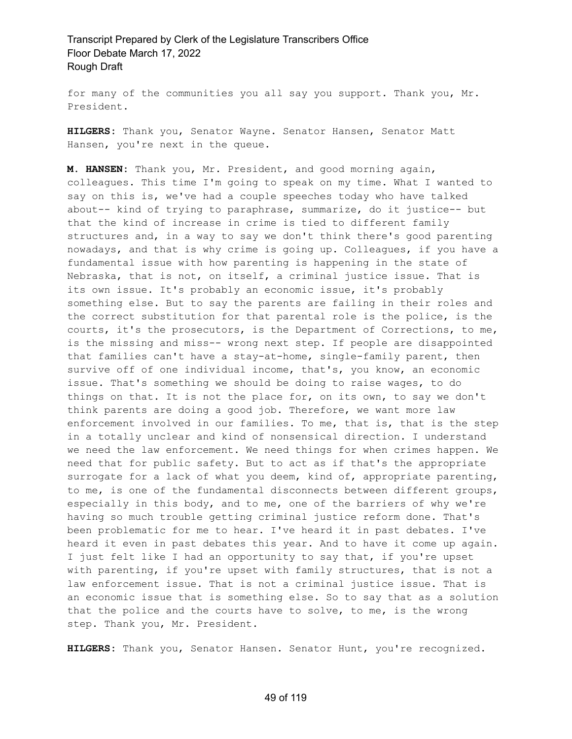for many of the communities you all say you support. Thank you, Mr. President.

**HILGERS:** Thank you, Senator Wayne. Senator Hansen, Senator Matt Hansen, you're next in the queue.

**M. HANSEN:** Thank you, Mr. President, and good morning again, colleagues. This time I'm going to speak on my time. What I wanted to say on this is, we've had a couple speeches today who have talked about-- kind of trying to paraphrase, summarize, do it justice-- but that the kind of increase in crime is tied to different family structures and, in a way to say we don't think there's good parenting nowadays, and that is why crime is going up. Colleagues, if you have a fundamental issue with how parenting is happening in the state of Nebraska, that is not, on itself, a criminal justice issue. That is its own issue. It's probably an economic issue, it's probably something else. But to say the parents are failing in their roles and the correct substitution for that parental role is the police, is the courts, it's the prosecutors, is the Department of Corrections, to me, is the missing and miss-- wrong next step. If people are disappointed that families can't have a stay-at-home, single-family parent, then survive off of one individual income, that's, you know, an economic issue. That's something we should be doing to raise wages, to do things on that. It is not the place for, on its own, to say we don't think parents are doing a good job. Therefore, we want more law enforcement involved in our families. To me, that is, that is the step in a totally unclear and kind of nonsensical direction. I understand we need the law enforcement. We need things for when crimes happen. We need that for public safety. But to act as if that's the appropriate surrogate for a lack of what you deem, kind of, appropriate parenting, to me, is one of the fundamental disconnects between different groups, especially in this body, and to me, one of the barriers of why we're having so much trouble getting criminal justice reform done. That's been problematic for me to hear. I've heard it in past debates. I've heard it even in past debates this year. And to have it come up again. I just felt like I had an opportunity to say that, if you're upset with parenting, if you're upset with family structures, that is not a law enforcement issue. That is not a criminal justice issue. That is an economic issue that is something else. So to say that as a solution that the police and the courts have to solve, to me, is the wrong step. Thank you, Mr. President.

**HILGERS:** Thank you, Senator Hansen. Senator Hunt, you're recognized.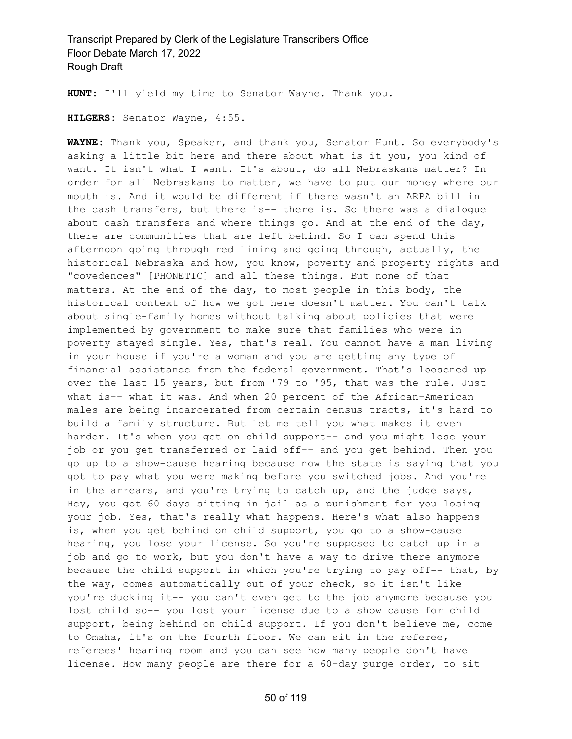**HUNT:** I'll yield my time to Senator Wayne. Thank you.

**HILGERS:** Senator Wayne, 4:55.

**WAYNE:** Thank you, Speaker, and thank you, Senator Hunt. So everybody's asking a little bit here and there about what is it you, you kind of want. It isn't what I want. It's about, do all Nebraskans matter? In order for all Nebraskans to matter, we have to put our money where our mouth is. And it would be different if there wasn't an ARPA bill in the cash transfers, but there is-- there is. So there was a dialogue about cash transfers and where things go. And at the end of the day, there are communities that are left behind. So I can spend this afternoon going through red lining and going through, actually, the historical Nebraska and how, you know, poverty and property rights and "covedences" [PHONETIC] and all these things. But none of that matters. At the end of the day, to most people in this body, the historical context of how we got here doesn't matter. You can't talk about single-family homes without talking about policies that were implemented by government to make sure that families who were in poverty stayed single. Yes, that's real. You cannot have a man living in your house if you're a woman and you are getting any type of financial assistance from the federal government. That's loosened up over the last 15 years, but from '79 to '95, that was the rule. Just what is-- what it was. And when 20 percent of the African-American males are being incarcerated from certain census tracts, it's hard to build a family structure. But let me tell you what makes it even harder. It's when you get on child support-- and you might lose your job or you get transferred or laid off-- and you get behind. Then you go up to a show-cause hearing because now the state is saying that you got to pay what you were making before you switched jobs. And you're in the arrears, and you're trying to catch up, and the judge says, Hey, you got 60 days sitting in jail as a punishment for you losing your job. Yes, that's really what happens. Here's what also happens is, when you get behind on child support, you go to a show-cause hearing, you lose your license. So you're supposed to catch up in a job and go to work, but you don't have a way to drive there anymore because the child support in which you're trying to pay off-- that, by the way, comes automatically out of your check, so it isn't like you're ducking it-- you can't even get to the job anymore because you lost child so-- you lost your license due to a show cause for child support, being behind on child support. If you don't believe me, come to Omaha, it's on the fourth floor. We can sit in the referee, referees' hearing room and you can see how many people don't have license. How many people are there for a 60-day purge order, to sit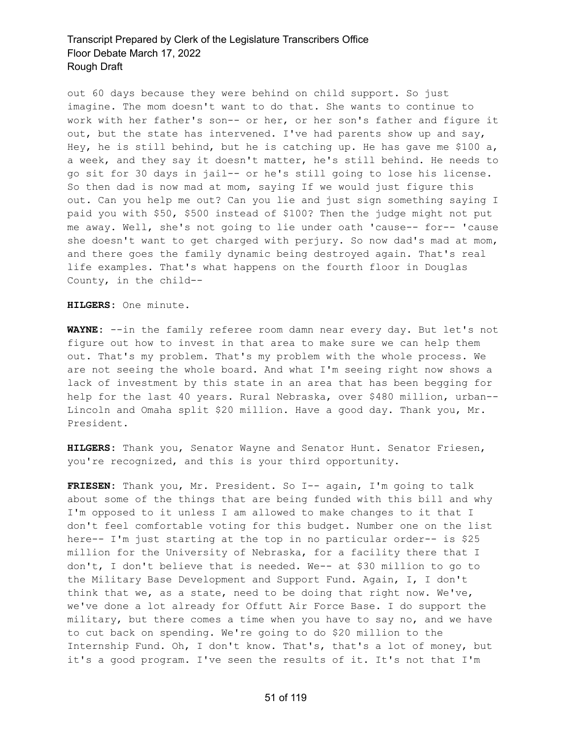out 60 days because they were behind on child support. So just imagine. The mom doesn't want to do that. She wants to continue to work with her father's son-- or her, or her son's father and figure it out, but the state has intervened. I've had parents show up and say, Hey, he is still behind, but he is catching up. He has gave me \$100 a, a week, and they say it doesn't matter, he's still behind. He needs to go sit for 30 days in jail-- or he's still going to lose his license. So then dad is now mad at mom, saying If we would just figure this out. Can you help me out? Can you lie and just sign something saying I paid you with \$50, \$500 instead of \$100? Then the judge might not put me away. Well, she's not going to lie under oath 'cause-- for-- 'cause she doesn't want to get charged with perjury. So now dad's mad at mom, and there goes the family dynamic being destroyed again. That's real life examples. That's what happens on the fourth floor in Douglas County, in the child--

**HILGERS:** One minute.

**WAYNE:** --in the family referee room damn near every day. But let's not figure out how to invest in that area to make sure we can help them out. That's my problem. That's my problem with the whole process. We are not seeing the whole board. And what I'm seeing right now shows a lack of investment by this state in an area that has been begging for help for the last 40 years. Rural Nebraska, over \$480 million, urban-- Lincoln and Omaha split \$20 million. Have a good day. Thank you, Mr. President.

**HILGERS:** Thank you, Senator Wayne and Senator Hunt. Senator Friesen, you're recognized, and this is your third opportunity.

**FRIESEN:** Thank you, Mr. President. So I-- again, I'm going to talk about some of the things that are being funded with this bill and why I'm opposed to it unless I am allowed to make changes to it that I don't feel comfortable voting for this budget. Number one on the list here-- I'm just starting at the top in no particular order-- is \$25 million for the University of Nebraska, for a facility there that I don't, I don't believe that is needed. We-- at \$30 million to go to the Military Base Development and Support Fund. Again, I, I don't think that we, as a state, need to be doing that right now. We've, we've done a lot already for Offutt Air Force Base. I do support the military, but there comes a time when you have to say no, and we have to cut back on spending. We're going to do \$20 million to the Internship Fund. Oh, I don't know. That's, that's a lot of money, but it's a good program. I've seen the results of it. It's not that I'm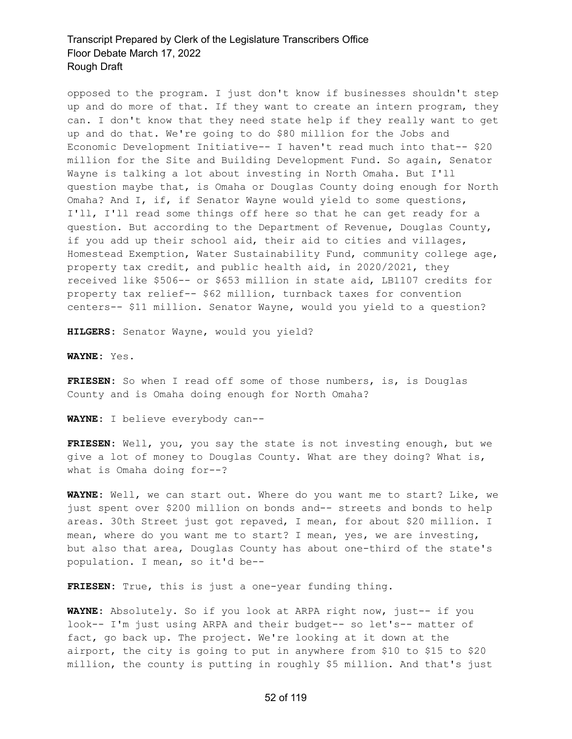opposed to the program. I just don't know if businesses shouldn't step up and do more of that. If they want to create an intern program, they can. I don't know that they need state help if they really want to get up and do that. We're going to do \$80 million for the Jobs and Economic Development Initiative-- I haven't read much into that-- \$20 million for the Site and Building Development Fund. So again, Senator Wayne is talking a lot about investing in North Omaha. But I'll question maybe that, is Omaha or Douglas County doing enough for North Omaha? And I, if, if Senator Wayne would yield to some questions, I'll, I'll read some things off here so that he can get ready for a question. But according to the Department of Revenue, Douglas County, if you add up their school aid, their aid to cities and villages, Homestead Exemption, Water Sustainability Fund, community college age, property tax credit, and public health aid, in 2020/2021, they received like \$506-- or \$653 million in state aid, LB1107 credits for property tax relief-- \$62 million, turnback taxes for convention centers-- \$11 million. Senator Wayne, would you yield to a question?

**HILGERS:** Senator Wayne, would you yield?

**WAYNE:** Yes.

**FRIESEN:** So when I read off some of those numbers, is, is Douglas County and is Omaha doing enough for North Omaha?

**WAYNE:** I believe everybody can--

**FRIESEN:** Well, you, you say the state is not investing enough, but we give a lot of money to Douglas County. What are they doing? What is, what is Omaha doing for--?

**WAYNE:** Well, we can start out. Where do you want me to start? Like, we just spent over \$200 million on bonds and-- streets and bonds to help areas. 30th Street just got repaved, I mean, for about \$20 million. I mean, where do you want me to start? I mean, yes, we are investing, but also that area, Douglas County has about one-third of the state's population. I mean, so it'd be--

**FRIESEN:** True, this is just a one-year funding thing.

**WAYNE:** Absolutely. So if you look at ARPA right now, just-- if you look-- I'm just using ARPA and their budget-- so let's-- matter of fact, go back up. The project. We're looking at it down at the airport, the city is going to put in anywhere from \$10 to \$15 to \$20 million, the county is putting in roughly \$5 million. And that's just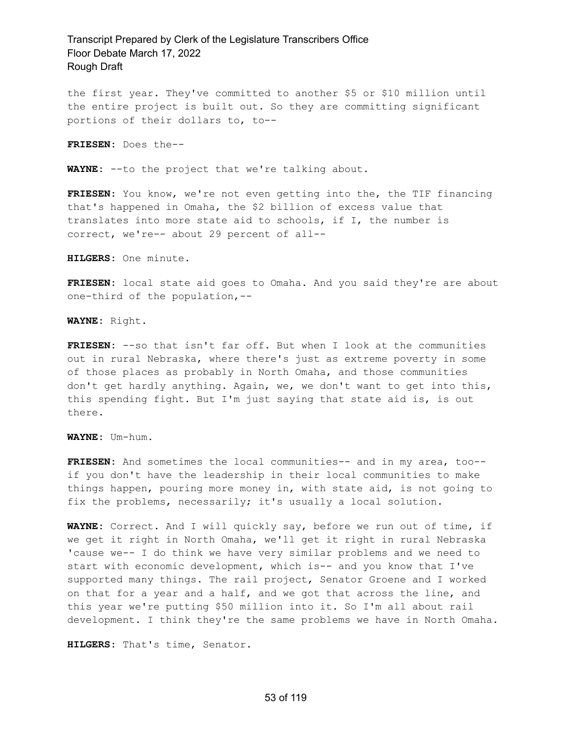the first year. They've committed to another \$5 or \$10 million until the entire project is built out. So they are committing significant portions of their dollars to, to--

**FRIESEN:** Does the--

**WAYNE:** --to the project that we're talking about.

**FRIESEN:** You know, we're not even getting into the, the TIF financing that's happened in Omaha, the \$2 billion of excess value that translates into more state aid to schools, if I, the number is correct, we're-- about 29 percent of all--

**HILGERS:** One minute.

**FRIESEN:** local state aid goes to Omaha. And you said they're are about one-third of the population,--

**WAYNE:** Right.

**FRIESEN:** --so that isn't far off. But when I look at the communities out in rural Nebraska, where there's just as extreme poverty in some of those places as probably in North Omaha, and those communities don't get hardly anything. Again, we, we don't want to get into this, this spending fight. But I'm just saying that state aid is, is out there.

**WAYNE:** Um-hum.

**FRIESEN:** And sometimes the local communities-- and in my area, too- if you don't have the leadership in their local communities to make things happen, pouring more money in, with state aid, is not going to fix the problems, necessarily; it's usually a local solution.

**WAYNE:** Correct. And I will quickly say, before we run out of time, if we get it right in North Omaha, we'll get it right in rural Nebraska 'cause we-- I do think we have very similar problems and we need to start with economic development, which is-- and you know that I've supported many things. The rail project, Senator Groene and I worked on that for a year and a half, and we got that across the line, and this year we're putting \$50 million into it. So I'm all about rail development. I think they're the same problems we have in North Omaha.

**HILGERS:** That's time, Senator.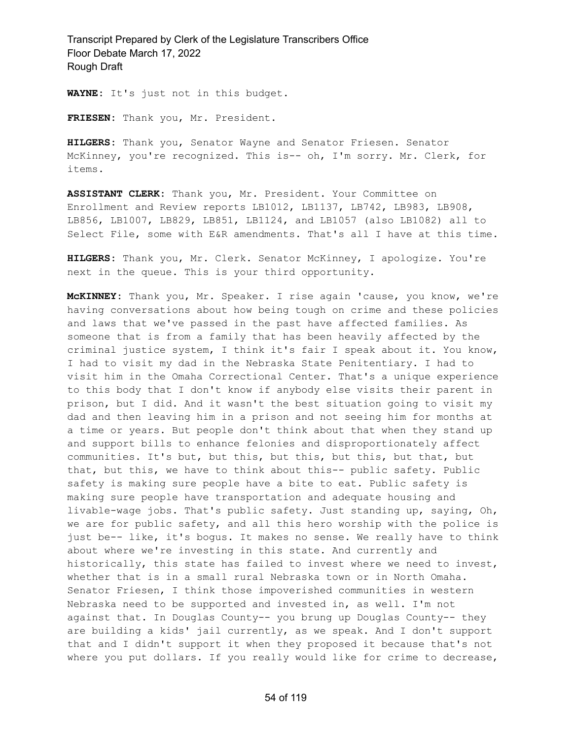**WAYNE:** It's just not in this budget.

**FRIESEN:** Thank you, Mr. President.

**HILGERS:** Thank you, Senator Wayne and Senator Friesen. Senator McKinney, you're recognized. This is-- oh, I'm sorry. Mr. Clerk, for items.

**ASSISTANT CLERK:** Thank you, Mr. President. Your Committee on Enrollment and Review reports LB1012, LB1137, LB742, LB983, LB908, LB856, LB1007, LB829, LB851, LB1124, and LB1057 (also LB1082) all to Select File, some with E&R amendments. That's all I have at this time.

**HILGERS:** Thank you, Mr. Clerk. Senator McKinney, I apologize. You're next in the queue. This is your third opportunity.

**McKINNEY:** Thank you, Mr. Speaker. I rise again 'cause, you know, we're having conversations about how being tough on crime and these policies and laws that we've passed in the past have affected families. As someone that is from a family that has been heavily affected by the criminal justice system, I think it's fair I speak about it. You know, I had to visit my dad in the Nebraska State Penitentiary. I had to visit him in the Omaha Correctional Center. That's a unique experience to this body that I don't know if anybody else visits their parent in prison, but I did. And it wasn't the best situation going to visit my dad and then leaving him in a prison and not seeing him for months at a time or years. But people don't think about that when they stand up and support bills to enhance felonies and disproportionately affect communities. It's but, but this, but this, but this, but that, but that, but this, we have to think about this-- public safety. Public safety is making sure people have a bite to eat. Public safety is making sure people have transportation and adequate housing and livable-wage jobs. That's public safety. Just standing up, saying, Oh, we are for public safety, and all this hero worship with the police is just be-- like, it's bogus. It makes no sense. We really have to think about where we're investing in this state. And currently and historically, this state has failed to invest where we need to invest, whether that is in a small rural Nebraska town or in North Omaha. Senator Friesen, I think those impoverished communities in western Nebraska need to be supported and invested in, as well. I'm not against that. In Douglas County-- you brung up Douglas County-- they are building a kids' jail currently, as we speak. And I don't support that and I didn't support it when they proposed it because that's not where you put dollars. If you really would like for crime to decrease,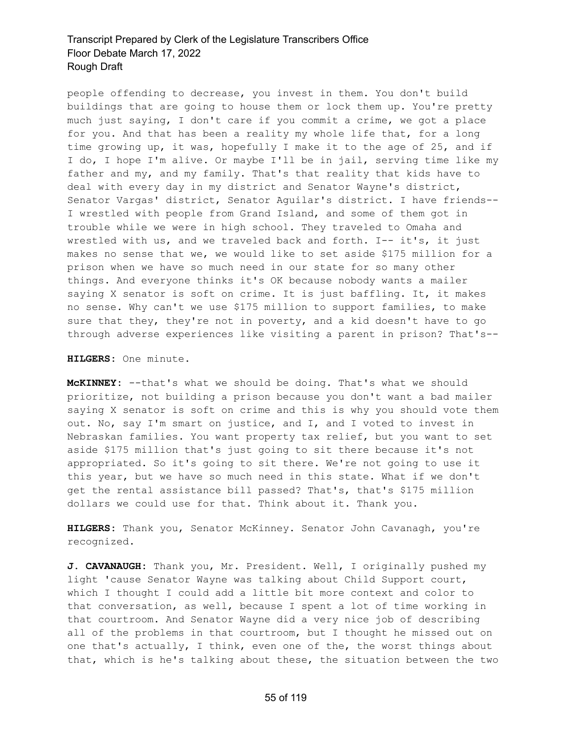people offending to decrease, you invest in them. You don't build buildings that are going to house them or lock them up. You're pretty much just saying, I don't care if you commit a crime, we got a place for you. And that has been a reality my whole life that, for a long time growing up, it was, hopefully I make it to the age of 25, and if I do, I hope I'm alive. Or maybe I'll be in jail, serving time like my father and my, and my family. That's that reality that kids have to deal with every day in my district and Senator Wayne's district, Senator Vargas' district, Senator Aguilar's district. I have friends-- I wrestled with people from Grand Island, and some of them got in trouble while we were in high school. They traveled to Omaha and wrestled with us, and we traveled back and forth. I-- it's, it just makes no sense that we, we would like to set aside \$175 million for a prison when we have so much need in our state for so many other things. And everyone thinks it's OK because nobody wants a mailer saying X senator is soft on crime. It is just baffling. It, it makes no sense. Why can't we use \$175 million to support families, to make sure that they, they're not in poverty, and a kid doesn't have to go through adverse experiences like visiting a parent in prison? That's--

**HILGERS:** One minute.

**McKINNEY:** --that's what we should be doing. That's what we should prioritize, not building a prison because you don't want a bad mailer saying X senator is soft on crime and this is why you should vote them out. No, say I'm smart on justice, and I, and I voted to invest in Nebraskan families. You want property tax relief, but you want to set aside \$175 million that's just going to sit there because it's not appropriated. So it's going to sit there. We're not going to use it this year, but we have so much need in this state. What if we don't get the rental assistance bill passed? That's, that's \$175 million dollars we could use for that. Think about it. Thank you.

**HILGERS:** Thank you, Senator McKinney. Senator John Cavanagh, you're recognized.

**J. CAVANAUGH:** Thank you, Mr. President. Well, I originally pushed my light 'cause Senator Wayne was talking about Child Support court, which I thought I could add a little bit more context and color to that conversation, as well, because I spent a lot of time working in that courtroom. And Senator Wayne did a very nice job of describing all of the problems in that courtroom, but I thought he missed out on one that's actually, I think, even one of the, the worst things about that, which is he's talking about these, the situation between the two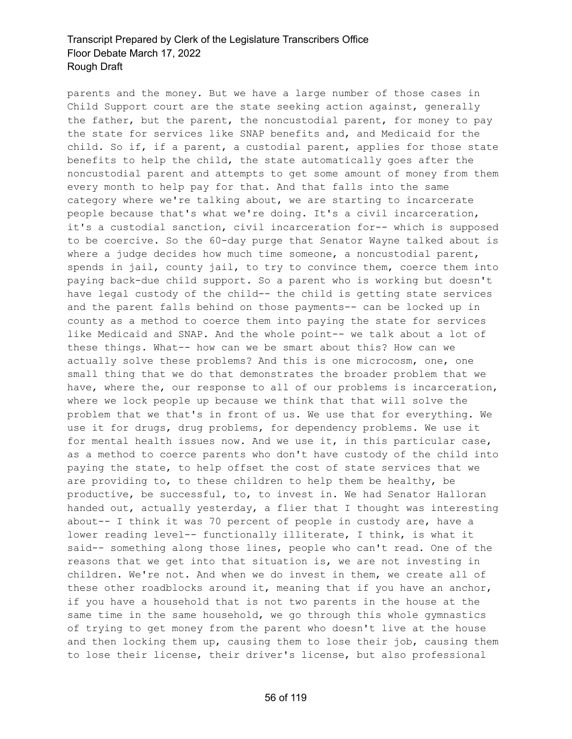parents and the money. But we have a large number of those cases in Child Support court are the state seeking action against, generally the father, but the parent, the noncustodial parent, for money to pay the state for services like SNAP benefits and, and Medicaid for the child. So if, if a parent, a custodial parent, applies for those state benefits to help the child, the state automatically goes after the noncustodial parent and attempts to get some amount of money from them every month to help pay for that. And that falls into the same category where we're talking about, we are starting to incarcerate people because that's what we're doing. It's a civil incarceration, it's a custodial sanction, civil incarceration for-- which is supposed to be coercive. So the 60-day purge that Senator Wayne talked about is where a judge decides how much time someone, a noncustodial parent, spends in jail, county jail, to try to convince them, coerce them into paying back-due child support. So a parent who is working but doesn't have legal custody of the child-- the child is getting state services and the parent falls behind on those payments-- can be locked up in county as a method to coerce them into paying the state for services like Medicaid and SNAP. And the whole point-- we talk about a lot of these things. What-- how can we be smart about this? How can we actually solve these problems? And this is one microcosm, one, one small thing that we do that demonstrates the broader problem that we have, where the, our response to all of our problems is incarceration, where we lock people up because we think that that will solve the problem that we that's in front of us. We use that for everything. We use it for drugs, drug problems, for dependency problems. We use it for mental health issues now. And we use it, in this particular case, as a method to coerce parents who don't have custody of the child into paying the state, to help offset the cost of state services that we are providing to, to these children to help them be healthy, be productive, be successful, to, to invest in. We had Senator Halloran handed out, actually yesterday, a flier that I thought was interesting about-- I think it was 70 percent of people in custody are, have a lower reading level-- functionally illiterate, I think, is what it said-- something along those lines, people who can't read. One of the reasons that we get into that situation is, we are not investing in children. We're not. And when we do invest in them, we create all of these other roadblocks around it, meaning that if you have an anchor, if you have a household that is not two parents in the house at the same time in the same household, we go through this whole gymnastics of trying to get money from the parent who doesn't live at the house and then locking them up, causing them to lose their job, causing them to lose their license, their driver's license, but also professional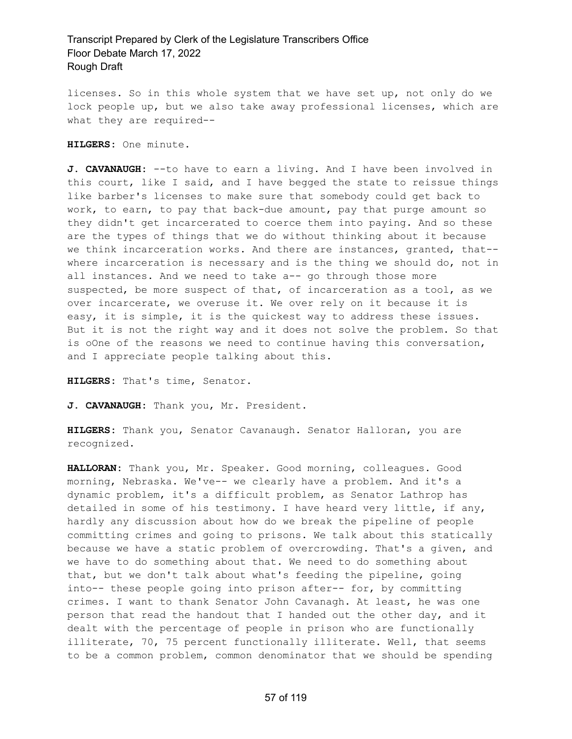licenses. So in this whole system that we have set up, not only do we lock people up, but we also take away professional licenses, which are what they are required--

**HILGERS:** One minute.

**J. CAVANAUGH:** --to have to earn a living. And I have been involved in this court, like I said, and I have begged the state to reissue things like barber's licenses to make sure that somebody could get back to work, to earn, to pay that back-due amount, pay that purge amount so they didn't get incarcerated to coerce them into paying. And so these are the types of things that we do without thinking about it because we think incarceration works. And there are instances, granted, that- where incarceration is necessary and is the thing we should do, not in all instances. And we need to take a-- go through those more suspected, be more suspect of that, of incarceration as a tool, as we over incarcerate, we overuse it. We over rely on it because it is easy, it is simple, it is the quickest way to address these issues. But it is not the right way and it does not solve the problem. So that is oOne of the reasons we need to continue having this conversation, and I appreciate people talking about this.

**HILGERS:** That's time, Senator.

**J. CAVANAUGH:** Thank you, Mr. President.

**HILGERS:** Thank you, Senator Cavanaugh. Senator Halloran, you are recognized.

**HALLORAN:** Thank you, Mr. Speaker. Good morning, colleagues. Good morning, Nebraska. We've-- we clearly have a problem. And it's a dynamic problem, it's a difficult problem, as Senator Lathrop has detailed in some of his testimony. I have heard very little, if any, hardly any discussion about how do we break the pipeline of people committing crimes and going to prisons. We talk about this statically because we have a static problem of overcrowding. That's a given, and we have to do something about that. We need to do something about that, but we don't talk about what's feeding the pipeline, going into-- these people going into prison after-- for, by committing crimes. I want to thank Senator John Cavanagh. At least, he was one person that read the handout that I handed out the other day, and it dealt with the percentage of people in prison who are functionally illiterate, 70, 75 percent functionally illiterate. Well, that seems to be a common problem, common denominator that we should be spending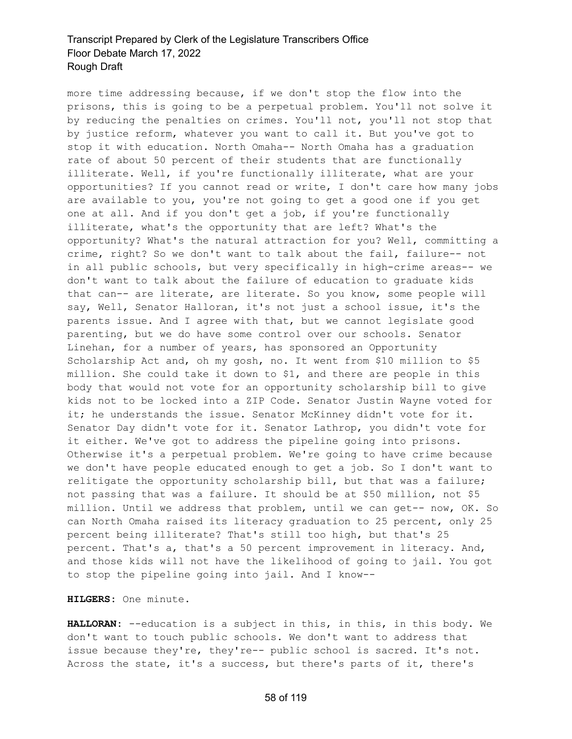more time addressing because, if we don't stop the flow into the prisons, this is going to be a perpetual problem. You'll not solve it by reducing the penalties on crimes. You'll not, you'll not stop that by justice reform, whatever you want to call it. But you've got to stop it with education. North Omaha-- North Omaha has a graduation rate of about 50 percent of their students that are functionally illiterate. Well, if you're functionally illiterate, what are your opportunities? If you cannot read or write, I don't care how many jobs are available to you, you're not going to get a good one if you get one at all. And if you don't get a job, if you're functionally illiterate, what's the opportunity that are left? What's the opportunity? What's the natural attraction for you? Well, committing a crime, right? So we don't want to talk about the fail, failure-- not in all public schools, but very specifically in high-crime areas-- we don't want to talk about the failure of education to graduate kids that can-- are literate, are literate. So you know, some people will say, Well, Senator Halloran, it's not just a school issue, it's the parents issue. And I agree with that, but we cannot legislate good parenting, but we do have some control over our schools. Senator Linehan, for a number of years, has sponsored an Opportunity Scholarship Act and, oh my gosh, no. It went from \$10 million to \$5 million. She could take it down to \$1, and there are people in this body that would not vote for an opportunity scholarship bill to give kids not to be locked into a ZIP Code. Senator Justin Wayne voted for it; he understands the issue. Senator McKinney didn't vote for it. Senator Day didn't vote for it. Senator Lathrop, you didn't vote for it either. We've got to address the pipeline going into prisons. Otherwise it's a perpetual problem. We're going to have crime because we don't have people educated enough to get a job. So I don't want to relitigate the opportunity scholarship bill, but that was a failure; not passing that was a failure. It should be at \$50 million, not \$5 million. Until we address that problem, until we can get-- now, OK. So can North Omaha raised its literacy graduation to 25 percent, only 25 percent being illiterate? That's still too high, but that's 25 percent. That's a, that's a 50 percent improvement in literacy. And, and those kids will not have the likelihood of going to jail. You got to stop the pipeline going into jail. And I know--

**HILGERS:** One minute.

**HALLORAN:** --education is a subject in this, in this, in this body. We don't want to touch public schools. We don't want to address that issue because they're, they're-- public school is sacred. It's not. Across the state, it's a success, but there's parts of it, there's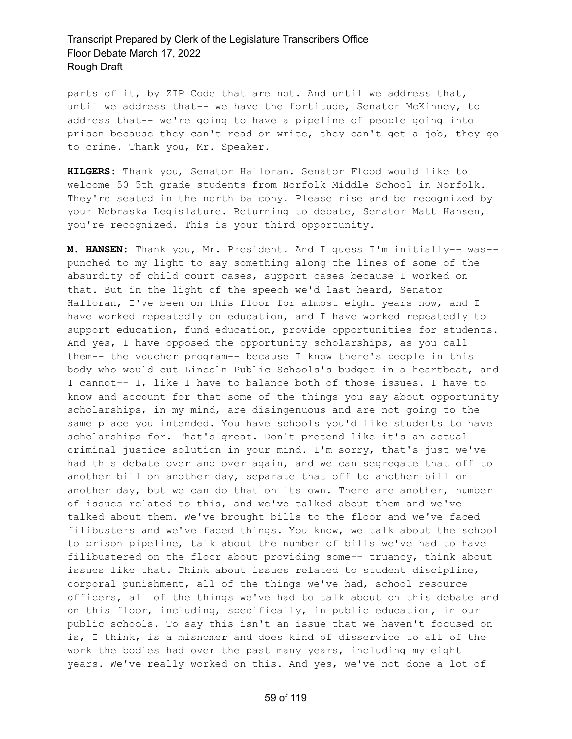parts of it, by ZIP Code that are not. And until we address that, until we address that-- we have the fortitude, Senator McKinney, to address that-- we're going to have a pipeline of people going into prison because they can't read or write, they can't get a job, they go to crime. Thank you, Mr. Speaker.

**HILGERS:** Thank you, Senator Halloran. Senator Flood would like to welcome 50 5th grade students from Norfolk Middle School in Norfolk. They're seated in the north balcony. Please rise and be recognized by your Nebraska Legislature. Returning to debate, Senator Matt Hansen, you're recognized. This is your third opportunity.

**M. HANSEN:** Thank you, Mr. President. And I guess I'm initially-- was- punched to my light to say something along the lines of some of the absurdity of child court cases, support cases because I worked on that. But in the light of the speech we'd last heard, Senator Halloran, I've been on this floor for almost eight years now, and I have worked repeatedly on education, and I have worked repeatedly to support education, fund education, provide opportunities for students. And yes, I have opposed the opportunity scholarships, as you call them-- the voucher program-- because I know there's people in this body who would cut Lincoln Public Schools's budget in a heartbeat, and I cannot-- I, like I have to balance both of those issues. I have to know and account for that some of the things you say about opportunity scholarships, in my mind, are disingenuous and are not going to the same place you intended. You have schools you'd like students to have scholarships for. That's great. Don't pretend like it's an actual criminal justice solution in your mind. I'm sorry, that's just we've had this debate over and over again, and we can segregate that off to another bill on another day, separate that off to another bill on another day, but we can do that on its own. There are another, number of issues related to this, and we've talked about them and we've talked about them. We've brought bills to the floor and we've faced filibusters and we've faced things. You know, we talk about the school to prison pipeline, talk about the number of bills we've had to have filibustered on the floor about providing some-- truancy, think about issues like that. Think about issues related to student discipline, corporal punishment, all of the things we've had, school resource officers, all of the things we've had to talk about on this debate and on this floor, including, specifically, in public education, in our public schools. To say this isn't an issue that we haven't focused on is, I think, is a misnomer and does kind of disservice to all of the work the bodies had over the past many years, including my eight years. We've really worked on this. And yes, we've not done a lot of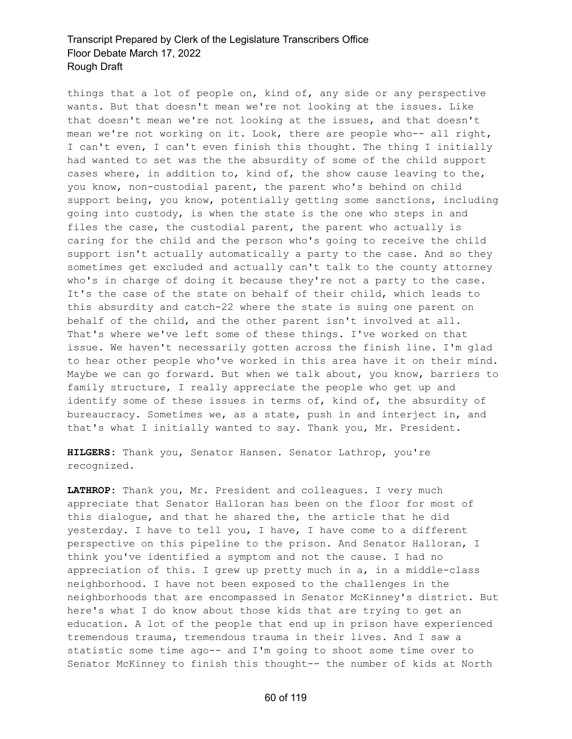things that a lot of people on, kind of, any side or any perspective wants. But that doesn't mean we're not looking at the issues. Like that doesn't mean we're not looking at the issues, and that doesn't mean we're not working on it. Look, there are people who-- all right, I can't even, I can't even finish this thought. The thing I initially had wanted to set was the the absurdity of some of the child support cases where, in addition to, kind of, the show cause leaving to the, you know, non-custodial parent, the parent who's behind on child support being, you know, potentially getting some sanctions, including going into custody, is when the state is the one who steps in and files the case, the custodial parent, the parent who actually is caring for the child and the person who's going to receive the child support isn't actually automatically a party to the case. And so they sometimes get excluded and actually can't talk to the county attorney who's in charge of doing it because they're not a party to the case. It's the case of the state on behalf of their child, which leads to this absurdity and catch-22 where the state is suing one parent on behalf of the child, and the other parent isn't involved at all. That's where we've left some of these things. I've worked on that issue. We haven't necessarily gotten across the finish line. I'm glad to hear other people who've worked in this area have it on their mind. Maybe we can go forward. But when we talk about, you know, barriers to family structure, I really appreciate the people who get up and identify some of these issues in terms of, kind of, the absurdity of bureaucracy. Sometimes we, as a state, push in and interject in, and that's what I initially wanted to say. Thank you, Mr. President.

**HILGERS:** Thank you, Senator Hansen. Senator Lathrop, you're recognized.

**LATHROP:** Thank you, Mr. President and colleagues. I very much appreciate that Senator Halloran has been on the floor for most of this dialogue, and that he shared the, the article that he did yesterday. I have to tell you, I have, I have come to a different perspective on this pipeline to the prison. And Senator Halloran, I think you've identified a symptom and not the cause. I had no appreciation of this. I grew up pretty much in a, in a middle-class neighborhood. I have not been exposed to the challenges in the neighborhoods that are encompassed in Senator McKinney's district. But here's what I do know about those kids that are trying to get an education. A lot of the people that end up in prison have experienced tremendous trauma, tremendous trauma in their lives. And I saw a statistic some time ago-- and I'm going to shoot some time over to Senator McKinney to finish this thought-- the number of kids at North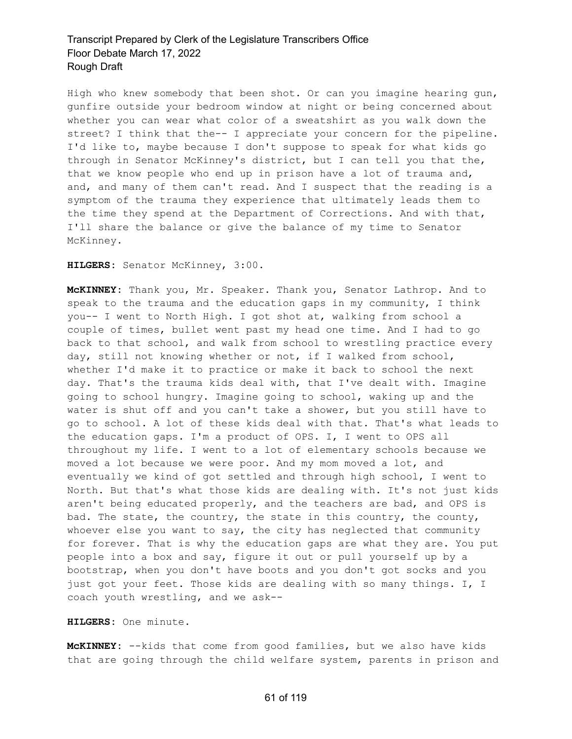High who knew somebody that been shot. Or can you imagine hearing gun, gunfire outside your bedroom window at night or being concerned about whether you can wear what color of a sweatshirt as you walk down the street? I think that the-- I appreciate your concern for the pipeline. I'd like to, maybe because I don't suppose to speak for what kids go through in Senator McKinney's district, but I can tell you that the, that we know people who end up in prison have a lot of trauma and, and, and many of them can't read. And I suspect that the reading is a symptom of the trauma they experience that ultimately leads them to the time they spend at the Department of Corrections. And with that, I'll share the balance or give the balance of my time to Senator McKinney.

**HILGERS:** Senator McKinney, 3:00.

**McKINNEY:** Thank you, Mr. Speaker. Thank you, Senator Lathrop. And to speak to the trauma and the education gaps in my community, I think you-- I went to North High. I got shot at, walking from school a couple of times, bullet went past my head one time. And I had to go back to that school, and walk from school to wrestling practice every day, still not knowing whether or not, if I walked from school, whether I'd make it to practice or make it back to school the next day. That's the trauma kids deal with, that I've dealt with. Imagine going to school hungry. Imagine going to school, waking up and the water is shut off and you can't take a shower, but you still have to go to school. A lot of these kids deal with that. That's what leads to the education gaps. I'm a product of OPS. I, I went to OPS all throughout my life. I went to a lot of elementary schools because we moved a lot because we were poor. And my mom moved a lot, and eventually we kind of got settled and through high school, I went to North. But that's what those kids are dealing with. It's not just kids aren't being educated properly, and the teachers are bad, and OPS is bad. The state, the country, the state in this country, the county, whoever else you want to say, the city has neglected that community for forever. That is why the education gaps are what they are. You put people into a box and say, figure it out or pull yourself up by a bootstrap, when you don't have boots and you don't got socks and you just got your feet. Those kids are dealing with so many things. I, I coach youth wrestling, and we ask--

**HILGERS:** One minute.

**McKINNEY:** --kids that come from good families, but we also have kids that are going through the child welfare system, parents in prison and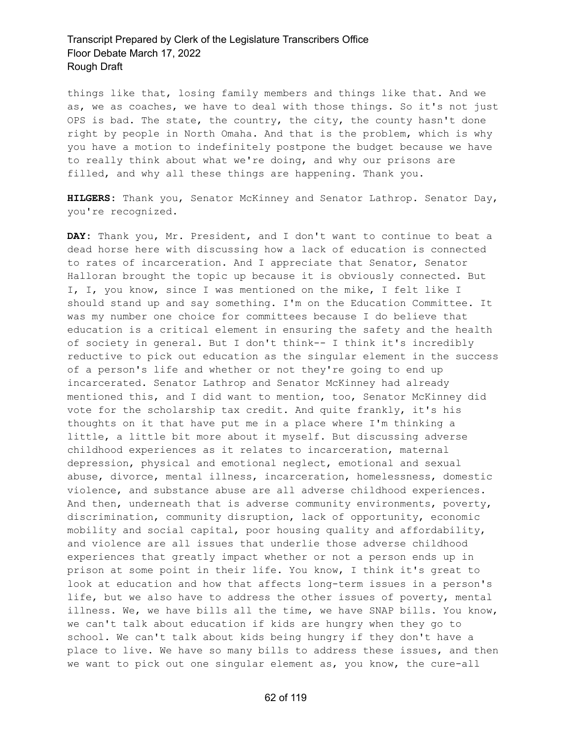things like that, losing family members and things like that. And we as, we as coaches, we have to deal with those things. So it's not just OPS is bad. The state, the country, the city, the county hasn't done right by people in North Omaha. And that is the problem, which is why you have a motion to indefinitely postpone the budget because we have to really think about what we're doing, and why our prisons are filled, and why all these things are happening. Thank you.

**HILGERS:** Thank you, Senator McKinney and Senator Lathrop. Senator Day, you're recognized.

**DAY:** Thank you, Mr. President, and I don't want to continue to beat a dead horse here with discussing how a lack of education is connected to rates of incarceration. And I appreciate that Senator, Senator Halloran brought the topic up because it is obviously connected. But I, I, you know, since I was mentioned on the mike, I felt like I should stand up and say something. I'm on the Education Committee. It was my number one choice for committees because I do believe that education is a critical element in ensuring the safety and the health of society in general. But I don't think-- I think it's incredibly reductive to pick out education as the singular element in the success of a person's life and whether or not they're going to end up incarcerated. Senator Lathrop and Senator McKinney had already mentioned this, and I did want to mention, too, Senator McKinney did vote for the scholarship tax credit. And quite frankly, it's his thoughts on it that have put me in a place where I'm thinking a little, a little bit more about it myself. But discussing adverse childhood experiences as it relates to incarceration, maternal depression, physical and emotional neglect, emotional and sexual abuse, divorce, mental illness, incarceration, homelessness, domestic violence, and substance abuse are all adverse childhood experiences. And then, underneath that is adverse community environments, poverty, discrimination, community disruption, lack of opportunity, economic mobility and social capital, poor housing quality and affordability, and violence are all issues that underlie those adverse childhood experiences that greatly impact whether or not a person ends up in prison at some point in their life. You know, I think it's great to look at education and how that affects long-term issues in a person's life, but we also have to address the other issues of poverty, mental illness. We, we have bills all the time, we have SNAP bills. You know, we can't talk about education if kids are hungry when they go to school. We can't talk about kids being hungry if they don't have a place to live. We have so many bills to address these issues, and then we want to pick out one singular element as, you know, the cure-all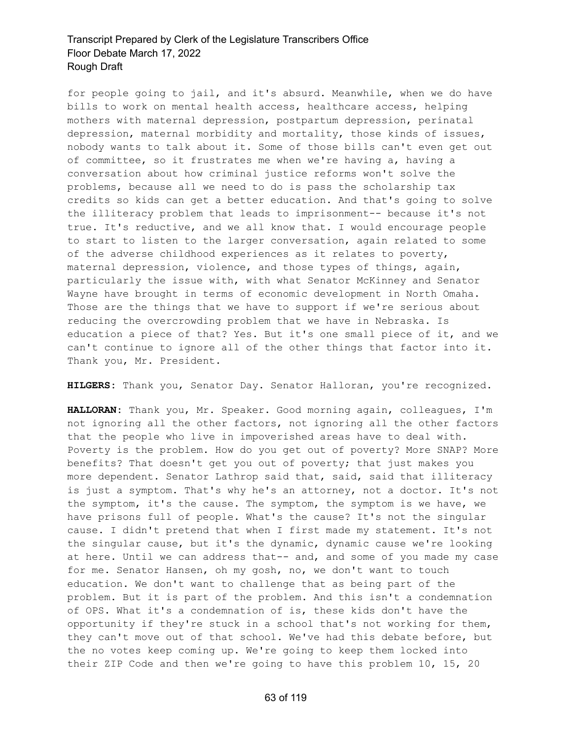for people going to jail, and it's absurd. Meanwhile, when we do have bills to work on mental health access, healthcare access, helping mothers with maternal depression, postpartum depression, perinatal depression, maternal morbidity and mortality, those kinds of issues, nobody wants to talk about it. Some of those bills can't even get out of committee, so it frustrates me when we're having a, having a conversation about how criminal justice reforms won't solve the problems, because all we need to do is pass the scholarship tax credits so kids can get a better education. And that's going to solve the illiteracy problem that leads to imprisonment-- because it's not true. It's reductive, and we all know that. I would encourage people to start to listen to the larger conversation, again related to some of the adverse childhood experiences as it relates to poverty, maternal depression, violence, and those types of things, again, particularly the issue with, with what Senator McKinney and Senator Wayne have brought in terms of economic development in North Omaha. Those are the things that we have to support if we're serious about reducing the overcrowding problem that we have in Nebraska. Is education a piece of that? Yes. But it's one small piece of it, and we can't continue to ignore all of the other things that factor into it. Thank you, Mr. President.

**HILGERS:** Thank you, Senator Day. Senator Halloran, you're recognized.

**HALLORAN:** Thank you, Mr. Speaker. Good morning again, colleagues, I'm not ignoring all the other factors, not ignoring all the other factors that the people who live in impoverished areas have to deal with. Poverty is the problem. How do you get out of poverty? More SNAP? More benefits? That doesn't get you out of poverty; that just makes you more dependent. Senator Lathrop said that, said, said that illiteracy is just a symptom. That's why he's an attorney, not a doctor. It's not the symptom, it's the cause. The symptom, the symptom is we have, we have prisons full of people. What's the cause? It's not the singular cause. I didn't pretend that when I first made my statement. It's not the singular cause, but it's the dynamic, dynamic cause we're looking at here. Until we can address that-- and, and some of you made my case for me. Senator Hansen, oh my gosh, no, we don't want to touch education. We don't want to challenge that as being part of the problem. But it is part of the problem. And this isn't a condemnation of OPS. What it's a condemnation of is, these kids don't have the opportunity if they're stuck in a school that's not working for them, they can't move out of that school. We've had this debate before, but the no votes keep coming up. We're going to keep them locked into their ZIP Code and then we're going to have this problem 10, 15, 20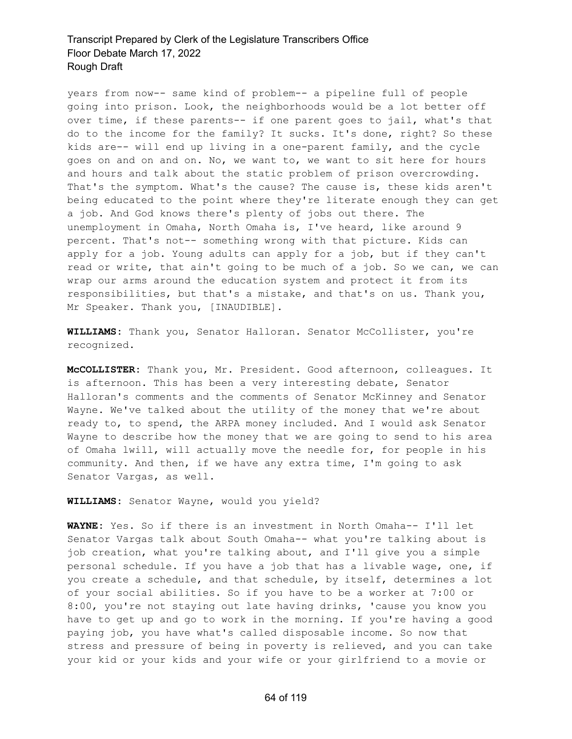years from now-- same kind of problem-- a pipeline full of people going into prison. Look, the neighborhoods would be a lot better off over time, if these parents-- if one parent goes to jail, what's that do to the income for the family? It sucks. It's done, right? So these kids are-- will end up living in a one-parent family, and the cycle goes on and on and on. No, we want to, we want to sit here for hours and hours and talk about the static problem of prison overcrowding. That's the symptom. What's the cause? The cause is, these kids aren't being educated to the point where they're literate enough they can get a job. And God knows there's plenty of jobs out there. The unemployment in Omaha, North Omaha is, I've heard, like around 9 percent. That's not-- something wrong with that picture. Kids can apply for a job. Young adults can apply for a job, but if they can't read or write, that ain't going to be much of a job. So we can, we can wrap our arms around the education system and protect it from its responsibilities, but that's a mistake, and that's on us. Thank you, Mr Speaker. Thank you, [INAUDIBLE].

**WILLIAMS:** Thank you, Senator Halloran. Senator McCollister, you're recognized.

**McCOLLISTER:** Thank you, Mr. President. Good afternoon, colleagues. It is afternoon. This has been a very interesting debate, Senator Halloran's comments and the comments of Senator McKinney and Senator Wayne. We've talked about the utility of the money that we're about ready to, to spend, the ARPA money included. And I would ask Senator Wayne to describe how the money that we are going to send to his area of Omaha lwill, will actually move the needle for, for people in his community. And then, if we have any extra time, I'm going to ask Senator Vargas, as well.

**WILLIAMS:** Senator Wayne, would you yield?

**WAYNE:** Yes. So if there is an investment in North Omaha-- I'll let Senator Vargas talk about South Omaha-- what you're talking about is job creation, what you're talking about, and I'll give you a simple personal schedule. If you have a job that has a livable wage, one, if you create a schedule, and that schedule, by itself, determines a lot of your social abilities. So if you have to be a worker at 7:00 or 8:00, you're not staying out late having drinks, 'cause you know you have to get up and go to work in the morning. If you're having a good paying job, you have what's called disposable income. So now that stress and pressure of being in poverty is relieved, and you can take your kid or your kids and your wife or your girlfriend to a movie or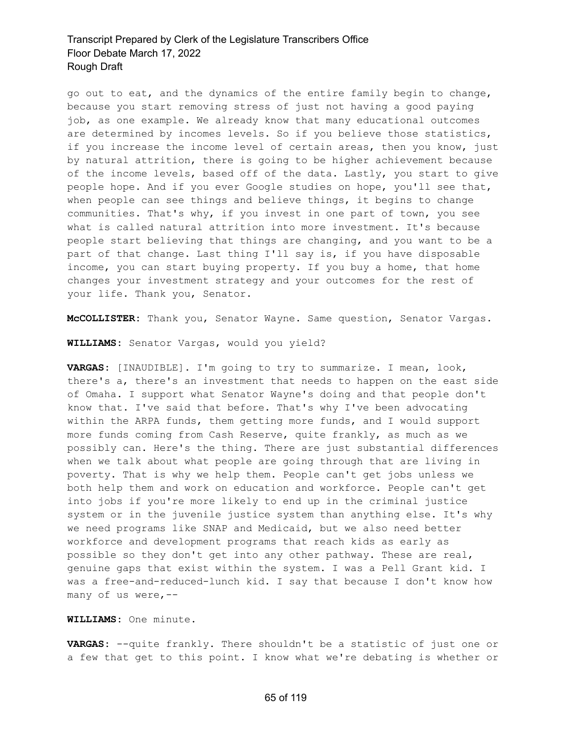go out to eat, and the dynamics of the entire family begin to change, because you start removing stress of just not having a good paying job, as one example. We already know that many educational outcomes are determined by incomes levels. So if you believe those statistics, if you increase the income level of certain areas, then you know, just by natural attrition, there is going to be higher achievement because of the income levels, based off of the data. Lastly, you start to give people hope. And if you ever Google studies on hope, you'll see that, when people can see things and believe things, it begins to change communities. That's why, if you invest in one part of town, you see what is called natural attrition into more investment. It's because people start believing that things are changing, and you want to be a part of that change. Last thing I'll say is, if you have disposable income, you can start buying property. If you buy a home, that home changes your investment strategy and your outcomes for the rest of your life. Thank you, Senator.

**McCOLLISTER:** Thank you, Senator Wayne. Same question, Senator Vargas.

**WILLIAMS:** Senator Vargas, would you yield?

**VARGAS:** [INAUDIBLE]. I'm going to try to summarize. I mean, look, there's a, there's an investment that needs to happen on the east side of Omaha. I support what Senator Wayne's doing and that people don't know that. I've said that before. That's why I've been advocating within the ARPA funds, them getting more funds, and I would support more funds coming from Cash Reserve, quite frankly, as much as we possibly can. Here's the thing. There are just substantial differences when we talk about what people are going through that are living in poverty. That is why we help them. People can't get jobs unless we both help them and work on education and workforce. People can't get into jobs if you're more likely to end up in the criminal justice system or in the juvenile justice system than anything else. It's why we need programs like SNAP and Medicaid, but we also need better workforce and development programs that reach kids as early as possible so they don't get into any other pathway. These are real, genuine gaps that exist within the system. I was a Pell Grant kid. I was a free-and-reduced-lunch kid. I say that because I don't know how many of us were,--

**WILLIAMS:** One minute.

**VARGAS:** --quite frankly. There shouldn't be a statistic of just one or a few that get to this point. I know what we're debating is whether or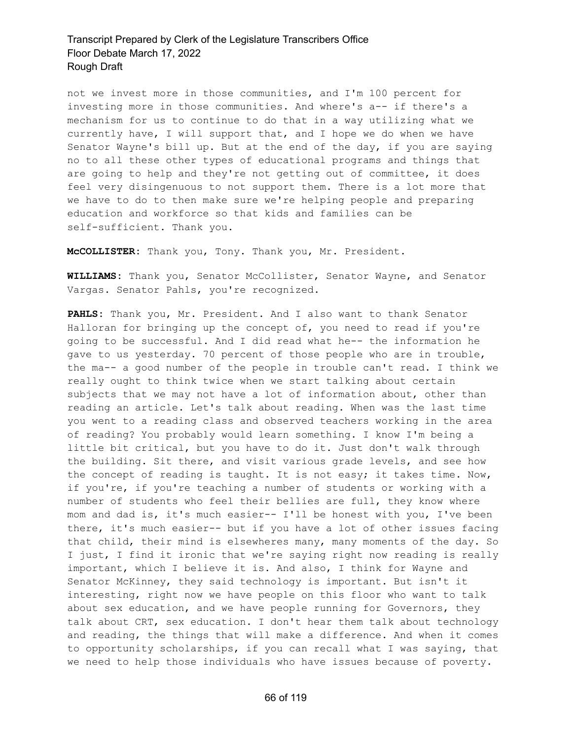not we invest more in those communities, and I'm 100 percent for investing more in those communities. And where's a-- if there's a mechanism for us to continue to do that in a way utilizing what we currently have, I will support that, and I hope we do when we have Senator Wayne's bill up. But at the end of the day, if you are saying no to all these other types of educational programs and things that are going to help and they're not getting out of committee, it does feel very disingenuous to not support them. There is a lot more that we have to do to then make sure we're helping people and preparing education and workforce so that kids and families can be self-sufficient. Thank you.

**McCOLLISTER:** Thank you, Tony. Thank you, Mr. President.

**WILLIAMS:** Thank you, Senator McCollister, Senator Wayne, and Senator Vargas. Senator Pahls, you're recognized.

**PAHLS:** Thank you, Mr. President. And I also want to thank Senator Halloran for bringing up the concept of, you need to read if you're going to be successful. And I did read what he-- the information he gave to us yesterday. 70 percent of those people who are in trouble, the ma-- a good number of the people in trouble can't read. I think we really ought to think twice when we start talking about certain subjects that we may not have a lot of information about, other than reading an article. Let's talk about reading. When was the last time you went to a reading class and observed teachers working in the area of reading? You probably would learn something. I know I'm being a little bit critical, but you have to do it. Just don't walk through the building. Sit there, and visit various grade levels, and see how the concept of reading is taught. It is not easy; it takes time. Now, if you're, if you're teaching a number of students or working with a number of students who feel their bellies are full, they know where mom and dad is, it's much easier-- I'll be honest with you, I've been there, it's much easier-- but if you have a lot of other issues facing that child, their mind is elsewheres many, many moments of the day. So I just, I find it ironic that we're saying right now reading is really important, which I believe it is. And also, I think for Wayne and Senator McKinney, they said technology is important. But isn't it interesting, right now we have people on this floor who want to talk about sex education, and we have people running for Governors, they talk about CRT, sex education. I don't hear them talk about technology and reading, the things that will make a difference. And when it comes to opportunity scholarships, if you can recall what I was saying, that we need to help those individuals who have issues because of poverty.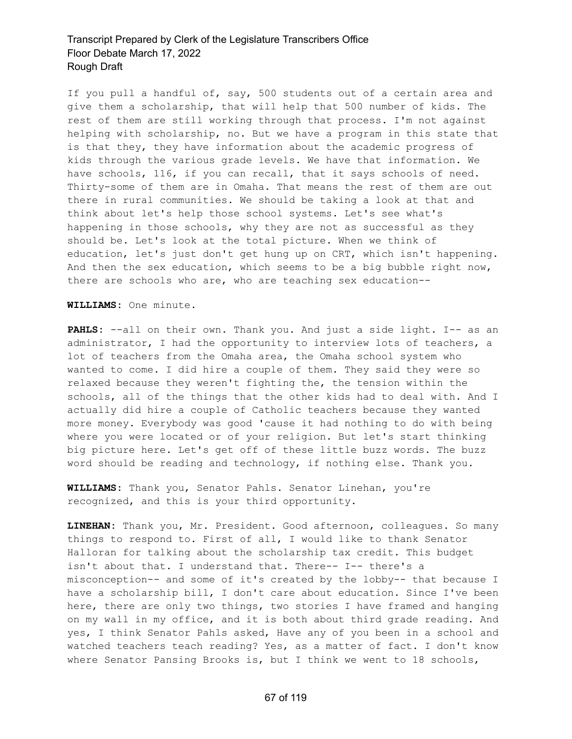If you pull a handful of, say, 500 students out of a certain area and give them a scholarship, that will help that 500 number of kids. The rest of them are still working through that process. I'm not against helping with scholarship, no. But we have a program in this state that is that they, they have information about the academic progress of kids through the various grade levels. We have that information. We have schools, 116, if you can recall, that it says schools of need. Thirty-some of them are in Omaha. That means the rest of them are out there in rural communities. We should be taking a look at that and think about let's help those school systems. Let's see what's happening in those schools, why they are not as successful as they should be. Let's look at the total picture. When we think of education, let's just don't get hung up on CRT, which isn't happening. And then the sex education, which seems to be a big bubble right now, there are schools who are, who are teaching sex education--

**WILLIAMS:** One minute.

PAHLS: --all on their own. Thank you. And just a side light. I-- as an administrator, I had the opportunity to interview lots of teachers, a lot of teachers from the Omaha area, the Omaha school system who wanted to come. I did hire a couple of them. They said they were so relaxed because they weren't fighting the, the tension within the schools, all of the things that the other kids had to deal with. And I actually did hire a couple of Catholic teachers because they wanted more money. Everybody was good 'cause it had nothing to do with being where you were located or of your religion. But let's start thinking big picture here. Let's get off of these little buzz words. The buzz word should be reading and technology, if nothing else. Thank you.

**WILLIAMS:** Thank you, Senator Pahls. Senator Linehan, you're recognized, and this is your third opportunity.

**LINEHAN:** Thank you, Mr. President. Good afternoon, colleagues. So many things to respond to. First of all, I would like to thank Senator Halloran for talking about the scholarship tax credit. This budget isn't about that. I understand that. There-- I-- there's a misconception-- and some of it's created by the lobby-- that because I have a scholarship bill, I don't care about education. Since I've been here, there are only two things, two stories I have framed and hanging on my wall in my office, and it is both about third grade reading. And yes, I think Senator Pahls asked, Have any of you been in a school and watched teachers teach reading? Yes, as a matter of fact. I don't know where Senator Pansing Brooks is, but I think we went to 18 schools,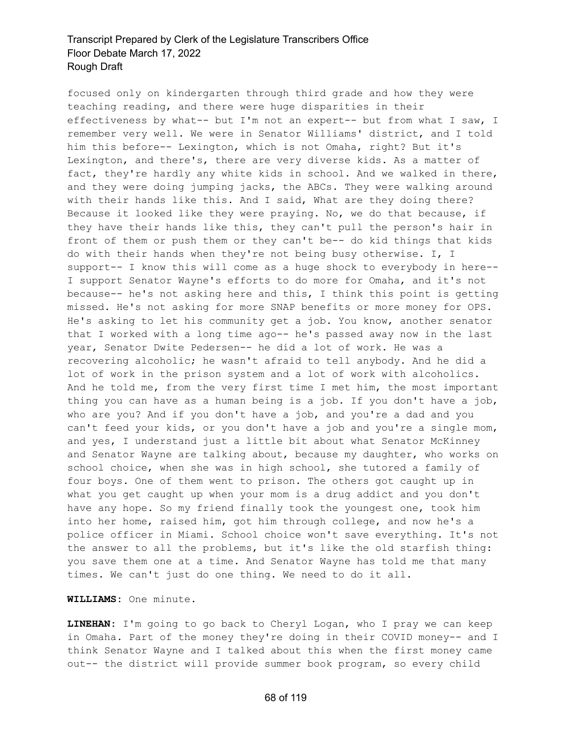focused only on kindergarten through third grade and how they were teaching reading, and there were huge disparities in their effectiveness by what-- but I'm not an expert-- but from what I saw, I remember very well. We were in Senator Williams' district, and I told him this before-- Lexington, which is not Omaha, right? But it's Lexington, and there's, there are very diverse kids. As a matter of fact, they're hardly any white kids in school. And we walked in there, and they were doing jumping jacks, the ABCs. They were walking around with their hands like this. And I said, What are they doing there? Because it looked like they were praying. No, we do that because, if they have their hands like this, they can't pull the person's hair in front of them or push them or they can't be-- do kid things that kids do with their hands when they're not being busy otherwise. I, I support-- I know this will come as a huge shock to everybody in here-- I support Senator Wayne's efforts to do more for Omaha, and it's not because-- he's not asking here and this, I think this point is getting missed. He's not asking for more SNAP benefits or more money for OPS. He's asking to let his community get a job. You know, another senator that I worked with a long time ago-- he's passed away now in the last year, Senator Dwite Pedersen-- he did a lot of work. He was a recovering alcoholic; he wasn't afraid to tell anybody. And he did a lot of work in the prison system and a lot of work with alcoholics. And he told me, from the very first time I met him, the most important thing you can have as a human being is a job. If you don't have a job, who are you? And if you don't have a job, and you're a dad and you can't feed your kids, or you don't have a job and you're a single mom, and yes, I understand just a little bit about what Senator McKinney and Senator Wayne are talking about, because my daughter, who works on school choice, when she was in high school, she tutored a family of four boys. One of them went to prison. The others got caught up in what you get caught up when your mom is a drug addict and you don't have any hope. So my friend finally took the youngest one, took him into her home, raised him, got him through college, and now he's a police officer in Miami. School choice won't save everything. It's not the answer to all the problems, but it's like the old starfish thing: you save them one at a time. And Senator Wayne has told me that many times. We can't just do one thing. We need to do it all.

**WILLIAMS:** One minute.

**LINEHAN:** I'm going to go back to Cheryl Logan, who I pray we can keep in Omaha. Part of the money they're doing in their COVID money-- and I think Senator Wayne and I talked about this when the first money came out-- the district will provide summer book program, so every child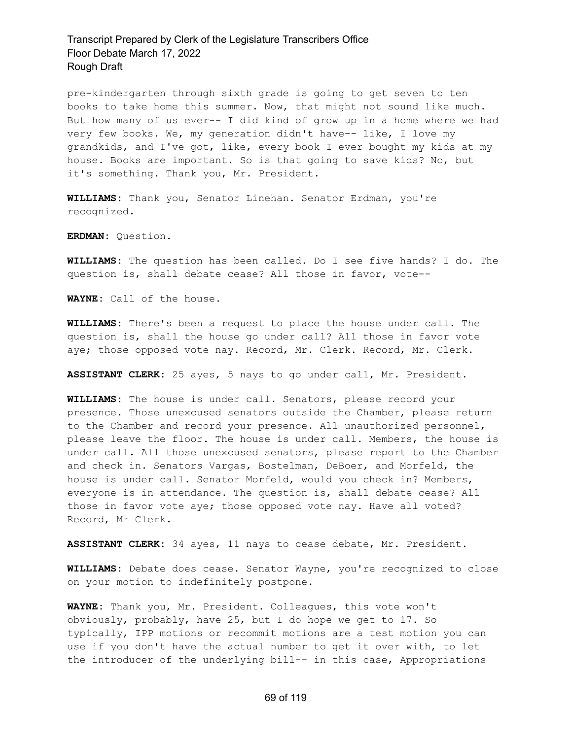pre-kindergarten through sixth grade is going to get seven to ten books to take home this summer. Now, that might not sound like much. But how many of us ever-- I did kind of grow up in a home where we had very few books. We, my generation didn't have-- like, I love my grandkids, and I've got, like, every book I ever bought my kids at my house. Books are important. So is that going to save kids? No, but it's something. Thank you, Mr. President.

**WILLIAMS:** Thank you, Senator Linehan. Senator Erdman, you're recognized.

**ERDMAN:** Question.

**WILLIAMS:** The question has been called. Do I see five hands? I do. The question is, shall debate cease? All those in favor, vote--

**WAYNE:** Call of the house.

**WILLIAMS:** There's been a request to place the house under call. The question is, shall the house go under call? All those in favor vote aye; those opposed vote nay. Record, Mr. Clerk. Record, Mr. Clerk.

**ASSISTANT CLERK:** 25 ayes, 5 nays to go under call, Mr. President.

**WILLIAMS:** The house is under call. Senators, please record your presence. Those unexcused senators outside the Chamber, please return to the Chamber and record your presence. All unauthorized personnel, please leave the floor. The house is under call. Members, the house is under call. All those unexcused senators, please report to the Chamber and check in. Senators Vargas, Bostelman, DeBoer, and Morfeld, the house is under call. Senator Morfeld, would you check in? Members, everyone is in attendance. The question is, shall debate cease? All those in favor vote aye; those opposed vote nay. Have all voted? Record, Mr Clerk.

**ASSISTANT CLERK:** 34 ayes, 11 nays to cease debate, Mr. President.

**WILLIAMS:** Debate does cease. Senator Wayne, you're recognized to close on your motion to indefinitely postpone.

**WAYNE:** Thank you, Mr. President. Colleagues, this vote won't obviously, probably, have 25, but I do hope we get to 17. So typically, IPP motions or recommit motions are a test motion you can use if you don't have the actual number to get it over with, to let the introducer of the underlying bill-- in this case, Appropriations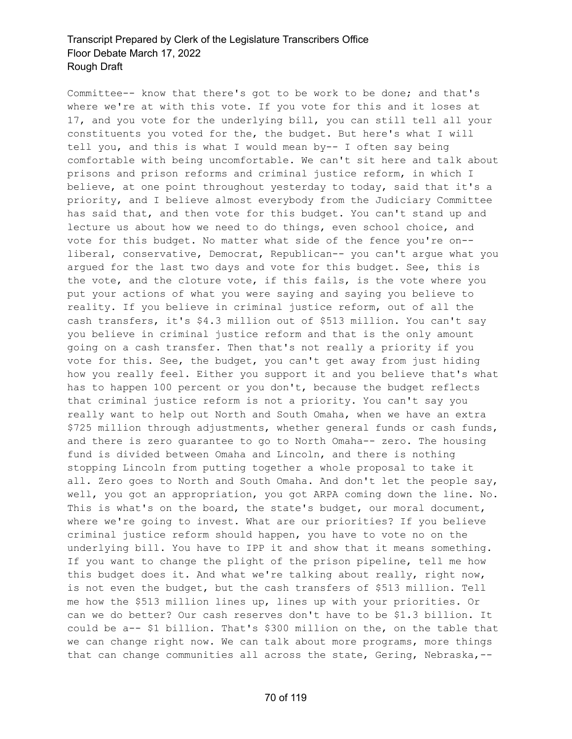Committee-- know that there's got to be work to be done; and that's where we're at with this vote. If you vote for this and it loses at 17, and you vote for the underlying bill, you can still tell all your constituents you voted for the, the budget. But here's what I will tell you, and this is what I would mean by-- I often say being comfortable with being uncomfortable. We can't sit here and talk about prisons and prison reforms and criminal justice reform, in which I believe, at one point throughout yesterday to today, said that it's a priority, and I believe almost everybody from the Judiciary Committee has said that, and then vote for this budget. You can't stand up and lecture us about how we need to do things, even school choice, and vote for this budget. No matter what side of the fence you're on- liberal, conservative, Democrat, Republican-- you can't argue what you argued for the last two days and vote for this budget. See, this is the vote, and the cloture vote, if this fails, is the vote where you put your actions of what you were saying and saying you believe to reality. If you believe in criminal justice reform, out of all the cash transfers, it's \$4.3 million out of \$513 million. You can't say you believe in criminal justice reform and that is the only amount going on a cash transfer. Then that's not really a priority if you vote for this. See, the budget, you can't get away from just hiding how you really feel. Either you support it and you believe that's what has to happen 100 percent or you don't, because the budget reflects that criminal justice reform is not a priority. You can't say you really want to help out North and South Omaha, when we have an extra \$725 million through adjustments, whether general funds or cash funds, and there is zero guarantee to go to North Omaha-- zero. The housing fund is divided between Omaha and Lincoln, and there is nothing stopping Lincoln from putting together a whole proposal to take it all. Zero goes to North and South Omaha. And don't let the people say, well, you got an appropriation, you got ARPA coming down the line. No. This is what's on the board, the state's budget, our moral document, where we're going to invest. What are our priorities? If you believe criminal justice reform should happen, you have to vote no on the underlying bill. You have to IPP it and show that it means something. If you want to change the plight of the prison pipeline, tell me how this budget does it. And what we're talking about really, right now, is not even the budget, but the cash transfers of \$513 million. Tell me how the \$513 million lines up, lines up with your priorities. Or can we do better? Our cash reserves don't have to be \$1.3 billion. It could be a-- \$1 billion. That's \$300 million on the, on the table that we can change right now. We can talk about more programs, more things that can change communities all across the state, Gering, Nebraska,--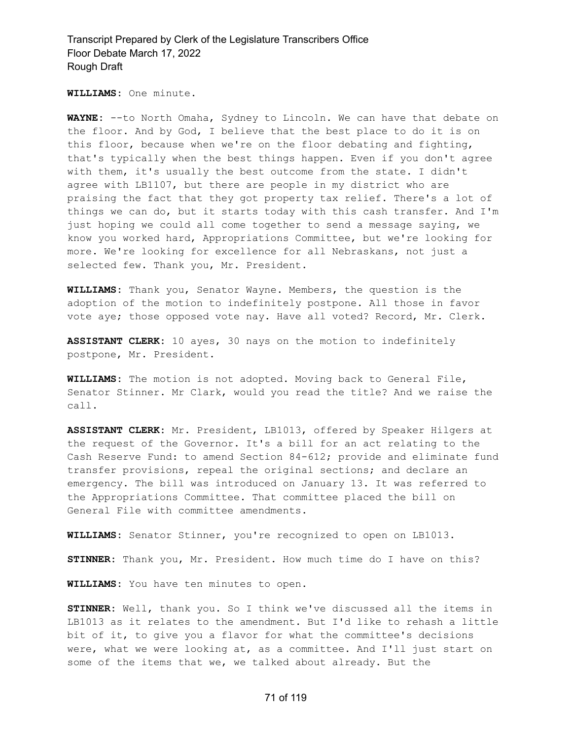**WILLIAMS:** One minute.

**WAYNE:** --to North Omaha, Sydney to Lincoln. We can have that debate on the floor. And by God, I believe that the best place to do it is on this floor, because when we're on the floor debating and fighting, that's typically when the best things happen. Even if you don't agree with them, it's usually the best outcome from the state. I didn't agree with LB1107, but there are people in my district who are praising the fact that they got property tax relief. There's a lot of things we can do, but it starts today with this cash transfer. And I'm just hoping we could all come together to send a message saying, we know you worked hard, Appropriations Committee, but we're looking for more. We're looking for excellence for all Nebraskans, not just a selected few. Thank you, Mr. President.

**WILLIAMS:** Thank you, Senator Wayne. Members, the question is the adoption of the motion to indefinitely postpone. All those in favor vote aye; those opposed vote nay. Have all voted? Record, Mr. Clerk.

**ASSISTANT CLERK:** 10 ayes, 30 nays on the motion to indefinitely postpone, Mr. President.

**WILLIAMS:** The motion is not adopted. Moving back to General File, Senator Stinner. Mr Clark, would you read the title? And we raise the call.

**ASSISTANT CLERK:** Mr. President, LB1013, offered by Speaker Hilgers at the request of the Governor. It's a bill for an act relating to the Cash Reserve Fund: to amend Section 84-612; provide and eliminate fund transfer provisions, repeal the original sections; and declare an emergency. The bill was introduced on January 13. It was referred to the Appropriations Committee. That committee placed the bill on General File with committee amendments.

**WILLIAMS:** Senator Stinner, you're recognized to open on LB1013.

**STINNER:** Thank you, Mr. President. How much time do I have on this?

**WILLIAMS:** You have ten minutes to open.

**STINNER:** Well, thank you. So I think we've discussed all the items in LB1013 as it relates to the amendment. But I'd like to rehash a little bit of it, to give you a flavor for what the committee's decisions were, what we were looking at, as a committee. And I'll just start on some of the items that we, we talked about already. But the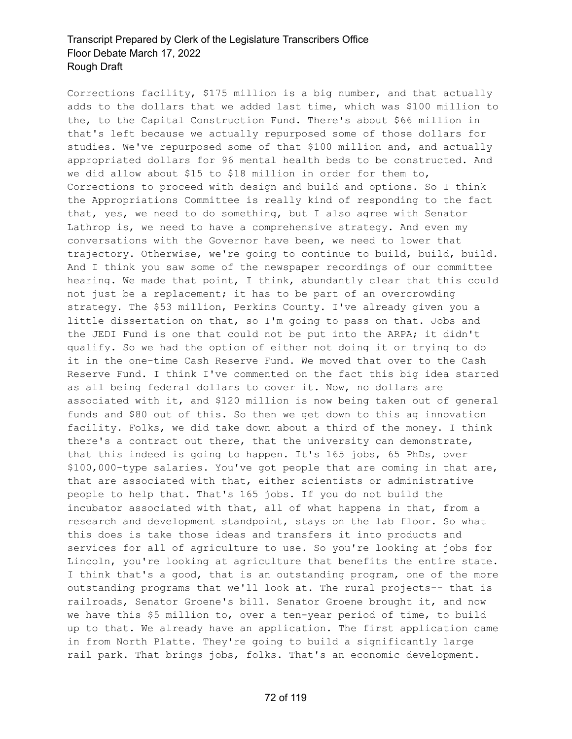Corrections facility, \$175 million is a big number, and that actually adds to the dollars that we added last time, which was \$100 million to the, to the Capital Construction Fund. There's about \$66 million in that's left because we actually repurposed some of those dollars for studies. We've repurposed some of that \$100 million and, and actually appropriated dollars for 96 mental health beds to be constructed. And we did allow about \$15 to \$18 million in order for them to, Corrections to proceed with design and build and options. So I think the Appropriations Committee is really kind of responding to the fact that, yes, we need to do something, but I also agree with Senator Lathrop is, we need to have a comprehensive strategy. And even my conversations with the Governor have been, we need to lower that trajectory. Otherwise, we're going to continue to build, build, build. And I think you saw some of the newspaper recordings of our committee hearing. We made that point, I think, abundantly clear that this could not just be a replacement; it has to be part of an overcrowding strategy. The \$53 million, Perkins County. I've already given you a little dissertation on that, so I'm going to pass on that. Jobs and the JEDI Fund is one that could not be put into the ARPA; it didn't qualify. So we had the option of either not doing it or trying to do it in the one-time Cash Reserve Fund. We moved that over to the Cash Reserve Fund. I think I've commented on the fact this big idea started as all being federal dollars to cover it. Now, no dollars are associated with it, and \$120 million is now being taken out of general funds and \$80 out of this. So then we get down to this ag innovation facility. Folks, we did take down about a third of the money. I think there's a contract out there, that the university can demonstrate, that this indeed is going to happen. It's 165 jobs, 65 PhDs, over \$100,000-type salaries. You've got people that are coming in that are, that are associated with that, either scientists or administrative people to help that. That's 165 jobs. If you do not build the incubator associated with that, all of what happens in that, from a research and development standpoint, stays on the lab floor. So what this does is take those ideas and transfers it into products and services for all of agriculture to use. So you're looking at jobs for Lincoln, you're looking at agriculture that benefits the entire state. I think that's a good, that is an outstanding program, one of the more outstanding programs that we'll look at. The rural projects-- that is railroads, Senator Groene's bill. Senator Groene brought it, and now we have this \$5 million to, over a ten-year period of time, to build up to that. We already have an application. The first application came in from North Platte. They're going to build a significantly large rail park. That brings jobs, folks. That's an economic development.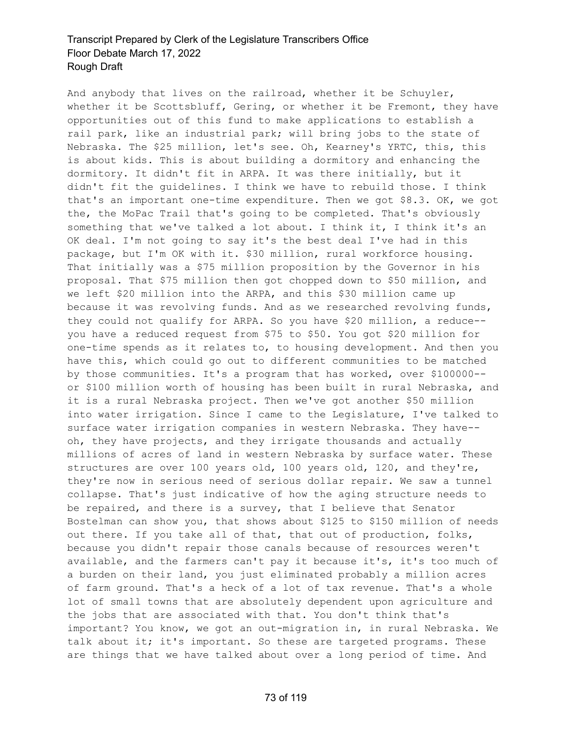And anybody that lives on the railroad, whether it be Schuyler, whether it be Scottsbluff, Gering, or whether it be Fremont, they have opportunities out of this fund to make applications to establish a rail park, like an industrial park; will bring jobs to the state of Nebraska. The \$25 million, let's see. Oh, Kearney's YRTC, this, this is about kids. This is about building a dormitory and enhancing the dormitory. It didn't fit in ARPA. It was there initially, but it didn't fit the guidelines. I think we have to rebuild those. I think that's an important one-time expenditure. Then we got \$8.3. OK, we got the, the MoPac Trail that's going to be completed. That's obviously something that we've talked a lot about. I think it, I think it's an OK deal. I'm not going to say it's the best deal I've had in this package, but I'm OK with it. \$30 million, rural workforce housing. That initially was a \$75 million proposition by the Governor in his proposal. That \$75 million then got chopped down to \$50 million, and we left \$20 million into the ARPA, and this \$30 million came up because it was revolving funds. And as we researched revolving funds, they could not qualify for ARPA. So you have \$20 million, a reduce- you have a reduced request from \$75 to \$50. You got \$20 million for one-time spends as it relates to, to housing development. And then you have this, which could go out to different communities to be matched by those communities. It's a program that has worked, over \$100000- or \$100 million worth of housing has been built in rural Nebraska, and it is a rural Nebraska project. Then we've got another \$50 million into water irrigation. Since I came to the Legislature, I've talked to surface water irrigation companies in western Nebraska. They have- oh, they have projects, and they irrigate thousands and actually millions of acres of land in western Nebraska by surface water. These structures are over 100 years old, 100 years old, 120, and they're, they're now in serious need of serious dollar repair. We saw a tunnel collapse. That's just indicative of how the aging structure needs to be repaired, and there is a survey, that I believe that Senator Bostelman can show you, that shows about \$125 to \$150 million of needs out there. If you take all of that, that out of production, folks, because you didn't repair those canals because of resources weren't available, and the farmers can't pay it because it's, it's too much of a burden on their land, you just eliminated probably a million acres of farm ground. That's a heck of a lot of tax revenue. That's a whole lot of small towns that are absolutely dependent upon agriculture and the jobs that are associated with that. You don't think that's important? You know, we got an out-migration in, in rural Nebraska. We talk about it; it's important. So these are targeted programs. These are things that we have talked about over a long period of time. And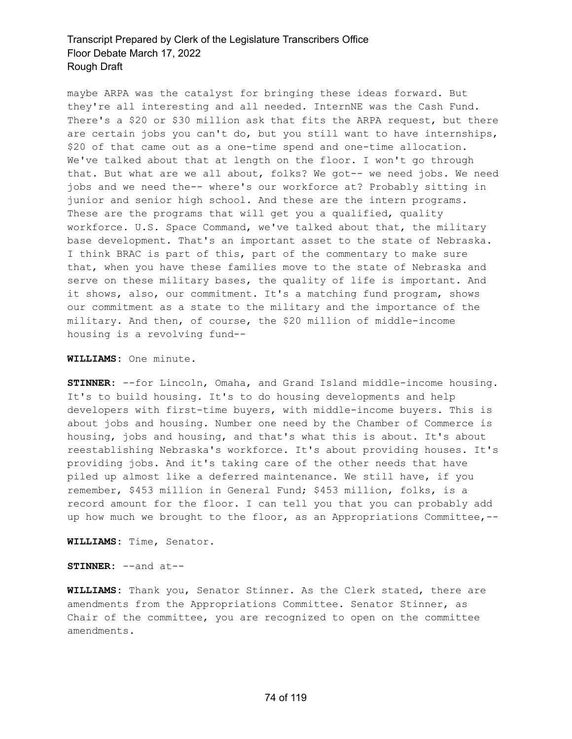maybe ARPA was the catalyst for bringing these ideas forward. But they're all interesting and all needed. InternNE was the Cash Fund. There's a \$20 or \$30 million ask that fits the ARPA request, but there are certain jobs you can't do, but you still want to have internships, \$20 of that came out as a one-time spend and one-time allocation. We've talked about that at length on the floor. I won't go through that. But what are we all about, folks? We got-- we need jobs. We need jobs and we need the-- where's our workforce at? Probably sitting in junior and senior high school. And these are the intern programs. These are the programs that will get you a qualified, quality workforce. U.S. Space Command, we've talked about that, the military base development. That's an important asset to the state of Nebraska. I think BRAC is part of this, part of the commentary to make sure that, when you have these families move to the state of Nebraska and serve on these military bases, the quality of life is important. And it shows, also, our commitment. It's a matching fund program, shows our commitment as a state to the military and the importance of the military. And then, of course, the \$20 million of middle-income housing is a revolving fund--

#### **WILLIAMS:** One minute.

**STINNER:** --for Lincoln, Omaha, and Grand Island middle-income housing. It's to build housing. It's to do housing developments and help developers with first-time buyers, with middle-income buyers. This is about jobs and housing. Number one need by the Chamber of Commerce is housing, jobs and housing, and that's what this is about. It's about reestablishing Nebraska's workforce. It's about providing houses. It's providing jobs. And it's taking care of the other needs that have piled up almost like a deferred maintenance. We still have, if you remember, \$453 million in General Fund; \$453 million, folks, is a record amount for the floor. I can tell you that you can probably add up how much we brought to the floor, as an Appropriations Committee,--

**WILLIAMS:** Time, Senator.

**STINNER:** --and at--

**WILLIAMS:** Thank you, Senator Stinner. As the Clerk stated, there are amendments from the Appropriations Committee. Senator Stinner, as Chair of the committee, you are recognized to open on the committee amendments.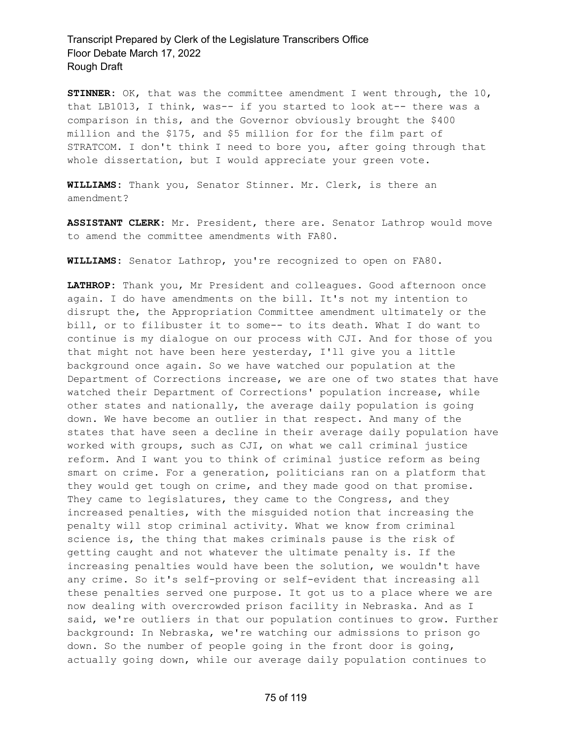**STINNER:** OK, that was the committee amendment I went through, the 10, that LB1013, I think, was-- if you started to look at-- there was a comparison in this, and the Governor obviously brought the \$400 million and the \$175, and \$5 million for for the film part of STRATCOM. I don't think I need to bore you, after going through that whole dissertation, but I would appreciate your green vote.

**WILLIAMS:** Thank you, Senator Stinner. Mr. Clerk, is there an amendment?

**ASSISTANT CLERK:** Mr. President, there are. Senator Lathrop would move to amend the committee amendments with FA80.

**WILLIAMS:** Senator Lathrop, you're recognized to open on FA80.

**LATHROP:** Thank you, Mr President and colleagues. Good afternoon once again. I do have amendments on the bill. It's not my intention to disrupt the, the Appropriation Committee amendment ultimately or the bill, or to filibuster it to some-- to its death. What I do want to continue is my dialogue on our process with CJI. And for those of you that might not have been here yesterday, I'll give you a little background once again. So we have watched our population at the Department of Corrections increase, we are one of two states that have watched their Department of Corrections' population increase, while other states and nationally, the average daily population is going down. We have become an outlier in that respect. And many of the states that have seen a decline in their average daily population have worked with groups, such as CJI, on what we call criminal justice reform. And I want you to think of criminal justice reform as being smart on crime. For a generation, politicians ran on a platform that they would get tough on crime, and they made good on that promise. They came to legislatures, they came to the Congress, and they increased penalties, with the misguided notion that increasing the penalty will stop criminal activity. What we know from criminal science is, the thing that makes criminals pause is the risk of getting caught and not whatever the ultimate penalty is. If the increasing penalties would have been the solution, we wouldn't have any crime. So it's self-proving or self-evident that increasing all these penalties served one purpose. It got us to a place where we are now dealing with overcrowded prison facility in Nebraska. And as I said, we're outliers in that our population continues to grow. Further background: In Nebraska, we're watching our admissions to prison go down. So the number of people going in the front door is going, actually going down, while our average daily population continues to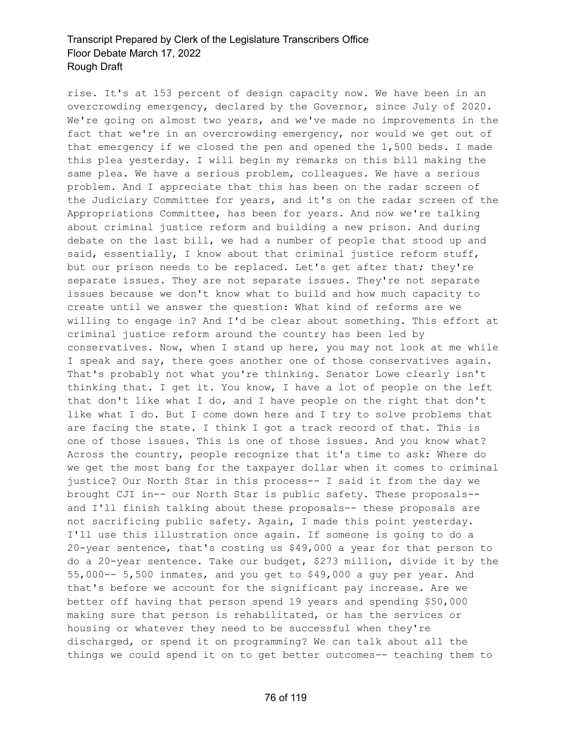rise. It's at 153 percent of design capacity now. We have been in an overcrowding emergency, declared by the Governor, since July of 2020. We're going on almost two years, and we've made no improvements in the fact that we're in an overcrowding emergency, nor would we get out of that emergency if we closed the pen and opened the 1,500 beds. I made this plea yesterday. I will begin my remarks on this bill making the same plea. We have a serious problem, colleagues. We have a serious problem. And I appreciate that this has been on the radar screen of the Judiciary Committee for years, and it's on the radar screen of the Appropriations Committee, has been for years. And now we're talking about criminal justice reform and building a new prison. And during debate on the last bill, we had a number of people that stood up and said, essentially, I know about that criminal justice reform stuff, but our prison needs to be replaced. Let's get after that; they're separate issues. They are not separate issues. They're not separate issues because we don't know what to build and how much capacity to create until we answer the question: What kind of reforms are we willing to engage in? And I'd be clear about something. This effort at criminal justice reform around the country has been led by conservatives. Now, when I stand up here, you may not look at me while I speak and say, there goes another one of those conservatives again. That's probably not what you're thinking. Senator Lowe clearly isn't thinking that. I get it. You know, I have a lot of people on the left that don't like what I do, and I have people on the right that don't like what I do. But I come down here and I try to solve problems that are facing the state. I think I got a track record of that. This is one of those issues. This is one of those issues. And you know what? Across the country, people recognize that it's time to ask: Where do we get the most bang for the taxpayer dollar when it comes to criminal justice? Our North Star in this process-- I said it from the day we brought CJI in-- our North Star is public safety. These proposals- and I'll finish talking about these proposals-- these proposals are not sacrificing public safety. Again, I made this point yesterday. I'll use this illustration once again. If someone is going to do a 20-year sentence, that's costing us \$49,000 a year for that person to do a 20-year sentence. Take our budget, \$273 million, divide it by the 55,000-- 5,500 inmates, and you get to \$49,000 a guy per year. And that's before we account for the significant pay increase. Are we better off having that person spend 19 years and spending \$50,000 making sure that person is rehabilitated, or has the services or housing or whatever they need to be successful when they're discharged, or spend it on programming? We can talk about all the things we could spend it on to get better outcomes-- teaching them to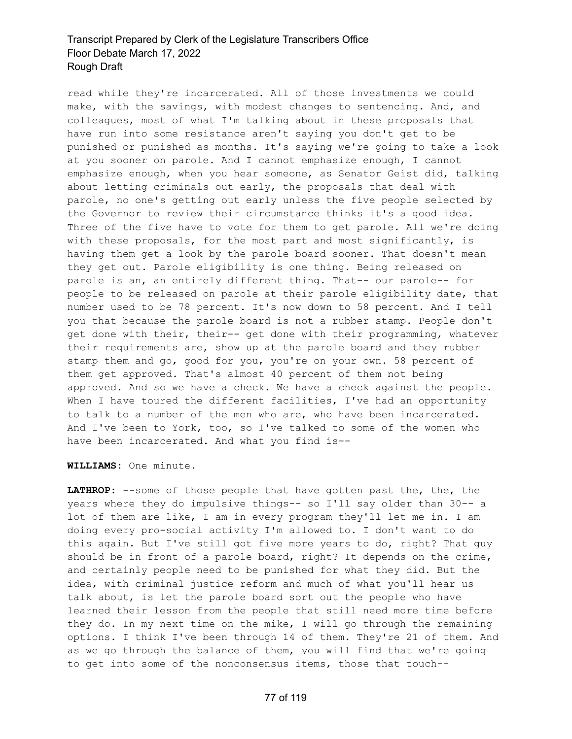read while they're incarcerated. All of those investments we could make, with the savings, with modest changes to sentencing. And, and colleagues, most of what I'm talking about in these proposals that have run into some resistance aren't saying you don't get to be punished or punished as months. It's saying we're going to take a look at you sooner on parole. And I cannot emphasize enough, I cannot emphasize enough, when you hear someone, as Senator Geist did, talking about letting criminals out early, the proposals that deal with parole, no one's getting out early unless the five people selected by the Governor to review their circumstance thinks it's a good idea. Three of the five have to vote for them to get parole. All we're doing with these proposals, for the most part and most significantly, is having them get a look by the parole board sooner. That doesn't mean they get out. Parole eligibility is one thing. Being released on parole is an, an entirely different thing. That-- our parole-- for people to be released on parole at their parole eligibility date, that number used to be 78 percent. It's now down to 58 percent. And I tell you that because the parole board is not a rubber stamp. People don't get done with their, their-- get done with their programming, whatever their requirements are, show up at the parole board and they rubber stamp them and go, good for you, you're on your own. 58 percent of them get approved. That's almost 40 percent of them not being approved. And so we have a check. We have a check against the people. When I have toured the different facilities, I've had an opportunity to talk to a number of the men who are, who have been incarcerated. And I've been to York, too, so I've talked to some of the women who have been incarcerated. And what you find is--

**WILLIAMS:** One minute.

**LATHROP:** --some of those people that have gotten past the, the, the years where they do impulsive things-- so I'll say older than 30-- a lot of them are like, I am in every program they'll let me in. I am doing every pro-social activity I'm allowed to. I don't want to do this again. But I've still got five more years to do, right? That guy should be in front of a parole board, right? It depends on the crime, and certainly people need to be punished for what they did. But the idea, with criminal justice reform and much of what you'll hear us talk about, is let the parole board sort out the people who have learned their lesson from the people that still need more time before they do. In my next time on the mike, I will go through the remaining options. I think I've been through 14 of them. They're 21 of them. And as we go through the balance of them, you will find that we're going to get into some of the nonconsensus items, those that touch--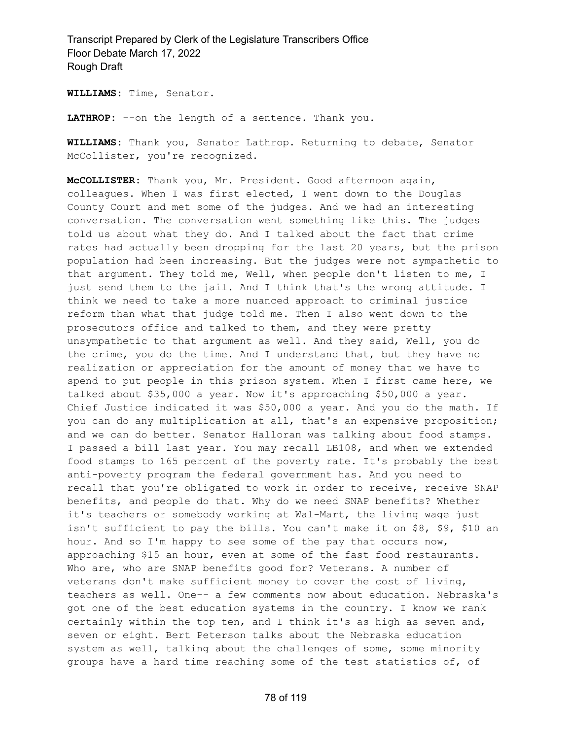**WILLIAMS:** Time, Senator.

**LATHROP:** --on the length of a sentence. Thank you.

**WILLIAMS:** Thank you, Senator Lathrop. Returning to debate, Senator McCollister, you're recognized.

**McCOLLISTER:** Thank you, Mr. President. Good afternoon again, colleagues. When I was first elected, I went down to the Douglas County Court and met some of the judges. And we had an interesting conversation. The conversation went something like this. The judges told us about what they do. And I talked about the fact that crime rates had actually been dropping for the last 20 years, but the prison population had been increasing. But the judges were not sympathetic to that argument. They told me, Well, when people don't listen to me, I just send them to the jail. And I think that's the wrong attitude. I think we need to take a more nuanced approach to criminal justice reform than what that judge told me. Then I also went down to the prosecutors office and talked to them, and they were pretty unsympathetic to that argument as well. And they said, Well, you do the crime, you do the time. And I understand that, but they have no realization or appreciation for the amount of money that we have to spend to put people in this prison system. When I first came here, we talked about \$35,000 a year. Now it's approaching \$50,000 a year. Chief Justice indicated it was \$50,000 a year. And you do the math. If you can do any multiplication at all, that's an expensive proposition; and we can do better. Senator Halloran was talking about food stamps. I passed a bill last year. You may recall LB108, and when we extended food stamps to 165 percent of the poverty rate. It's probably the best anti-poverty program the federal government has. And you need to recall that you're obligated to work in order to receive, receive SNAP benefits, and people do that. Why do we need SNAP benefits? Whether it's teachers or somebody working at Wal-Mart, the living wage just isn't sufficient to pay the bills. You can't make it on \$8, \$9, \$10 an hour. And so I'm happy to see some of the pay that occurs now, approaching \$15 an hour, even at some of the fast food restaurants. Who are, who are SNAP benefits good for? Veterans. A number of veterans don't make sufficient money to cover the cost of living, teachers as well. One-- a few comments now about education. Nebraska's got one of the best education systems in the country. I know we rank certainly within the top ten, and I think it's as high as seven and, seven or eight. Bert Peterson talks about the Nebraska education system as well, talking about the challenges of some, some minority groups have a hard time reaching some of the test statistics of, of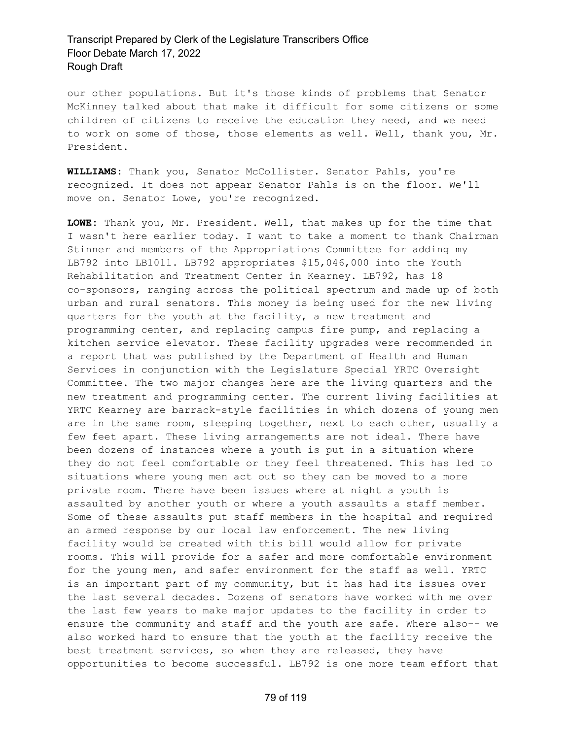our other populations. But it's those kinds of problems that Senator McKinney talked about that make it difficult for some citizens or some children of citizens to receive the education they need, and we need to work on some of those, those elements as well. Well, thank you, Mr. President.

**WILLIAMS:** Thank you, Senator McCollister. Senator Pahls, you're recognized. It does not appear Senator Pahls is on the floor. We'll move on. Senator Lowe, you're recognized.

**LOWE:** Thank you, Mr. President. Well, that makes up for the time that I wasn't here earlier today. I want to take a moment to thank Chairman Stinner and members of the Appropriations Committee for adding my LB792 into LB1011. LB792 appropriates \$15,046,000 into the Youth Rehabilitation and Treatment Center in Kearney. LB792, has 18 co-sponsors, ranging across the political spectrum and made up of both urban and rural senators. This money is being used for the new living quarters for the youth at the facility, a new treatment and programming center, and replacing campus fire pump, and replacing a kitchen service elevator. These facility upgrades were recommended in a report that was published by the Department of Health and Human Services in conjunction with the Legislature Special YRTC Oversight Committee. The two major changes here are the living quarters and the new treatment and programming center. The current living facilities at YRTC Kearney are barrack-style facilities in which dozens of young men are in the same room, sleeping together, next to each other, usually a few feet apart. These living arrangements are not ideal. There have been dozens of instances where a youth is put in a situation where they do not feel comfortable or they feel threatened. This has led to situations where young men act out so they can be moved to a more private room. There have been issues where at night a youth is assaulted by another youth or where a youth assaults a staff member. Some of these assaults put staff members in the hospital and required an armed response by our local law enforcement. The new living facility would be created with this bill would allow for private rooms. This will provide for a safer and more comfortable environment for the young men, and safer environment for the staff as well. YRTC is an important part of my community, but it has had its issues over the last several decades. Dozens of senators have worked with me over the last few years to make major updates to the facility in order to ensure the community and staff and the youth are safe. Where also-- we also worked hard to ensure that the youth at the facility receive the best treatment services, so when they are released, they have opportunities to become successful. LB792 is one more team effort that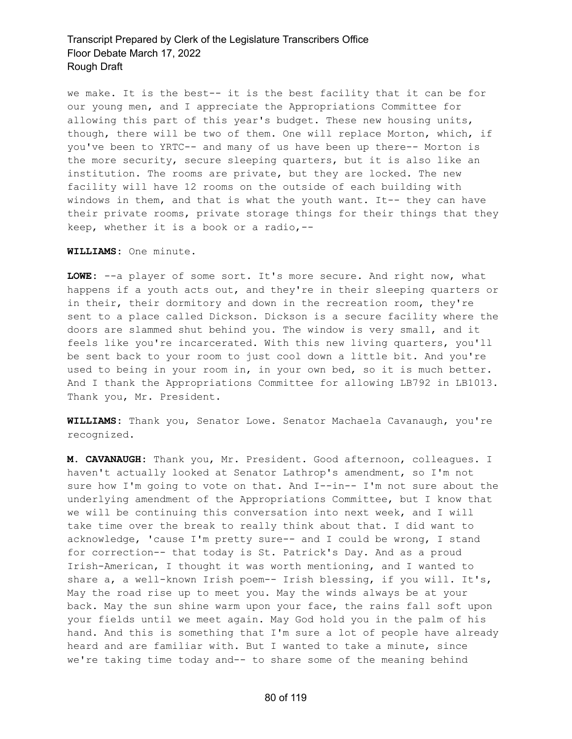we make. It is the best-- it is the best facility that it can be for our young men, and I appreciate the Appropriations Committee for allowing this part of this year's budget. These new housing units, though, there will be two of them. One will replace Morton, which, if you've been to YRTC-- and many of us have been up there-- Morton is the more security, secure sleeping quarters, but it is also like an institution. The rooms are private, but they are locked. The new facility will have 12 rooms on the outside of each building with windows in them, and that is what the youth want. It-- they can have their private rooms, private storage things for their things that they keep, whether it is a book or a radio,--

**WILLIAMS:** One minute.

**LOWE:** --a player of some sort. It's more secure. And right now, what happens if a youth acts out, and they're in their sleeping quarters or in their, their dormitory and down in the recreation room, they're sent to a place called Dickson. Dickson is a secure facility where the doors are slammed shut behind you. The window is very small, and it feels like you're incarcerated. With this new living quarters, you'll be sent back to your room to just cool down a little bit. And you're used to being in your room in, in your own bed, so it is much better. And I thank the Appropriations Committee for allowing LB792 in LB1013. Thank you, Mr. President.

**WILLIAMS:** Thank you, Senator Lowe. Senator Machaela Cavanaugh, you're recognized.

**M. CAVANAUGH:** Thank you, Mr. President. Good afternoon, colleagues. I haven't actually looked at Senator Lathrop's amendment, so I'm not sure how I'm going to vote on that. And I--in-- I'm not sure about the underlying amendment of the Appropriations Committee, but I know that we will be continuing this conversation into next week, and I will take time over the break to really think about that. I did want to acknowledge, 'cause I'm pretty sure-- and I could be wrong, I stand for correction-- that today is St. Patrick's Day. And as a proud Irish-American, I thought it was worth mentioning, and I wanted to share a, a well-known Irish poem-- Irish blessing, if you will. It's, May the road rise up to meet you. May the winds always be at your back. May the sun shine warm upon your face, the rains fall soft upon your fields until we meet again. May God hold you in the palm of his hand. And this is something that I'm sure a lot of people have already heard and are familiar with. But I wanted to take a minute, since we're taking time today and-- to share some of the meaning behind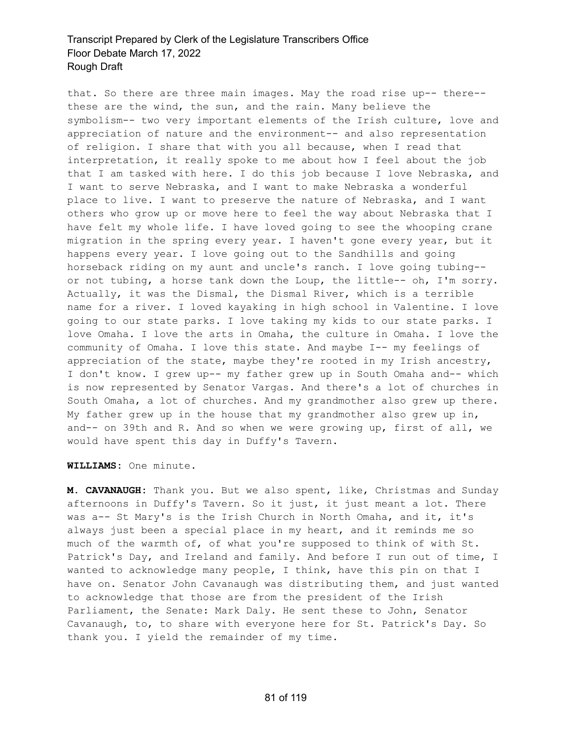that. So there are three main images. May the road rise up-- there- these are the wind, the sun, and the rain. Many believe the symbolism-- two very important elements of the Irish culture, love and appreciation of nature and the environment-- and also representation of religion. I share that with you all because, when I read that interpretation, it really spoke to me about how I feel about the job that I am tasked with here. I do this job because I love Nebraska, and I want to serve Nebraska, and I want to make Nebraska a wonderful place to live. I want to preserve the nature of Nebraska, and I want others who grow up or move here to feel the way about Nebraska that I have felt my whole life. I have loved going to see the whooping crane migration in the spring every year. I haven't gone every year, but it happens every year. I love going out to the Sandhills and going horseback riding on my aunt and uncle's ranch. I love going tubing- or not tubing, a horse tank down the Loup, the little-- oh, I'm sorry. Actually, it was the Dismal, the Dismal River, which is a terrible name for a river. I loved kayaking in high school in Valentine. I love going to our state parks. I love taking my kids to our state parks. I love Omaha. I love the arts in Omaha, the culture in Omaha. I love the community of Omaha. I love this state. And maybe I-- my feelings of appreciation of the state, maybe they're rooted in my Irish ancestry, I don't know. I grew up-- my father grew up in South Omaha and-- which is now represented by Senator Vargas. And there's a lot of churches in South Omaha, a lot of churches. And my grandmother also grew up there. My father grew up in the house that my grandmother also grew up in, and-- on 39th and R. And so when we were growing up, first of all, we would have spent this day in Duffy's Tavern.

**WILLIAMS:** One minute.

**M. CAVANAUGH:** Thank you. But we also spent, like, Christmas and Sunday afternoons in Duffy's Tavern. So it just, it just meant a lot. There was a-- St Mary's is the Irish Church in North Omaha, and it, it's always just been a special place in my heart, and it reminds me so much of the warmth of, of what you're supposed to think of with St. Patrick's Day, and Ireland and family. And before I run out of time, I wanted to acknowledge many people, I think, have this pin on that I have on. Senator John Cavanaugh was distributing them, and just wanted to acknowledge that those are from the president of the Irish Parliament, the Senate: Mark Daly. He sent these to John, Senator Cavanaugh, to, to share with everyone here for St. Patrick's Day. So thank you. I yield the remainder of my time.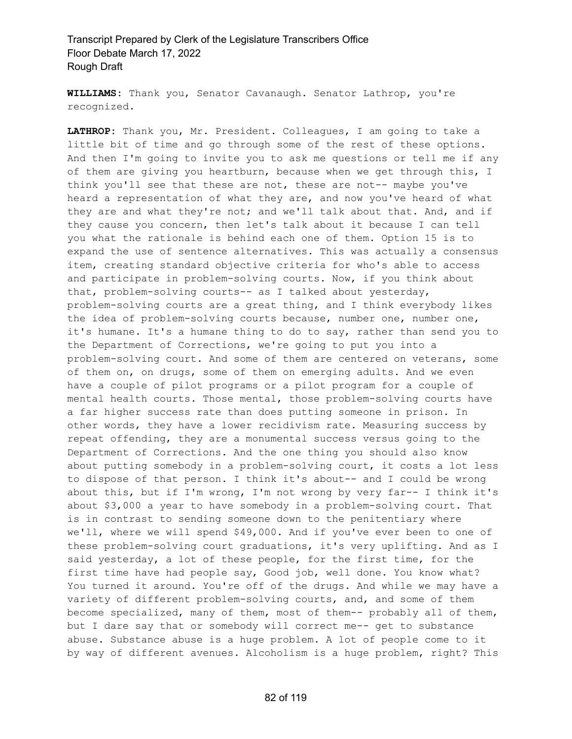**WILLIAMS:** Thank you, Senator Cavanaugh. Senator Lathrop, you're recognized.

**LATHROP:** Thank you, Mr. President. Colleagues, I am going to take a little bit of time and go through some of the rest of these options. And then I'm going to invite you to ask me questions or tell me if any of them are giving you heartburn, because when we get through this, I think you'll see that these are not, these are not-- maybe you've heard a representation of what they are, and now you've heard of what they are and what they're not; and we'll talk about that. And, and if they cause you concern, then let's talk about it because I can tell you what the rationale is behind each one of them. Option 15 is to expand the use of sentence alternatives. This was actually a consensus item, creating standard objective criteria for who's able to access and participate in problem-solving courts. Now, if you think about that, problem-solving courts-- as I talked about yesterday, problem-solving courts are a great thing, and I think everybody likes the idea of problem-solving courts because, number one, number one, it's humane. It's a humane thing to do to say, rather than send you to the Department of Corrections, we're going to put you into a problem-solving court. And some of them are centered on veterans, some of them on, on drugs, some of them on emerging adults. And we even have a couple of pilot programs or a pilot program for a couple of mental health courts. Those mental, those problem-solving courts have a far higher success rate than does putting someone in prison. In other words, they have a lower recidivism rate. Measuring success by repeat offending, they are a monumental success versus going to the Department of Corrections. And the one thing you should also know about putting somebody in a problem-solving court, it costs a lot less to dispose of that person. I think it's about-- and I could be wrong about this, but if I'm wrong, I'm not wrong by very far-- I think it's about \$3,000 a year to have somebody in a problem-solving court. That is in contrast to sending someone down to the penitentiary where we'll, where we will spend \$49,000. And if you've ever been to one of these problem-solving court graduations, it's very uplifting. And as I said yesterday, a lot of these people, for the first time, for the first time have had people say, Good job, well done. You know what? You turned it around. You're off of the drugs. And while we may have a variety of different problem-solving courts, and, and some of them become specialized, many of them, most of them-- probably all of them, but I dare say that or somebody will correct me-- get to substance abuse. Substance abuse is a huge problem. A lot of people come to it by way of different avenues. Alcoholism is a huge problem, right? This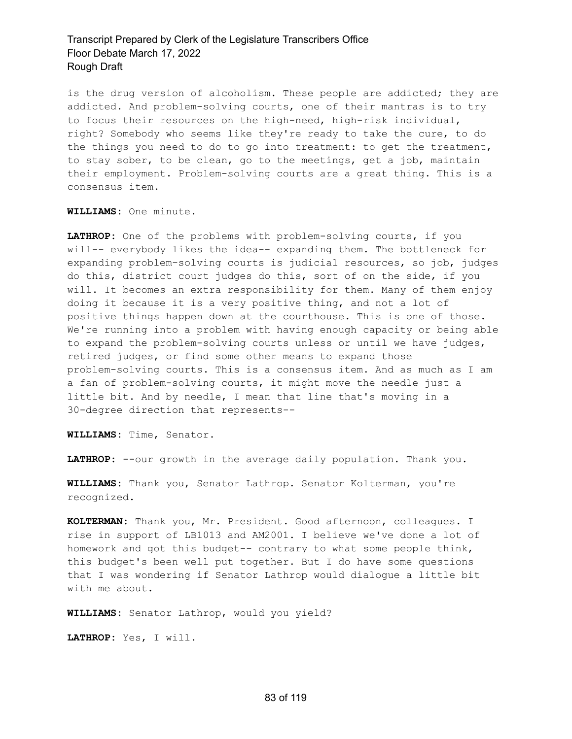is the drug version of alcoholism. These people are addicted; they are addicted. And problem-solving courts, one of their mantras is to try to focus their resources on the high-need, high-risk individual, right? Somebody who seems like they're ready to take the cure, to do the things you need to do to go into treatment: to get the treatment, to stay sober, to be clean, go to the meetings, get a job, maintain their employment. Problem-solving courts are a great thing. This is a consensus item.

**WILLIAMS:** One minute.

**LATHROP:** One of the problems with problem-solving courts, if you will-- everybody likes the idea-- expanding them. The bottleneck for expanding problem-solving courts is judicial resources, so job, judges do this, district court judges do this, sort of on the side, if you will. It becomes an extra responsibility for them. Many of them enjoy doing it because it is a very positive thing, and not a lot of positive things happen down at the courthouse. This is one of those. We're running into a problem with having enough capacity or being able to expand the problem-solving courts unless or until we have judges, retired judges, or find some other means to expand those problem-solving courts. This is a consensus item. And as much as I am a fan of problem-solving courts, it might move the needle just a little bit. And by needle, I mean that line that's moving in a 30-degree direction that represents--

**WILLIAMS:** Time, Senator.

**LATHROP:** --our growth in the average daily population. Thank you.

**WILLIAMS:** Thank you, Senator Lathrop. Senator Kolterman, you're recognized.

**KOLTERMAN:** Thank you, Mr. President. Good afternoon, colleagues. I rise in support of LB1013 and AM2001. I believe we've done a lot of homework and got this budget-- contrary to what some people think, this budget's been well put together. But I do have some questions that I was wondering if Senator Lathrop would dialogue a little bit with me about.

**WILLIAMS:** Senator Lathrop, would you yield?

**LATHROP:** Yes, I will.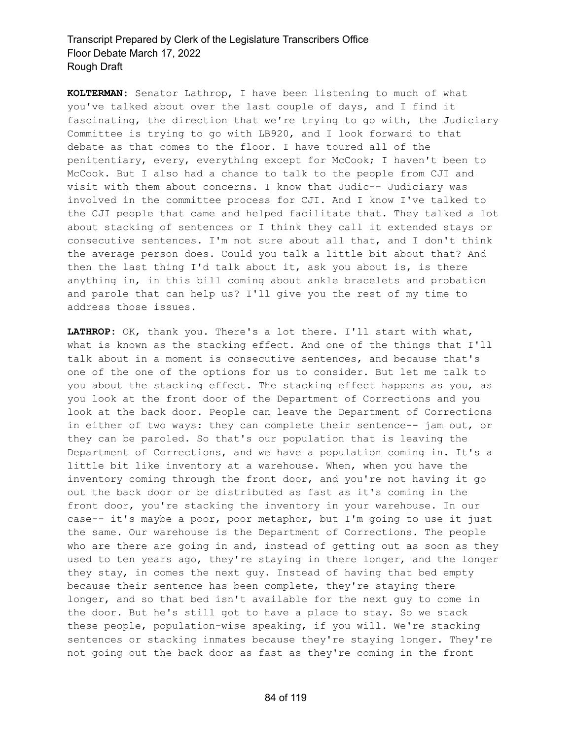**KOLTERMAN:** Senator Lathrop, I have been listening to much of what you've talked about over the last couple of days, and I find it fascinating, the direction that we're trying to go with, the Judiciary Committee is trying to go with LB920, and I look forward to that debate as that comes to the floor. I have toured all of the penitentiary, every, everything except for McCook; I haven't been to McCook. But I also had a chance to talk to the people from CJI and visit with them about concerns. I know that Judic-- Judiciary was involved in the committee process for CJI. And I know I've talked to the CJI people that came and helped facilitate that. They talked a lot about stacking of sentences or I think they call it extended stays or consecutive sentences. I'm not sure about all that, and I don't think the average person does. Could you talk a little bit about that? And then the last thing I'd talk about it, ask you about is, is there anything in, in this bill coming about ankle bracelets and probation and parole that can help us? I'll give you the rest of my time to address those issues.

**LATHROP:** OK, thank you. There's a lot there. I'll start with what, what is known as the stacking effect. And one of the things that I'll talk about in a moment is consecutive sentences, and because that's one of the one of the options for us to consider. But let me talk to you about the stacking effect. The stacking effect happens as you, as you look at the front door of the Department of Corrections and you look at the back door. People can leave the Department of Corrections in either of two ways: they can complete their sentence-- jam out, or they can be paroled. So that's our population that is leaving the Department of Corrections, and we have a population coming in. It's a little bit like inventory at a warehouse. When, when you have the inventory coming through the front door, and you're not having it go out the back door or be distributed as fast as it's coming in the front door, you're stacking the inventory in your warehouse. In our case-- it's maybe a poor, poor metaphor, but I'm going to use it just the same. Our warehouse is the Department of Corrections. The people who are there are going in and, instead of getting out as soon as they used to ten years ago, they're staying in there longer, and the longer they stay, in comes the next guy. Instead of having that bed empty because their sentence has been complete, they're staying there longer, and so that bed isn't available for the next guy to come in the door. But he's still got to have a place to stay. So we stack these people, population-wise speaking, if you will. We're stacking sentences or stacking inmates because they're staying longer. They're not going out the back door as fast as they're coming in the front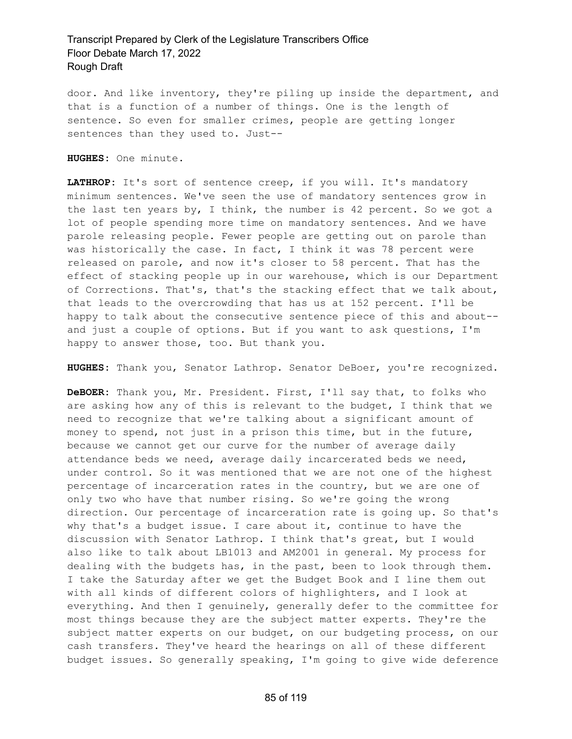door. And like inventory, they're piling up inside the department, and that is a function of a number of things. One is the length of sentence. So even for smaller crimes, people are getting longer sentences than they used to. Just--

**HUGHES:** One minute.

**LATHROP:** It's sort of sentence creep, if you will. It's mandatory minimum sentences. We've seen the use of mandatory sentences grow in the last ten years by, I think, the number is 42 percent. So we got a lot of people spending more time on mandatory sentences. And we have parole releasing people. Fewer people are getting out on parole than was historically the case. In fact, I think it was 78 percent were released on parole, and now it's closer to 58 percent. That has the effect of stacking people up in our warehouse, which is our Department of Corrections. That's, that's the stacking effect that we talk about, that leads to the overcrowding that has us at 152 percent. I'll be happy to talk about the consecutive sentence piece of this and about- and just a couple of options. But if you want to ask questions, I'm happy to answer those, too. But thank you.

**HUGHES:** Thank you, Senator Lathrop. Senator DeBoer, you're recognized.

**DeBOER:** Thank you, Mr. President. First, I'll say that, to folks who are asking how any of this is relevant to the budget, I think that we need to recognize that we're talking about a significant amount of money to spend, not just in a prison this time, but in the future, because we cannot get our curve for the number of average daily attendance beds we need, average daily incarcerated beds we need, under control. So it was mentioned that we are not one of the highest percentage of incarceration rates in the country, but we are one of only two who have that number rising. So we're going the wrong direction. Our percentage of incarceration rate is going up. So that's why that's a budget issue. I care about it, continue to have the discussion with Senator Lathrop. I think that's great, but I would also like to talk about LB1013 and AM2001 in general. My process for dealing with the budgets has, in the past, been to look through them. I take the Saturday after we get the Budget Book and I line them out with all kinds of different colors of highlighters, and I look at everything. And then I genuinely, generally defer to the committee for most things because they are the subject matter experts. They're the subject matter experts on our budget, on our budgeting process, on our cash transfers. They've heard the hearings on all of these different budget issues. So generally speaking, I'm going to give wide deference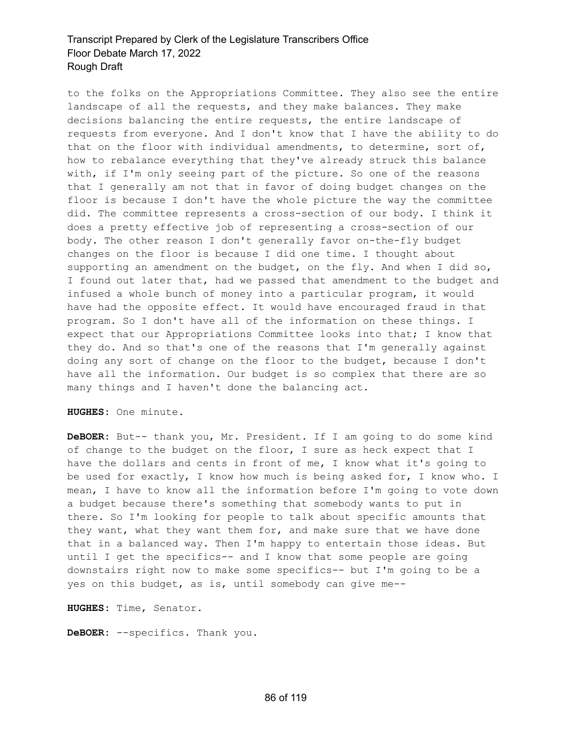to the folks on the Appropriations Committee. They also see the entire landscape of all the requests, and they make balances. They make decisions balancing the entire requests, the entire landscape of requests from everyone. And I don't know that I have the ability to do that on the floor with individual amendments, to determine, sort of, how to rebalance everything that they've already struck this balance with, if I'm only seeing part of the picture. So one of the reasons that I generally am not that in favor of doing budget changes on the floor is because I don't have the whole picture the way the committee did. The committee represents a cross-section of our body. I think it does a pretty effective job of representing a cross-section of our body. The other reason I don't generally favor on-the-fly budget changes on the floor is because I did one time. I thought about supporting an amendment on the budget, on the fly. And when I did so, I found out later that, had we passed that amendment to the budget and infused a whole bunch of money into a particular program, it would have had the opposite effect. It would have encouraged fraud in that program. So I don't have all of the information on these things. I expect that our Appropriations Committee looks into that; I know that they do. And so that's one of the reasons that I'm generally against doing any sort of change on the floor to the budget, because I don't have all the information. Our budget is so complex that there are so many things and I haven't done the balancing act.

**HUGHES:** One minute.

**DeBOER:** But-- thank you, Mr. President. If I am going to do some kind of change to the budget on the floor, I sure as heck expect that I have the dollars and cents in front of me, I know what it's going to be used for exactly, I know how much is being asked for, I know who. I mean, I have to know all the information before I'm going to vote down a budget because there's something that somebody wants to put in there. So I'm looking for people to talk about specific amounts that they want, what they want them for, and make sure that we have done that in a balanced way. Then I'm happy to entertain those ideas. But until I get the specifics-- and I know that some people are going downstairs right now to make some specifics-- but I'm going to be a yes on this budget, as is, until somebody can give me--

**HUGHES:** Time, Senator.

**DeBOER:** --specifics. Thank you.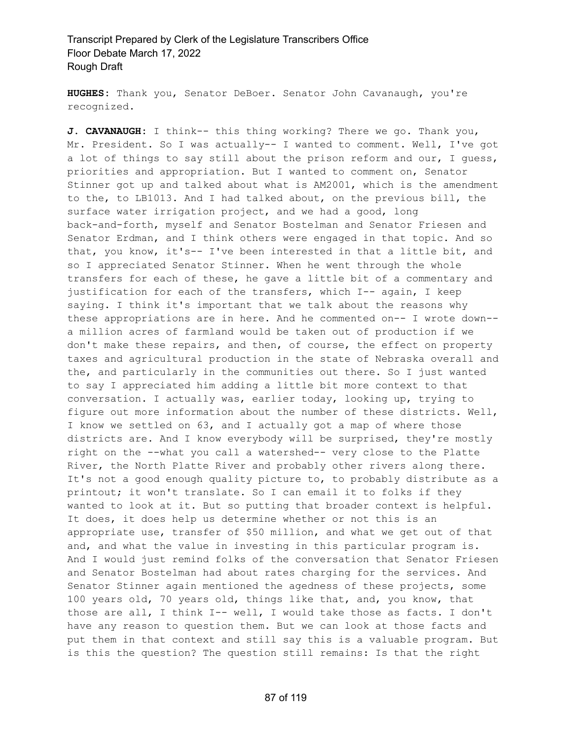**HUGHES:** Thank you, Senator DeBoer. Senator John Cavanaugh, you're recognized.

**J. CAVANAUGH:** I think-- this thing working? There we go. Thank you, Mr. President. So I was actually-- I wanted to comment. Well, I've got a lot of things to say still about the prison reform and our, I guess, priorities and appropriation. But I wanted to comment on, Senator Stinner got up and talked about what is AM2001, which is the amendment to the, to LB1013. And I had talked about, on the previous bill, the surface water irrigation project, and we had a good, long back-and-forth, myself and Senator Bostelman and Senator Friesen and Senator Erdman, and I think others were engaged in that topic. And so that, you know, it's-- I've been interested in that a little bit, and so I appreciated Senator Stinner. When he went through the whole transfers for each of these, he gave a little bit of a commentary and justification for each of the transfers, which I-- again, I keep saying. I think it's important that we talk about the reasons why these appropriations are in here. And he commented on-- I wrote down- a million acres of farmland would be taken out of production if we don't make these repairs, and then, of course, the effect on property taxes and agricultural production in the state of Nebraska overall and the, and particularly in the communities out there. So I just wanted to say I appreciated him adding a little bit more context to that conversation. I actually was, earlier today, looking up, trying to figure out more information about the number of these districts. Well, I know we settled on 63, and I actually got a map of where those districts are. And I know everybody will be surprised, they're mostly right on the --what you call a watershed-- very close to the Platte River, the North Platte River and probably other rivers along there. It's not a good enough quality picture to, to probably distribute as a printout; it won't translate. So I can email it to folks if they wanted to look at it. But so putting that broader context is helpful. It does, it does help us determine whether or not this is an appropriate use, transfer of \$50 million, and what we get out of that and, and what the value in investing in this particular program is. And I would just remind folks of the conversation that Senator Friesen and Senator Bostelman had about rates charging for the services. And Senator Stinner again mentioned the agedness of these projects, some 100 years old, 70 years old, things like that, and, you know, that those are all, I think I-- well, I would take those as facts. I don't have any reason to question them. But we can look at those facts and put them in that context and still say this is a valuable program. But is this the question? The question still remains: Is that the right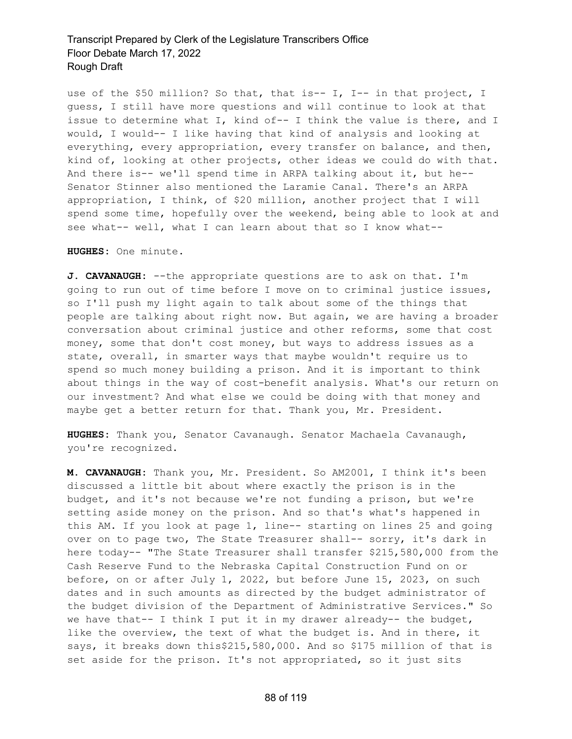use of the \$50 million? So that, that is-- I, I-- in that project, I guess, I still have more questions and will continue to look at that issue to determine what I, kind of-- I think the value is there, and I would, I would-- I like having that kind of analysis and looking at everything, every appropriation, every transfer on balance, and then, kind of, looking at other projects, other ideas we could do with that. And there is-- we'll spend time in ARPA talking about it, but he-- Senator Stinner also mentioned the Laramie Canal. There's an ARPA appropriation, I think, of \$20 million, another project that I will spend some time, hopefully over the weekend, being able to look at and see what-- well, what I can learn about that so I know what--

**HUGHES:** One minute.

**J. CAVANAUGH:** --the appropriate questions are to ask on that. I'm going to run out of time before I move on to criminal justice issues, so I'll push my light again to talk about some of the things that people are talking about right now. But again, we are having a broader conversation about criminal justice and other reforms, some that cost money, some that don't cost money, but ways to address issues as a state, overall, in smarter ways that maybe wouldn't require us to spend so much money building a prison. And it is important to think about things in the way of cost-benefit analysis. What's our return on our investment? And what else we could be doing with that money and maybe get a better return for that. Thank you, Mr. President.

**HUGHES:** Thank you, Senator Cavanaugh. Senator Machaela Cavanaugh, you're recognized.

**M. CAVANAUGH:** Thank you, Mr. President. So AM2001, I think it's been discussed a little bit about where exactly the prison is in the budget, and it's not because we're not funding a prison, but we're setting aside money on the prison. And so that's what's happened in this AM. If you look at page 1, line-- starting on lines 25 and going over on to page two, The State Treasurer shall-- sorry, it's dark in here today-- "The State Treasurer shall transfer \$215,580,000 from the Cash Reserve Fund to the Nebraska Capital Construction Fund on or before, on or after July 1, 2022, but before June 15, 2023, on such dates and in such amounts as directed by the budget administrator of the budget division of the Department of Administrative Services." So we have that-- I think I put it in my drawer already-- the budget, like the overview, the text of what the budget is. And in there, it says, it breaks down this\$215,580,000. And so \$175 million of that is set aside for the prison. It's not appropriated, so it just sits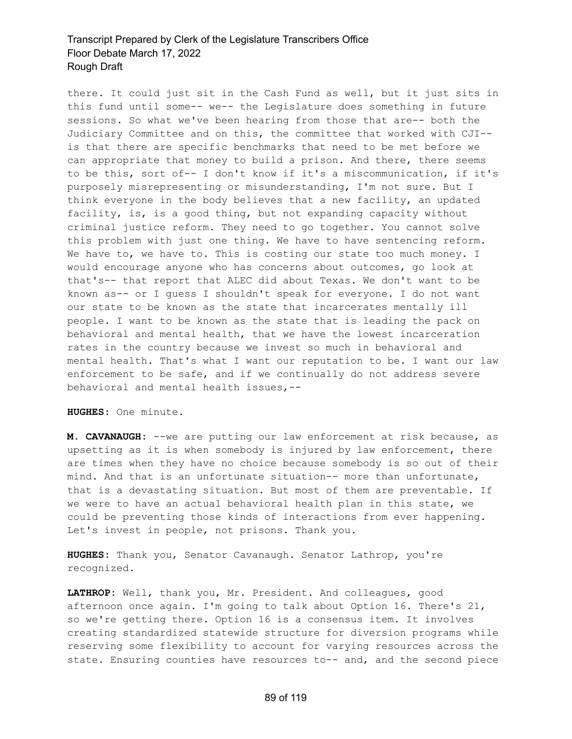there. It could just sit in the Cash Fund as well, but it just sits in this fund until some-- we-- the Legislature does something in future sessions. So what we've been hearing from those that are-- both the Judiciary Committee and on this, the committee that worked with CJI- is that there are specific benchmarks that need to be met before we can appropriate that money to build a prison. And there, there seems to be this, sort of-- I don't know if it's a miscommunication, if it's purposely misrepresenting or misunderstanding, I'm not sure. But I think everyone in the body believes that a new facility, an updated facility, is, is a good thing, but not expanding capacity without criminal justice reform. They need to go together. You cannot solve this problem with just one thing. We have to have sentencing reform. We have to, we have to. This is costing our state too much money. I would encourage anyone who has concerns about outcomes, go look at that's-- that report that ALEC did about Texas. We don't want to be known as-- or I guess I shouldn't speak for everyone. I do not want our state to be known as the state that incarcerates mentally ill people. I want to be known as the state that is leading the pack on behavioral and mental health, that we have the lowest incarceration rates in the country because we invest so much in behavioral and mental health. That's what I want our reputation to be. I want our law enforcement to be safe, and if we continually do not address severe behavioral and mental health issues,--

**HUGHES:** One minute.

**M. CAVANAUGH:** --we are putting our law enforcement at risk because, as upsetting as it is when somebody is injured by law enforcement, there are times when they have no choice because somebody is so out of their mind. And that is an unfortunate situation-- more than unfortunate, that is a devastating situation. But most of them are preventable. If we were to have an actual behavioral health plan in this state, we could be preventing those kinds of interactions from ever happening. Let's invest in people, not prisons. Thank you.

**HUGHES:** Thank you, Senator Cavanaugh. Senator Lathrop, you're recognized.

**LATHROP:** Well, thank you, Mr. President. And colleagues, good afternoon once again. I'm going to talk about Option 16. There's 21, so we're getting there. Option 16 is a consensus item. It involves creating standardized statewide structure for diversion programs while reserving some flexibility to account for varying resources across the state. Ensuring counties have resources to-- and, and the second piece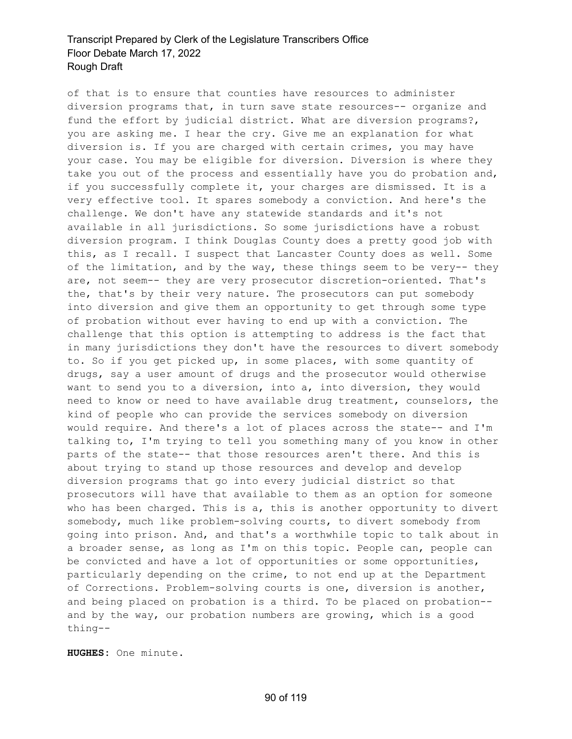of that is to ensure that counties have resources to administer diversion programs that, in turn save state resources-- organize and fund the effort by judicial district. What are diversion programs?, you are asking me. I hear the cry. Give me an explanation for what diversion is. If you are charged with certain crimes, you may have your case. You may be eligible for diversion. Diversion is where they take you out of the process and essentially have you do probation and, if you successfully complete it, your charges are dismissed. It is a very effective tool. It spares somebody a conviction. And here's the challenge. We don't have any statewide standards and it's not available in all jurisdictions. So some jurisdictions have a robust diversion program. I think Douglas County does a pretty good job with this, as I recall. I suspect that Lancaster County does as well. Some of the limitation, and by the way, these things seem to be very-- they are, not seem-- they are very prosecutor discretion-oriented. That's the, that's by their very nature. The prosecutors can put somebody into diversion and give them an opportunity to get through some type of probation without ever having to end up with a conviction. The challenge that this option is attempting to address is the fact that in many jurisdictions they don't have the resources to divert somebody to. So if you get picked up, in some places, with some quantity of drugs, say a user amount of drugs and the prosecutor would otherwise want to send you to a diversion, into a, into diversion, they would need to know or need to have available drug treatment, counselors, the kind of people who can provide the services somebody on diversion would require. And there's a lot of places across the state-- and I'm talking to, I'm trying to tell you something many of you know in other parts of the state-- that those resources aren't there. And this is about trying to stand up those resources and develop and develop diversion programs that go into every judicial district so that prosecutors will have that available to them as an option for someone who has been charged. This is a, this is another opportunity to divert somebody, much like problem-solving courts, to divert somebody from going into prison. And, and that's a worthwhile topic to talk about in a broader sense, as long as I'm on this topic. People can, people can be convicted and have a lot of opportunities or some opportunities, particularly depending on the crime, to not end up at the Department of Corrections. Problem-solving courts is one, diversion is another, and being placed on probation is a third. To be placed on probation- and by the way, our probation numbers are growing, which is a good thing--

**HUGHES:** One minute.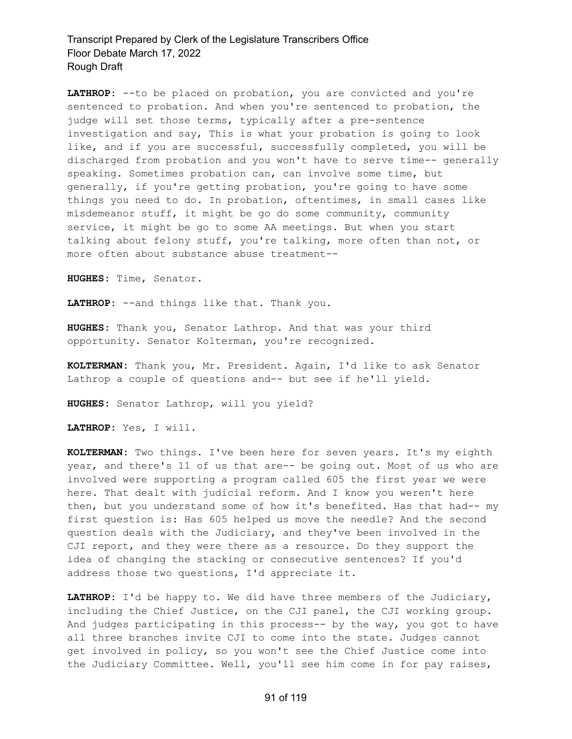LATHROP: --to be placed on probation, you are convicted and you're sentenced to probation. And when you're sentenced to probation, the judge will set those terms, typically after a pre-sentence investigation and say, This is what your probation is going to look like, and if you are successful, successfully completed, you will be discharged from probation and you won't have to serve time-- generally speaking. Sometimes probation can, can involve some time, but generally, if you're getting probation, you're going to have some things you need to do. In probation, oftentimes, in small cases like misdemeanor stuff, it might be go do some community, community service, it might be go to some AA meetings. But when you start talking about felony stuff, you're talking, more often than not, or more often about substance abuse treatment--

**HUGHES:** Time, Senator.

**LATHROP:** --and things like that. Thank you.

**HUGHES:** Thank you, Senator Lathrop. And that was your third opportunity. Senator Kolterman, you're recognized.

**KOLTERMAN:** Thank you, Mr. President. Again, I'd like to ask Senator Lathrop a couple of questions and-- but see if he'll yield.

**HUGHES:** Senator Lathrop, will you yield?

**LATHROP:** Yes, I will.

**KOLTERMAN:** Two things. I've been here for seven years. It's my eighth year, and there's 11 of us that are-- be going out. Most of us who are involved were supporting a program called 605 the first year we were here. That dealt with judicial reform. And I know you weren't here then, but you understand some of how it's benefited. Has that had-- my first question is: Has 605 helped us move the needle? And the second question deals with the Judiciary, and they've been involved in the CJI report, and they were there as a resource. Do they support the idea of changing the stacking or consecutive sentences? If you'd address those two questions, I'd appreciate it.

**LATHROP:** I'd be happy to. We did have three members of the Judiciary, including the Chief Justice, on the CJI panel, the CJI working group. And judges participating in this process-- by the way, you got to have all three branches invite CJI to come into the state. Judges cannot get involved in policy, so you won't see the Chief Justice come into the Judiciary Committee. Well, you'll see him come in for pay raises,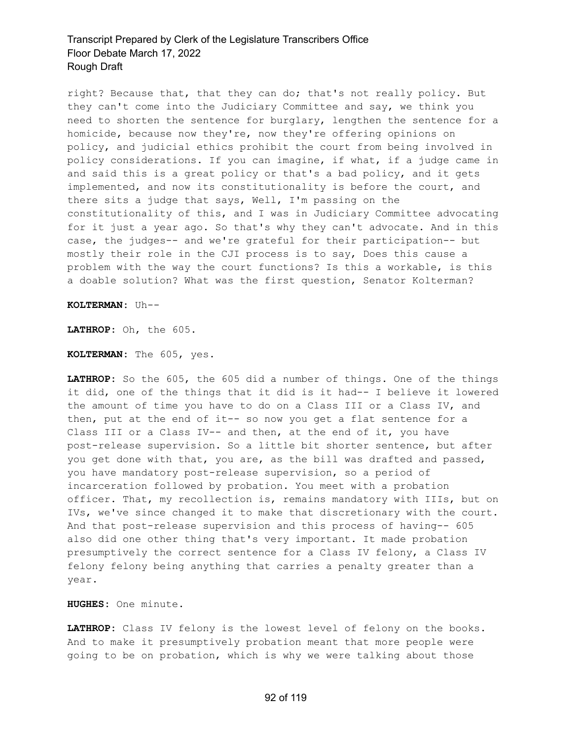right? Because that, that they can do; that's not really policy. But they can't come into the Judiciary Committee and say, we think you need to shorten the sentence for burglary, lengthen the sentence for a homicide, because now they're, now they're offering opinions on policy, and judicial ethics prohibit the court from being involved in policy considerations. If you can imagine, if what, if a judge came in and said this is a great policy or that's a bad policy, and it gets implemented, and now its constitutionality is before the court, and there sits a judge that says, Well, I'm passing on the constitutionality of this, and I was in Judiciary Committee advocating for it just a year ago. So that's why they can't advocate. And in this case, the judges-- and we're grateful for their participation-- but mostly their role in the CJI process is to say, Does this cause a problem with the way the court functions? Is this a workable, is this a doable solution? What was the first question, Senator Kolterman?

**KOLTERMAN:** Uh--

**LATHROP:** Oh, the 605.

**KOLTERMAN:** The 605, yes.

**LATHROP:** So the 605, the 605 did a number of things. One of the things it did, one of the things that it did is it had-- I believe it lowered the amount of time you have to do on a Class III or a Class IV, and then, put at the end of it-- so now you get a flat sentence for a Class III or a Class IV-- and then, at the end of it, you have post-release supervision. So a little bit shorter sentence, but after you get done with that, you are, as the bill was drafted and passed, you have mandatory post-release supervision, so a period of incarceration followed by probation. You meet with a probation officer. That, my recollection is, remains mandatory with IIIs, but on IVs, we've since changed it to make that discretionary with the court. And that post-release supervision and this process of having-- 605 also did one other thing that's very important. It made probation presumptively the correct sentence for a Class IV felony, a Class IV felony felony being anything that carries a penalty greater than a year.

**HUGHES:** One minute.

**LATHROP:** Class IV felony is the lowest level of felony on the books. And to make it presumptively probation meant that more people were going to be on probation, which is why we were talking about those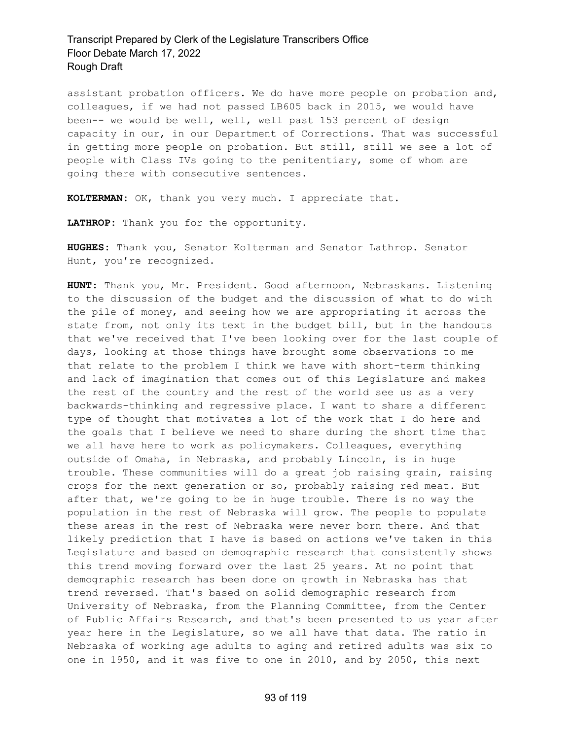assistant probation officers. We do have more people on probation and, colleagues, if we had not passed LB605 back in 2015, we would have been-- we would be well, well, well past 153 percent of design capacity in our, in our Department of Corrections. That was successful in getting more people on probation. But still, still we see a lot of people with Class IVs going to the penitentiary, some of whom are going there with consecutive sentences.

**KOLTERMAN:** OK, thank you very much. I appreciate that.

**LATHROP:** Thank you for the opportunity.

**HUGHES:** Thank you, Senator Kolterman and Senator Lathrop. Senator Hunt, you're recognized.

**HUNT:** Thank you, Mr. President. Good afternoon, Nebraskans. Listening to the discussion of the budget and the discussion of what to do with the pile of money, and seeing how we are appropriating it across the state from, not only its text in the budget bill, but in the handouts that we've received that I've been looking over for the last couple of days, looking at those things have brought some observations to me that relate to the problem I think we have with short-term thinking and lack of imagination that comes out of this Legislature and makes the rest of the country and the rest of the world see us as a very backwards-thinking and regressive place. I want to share a different type of thought that motivates a lot of the work that I do here and the goals that I believe we need to share during the short time that we all have here to work as policymakers. Colleagues, everything outside of Omaha, in Nebraska, and probably Lincoln, is in huge trouble. These communities will do a great job raising grain, raising crops for the next generation or so, probably raising red meat. But after that, we're going to be in huge trouble. There is no way the population in the rest of Nebraska will grow. The people to populate these areas in the rest of Nebraska were never born there. And that likely prediction that I have is based on actions we've taken in this Legislature and based on demographic research that consistently shows this trend moving forward over the last 25 years. At no point that demographic research has been done on growth in Nebraska has that trend reversed. That's based on solid demographic research from University of Nebraska, from the Planning Committee, from the Center of Public Affairs Research, and that's been presented to us year after year here in the Legislature, so we all have that data. The ratio in Nebraska of working age adults to aging and retired adults was six to one in 1950, and it was five to one in 2010, and by 2050, this next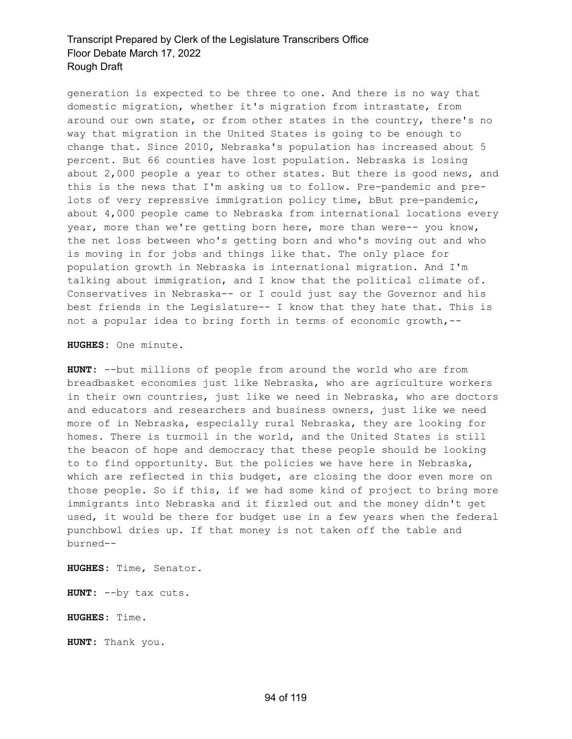generation is expected to be three to one. And there is no way that domestic migration, whether it's migration from intrastate, from around our own state, or from other states in the country, there's no way that migration in the United States is going to be enough to change that. Since 2010, Nebraska's population has increased about 5 percent. But 66 counties have lost population. Nebraska is losing about 2,000 people a year to other states. But there is good news, and this is the news that I'm asking us to follow. Pre-pandemic and prelots of very repressive immigration policy time, bBut pre-pandemic, about 4,000 people came to Nebraska from international locations every year, more than we're getting born here, more than were-- you know, the net loss between who's getting born and who's moving out and who is moving in for jobs and things like that. The only place for population growth in Nebraska is international migration. And I'm talking about immigration, and I know that the political climate of. Conservatives in Nebraska-- or I could just say the Governor and his best friends in the Legislature-- I know that they hate that. This is not a popular idea to bring forth in terms of economic growth,--

**HUGHES:** One minute.

**HUNT:** --but millions of people from around the world who are from breadbasket economies just like Nebraska, who are agriculture workers in their own countries, just like we need in Nebraska, who are doctors and educators and researchers and business owners, just like we need more of in Nebraska, especially rural Nebraska, they are looking for homes. There is turmoil in the world, and the United States is still the beacon of hope and democracy that these people should be looking to to find opportunity. But the policies we have here in Nebraska, which are reflected in this budget, are closing the door even more on those people. So if this, if we had some kind of project to bring more immigrants into Nebraska and it fizzled out and the money didn't get used, it would be there for budget use in a few years when the federal punchbowl dries up. If that money is not taken off the table and burned--

**HUGHES:** Time, Senator.

**HUNT:** --by tax cuts.

**HUGHES:** Time.

**HUNT:** Thank you.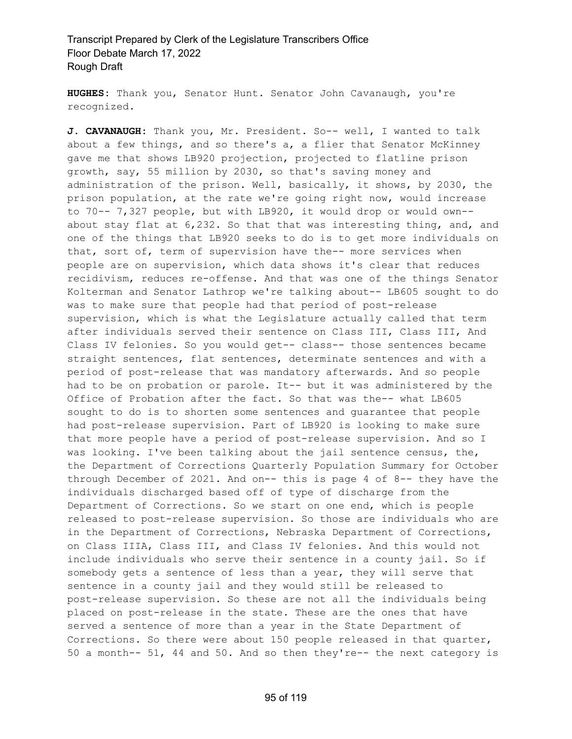**HUGHES:** Thank you, Senator Hunt. Senator John Cavanaugh, you're recognized.

**J. CAVANAUGH:** Thank you, Mr. President. So-- well, I wanted to talk about a few things, and so there's a, a flier that Senator McKinney gave me that shows LB920 projection, projected to flatline prison growth, say, 55 million by 2030, so that's saving money and administration of the prison. Well, basically, it shows, by 2030, the prison population, at the rate we're going right now, would increase to 70-- 7,327 people, but with LB920, it would drop or would own- about stay flat at 6,232. So that that was interesting thing, and, and one of the things that LB920 seeks to do is to get more individuals on that, sort of, term of supervision have the-- more services when people are on supervision, which data shows it's clear that reduces recidivism, reduces re-offense. And that was one of the things Senator Kolterman and Senator Lathrop we're talking about-- LB605 sought to do was to make sure that people had that period of post-release supervision, which is what the Legislature actually called that term after individuals served their sentence on Class III, Class III, And Class IV felonies. So you would get-- class-- those sentences became straight sentences, flat sentences, determinate sentences and with a period of post-release that was mandatory afterwards. And so people had to be on probation or parole. It-- but it was administered by the Office of Probation after the fact. So that was the-- what LB605 sought to do is to shorten some sentences and guarantee that people had post-release supervision. Part of LB920 is looking to make sure that more people have a period of post-release supervision. And so I was looking. I've been talking about the jail sentence census, the, the Department of Corrections Quarterly Population Summary for October through December of 2021. And on-- this is page 4 of 8-- they have the individuals discharged based off of type of discharge from the Department of Corrections. So we start on one end, which is people released to post-release supervision. So those are individuals who are in the Department of Corrections, Nebraska Department of Corrections, on Class IIIA, Class III, and Class IV felonies. And this would not include individuals who serve their sentence in a county jail. So if somebody gets a sentence of less than a year, they will serve that sentence in a county jail and they would still be released to post-release supervision. So these are not all the individuals being placed on post-release in the state. These are the ones that have served a sentence of more than a year in the State Department of Corrections. So there were about 150 people released in that quarter, 50 a month-- 51, 44 and 50. And so then they're-- the next category is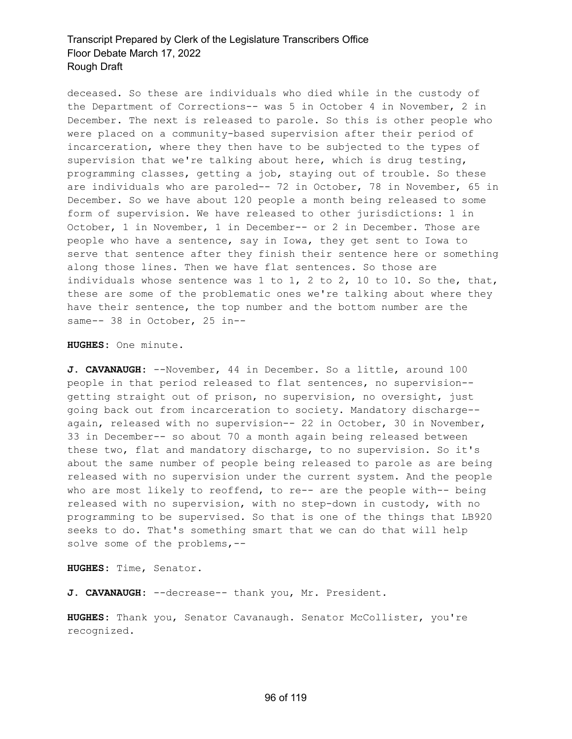deceased. So these are individuals who died while in the custody of the Department of Corrections-- was 5 in October 4 in November, 2 in December. The next is released to parole. So this is other people who were placed on a community-based supervision after their period of incarceration, where they then have to be subjected to the types of supervision that we're talking about here, which is drug testing, programming classes, getting a job, staying out of trouble. So these are individuals who are paroled-- 72 in October, 78 in November, 65 in December. So we have about 120 people a month being released to some form of supervision. We have released to other jurisdictions: 1 in October, 1 in November, 1 in December-- or 2 in December. Those are people who have a sentence, say in Iowa, they get sent to Iowa to serve that sentence after they finish their sentence here or something along those lines. Then we have flat sentences. So those are individuals whose sentence was 1 to 1, 2 to 2, 10 to 10. So the, that, these are some of the problematic ones we're talking about where they have their sentence, the top number and the bottom number are the same-- 38 in October, 25 in--

**HUGHES:** One minute.

**J. CAVANAUGH:** --November, 44 in December. So a little, around 100 people in that period released to flat sentences, no supervision- getting straight out of prison, no supervision, no oversight, just going back out from incarceration to society. Mandatory discharge- again, released with no supervision-- 22 in October, 30 in November, 33 in December-- so about 70 a month again being released between these two, flat and mandatory discharge, to no supervision. So it's about the same number of people being released to parole as are being released with no supervision under the current system. And the people who are most likely to reoffend, to re-- are the people with-- being released with no supervision, with no step-down in custody, with no programming to be supervised. So that is one of the things that LB920 seeks to do. That's something smart that we can do that will help solve some of the problems,--

**HUGHES:** Time, Senator.

**J. CAVANAUGH:** --decrease-- thank you, Mr. President.

**HUGHES:** Thank you, Senator Cavanaugh. Senator McCollister, you're recognized.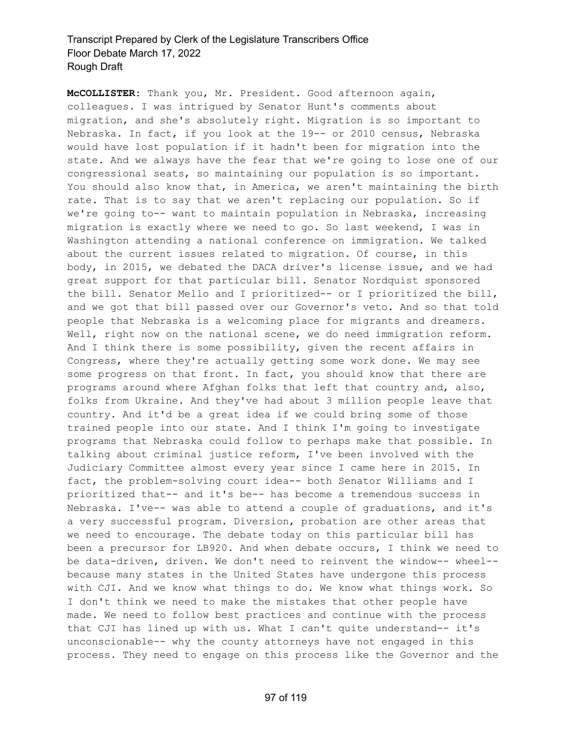**McCOLLISTER:** Thank you, Mr. President. Good afternoon again, colleagues. I was intrigued by Senator Hunt's comments about migration, and she's absolutely right. Migration is so important to Nebraska. In fact, if you look at the 19-- or 2010 census, Nebraska would have lost population if it hadn't been for migration into the state. And we always have the fear that we're going to lose one of our congressional seats, so maintaining our population is so important. You should also know that, in America, we aren't maintaining the birth rate. That is to say that we aren't replacing our population. So if we're going to-- want to maintain population in Nebraska, increasing migration is exactly where we need to go. So last weekend, I was in Washington attending a national conference on immigration. We talked about the current issues related to migration. Of course, in this body, in 2015, we debated the DACA driver's license issue, and we had great support for that particular bill. Senator Nordquist sponsored the bill. Senator Mello and I prioritized-- or I prioritized the bill, and we got that bill passed over our Governor's veto. And so that told people that Nebraska is a welcoming place for migrants and dreamers. Well, right now on the national scene, we do need immigration reform. And I think there is some possibility, given the recent affairs in Congress, where they're actually getting some work done. We may see some progress on that front. In fact, you should know that there are programs around where Afghan folks that left that country and, also, folks from Ukraine. And they've had about 3 million people leave that country. And it'd be a great idea if we could bring some of those trained people into our state. And I think I'm going to investigate programs that Nebraska could follow to perhaps make that possible. In talking about criminal justice reform, I've been involved with the Judiciary Committee almost every year since I came here in 2015. In fact, the problem-solving court idea-- both Senator Williams and I prioritized that-- and it's be-- has become a tremendous success in Nebraska. I've-- was able to attend a couple of graduations, and it's a very successful program. Diversion, probation are other areas that we need to encourage. The debate today on this particular bill has been a precursor for LB920. And when debate occurs, I think we need to be data-driven, driven. We don't need to reinvent the window-- wheel- because many states in the United States have undergone this process with CJI. And we know what things to do. We know what things work. So I don't think we need to make the mistakes that other people have made. We need to follow best practices and continue with the process that CJI has lined up with us. What I can't quite understand-- it's unconscionable-- why the county attorneys have not engaged in this process. They need to engage on this process like the Governor and the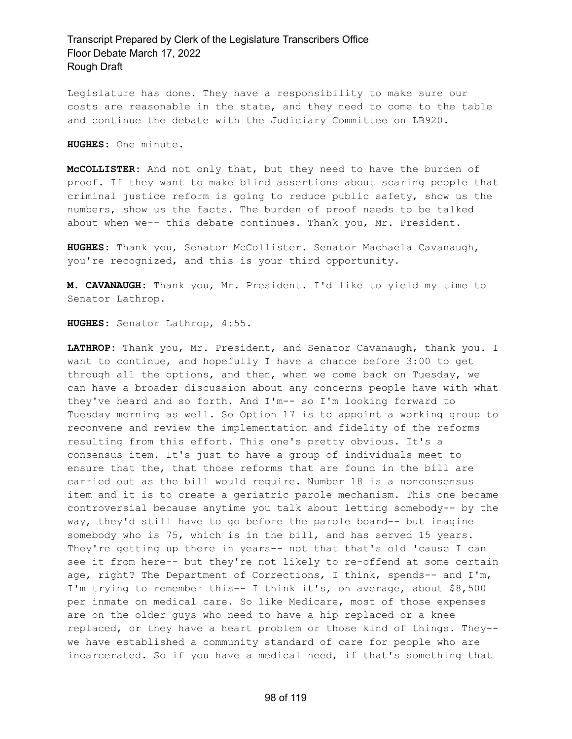Legislature has done. They have a responsibility to make sure our costs are reasonable in the state, and they need to come to the table and continue the debate with the Judiciary Committee on LB920.

**HUGHES:** One minute.

**McCOLLISTER:** And not only that, but they need to have the burden of proof. If they want to make blind assertions about scaring people that criminal justice reform is going to reduce public safety, show us the numbers, show us the facts. The burden of proof needs to be talked about when we-- this debate continues. Thank you, Mr. President.

**HUGHES:** Thank you, Senator McCollister. Senator Machaela Cavanaugh, you're recognized, and this is your third opportunity.

**M. CAVANAUGH:** Thank you, Mr. President. I'd like to yield my time to Senator Lathrop.

**HUGHES:** Senator Lathrop, 4:55.

**LATHROP:** Thank you, Mr. President, and Senator Cavanaugh, thank you. I want to continue, and hopefully I have a chance before 3:00 to get through all the options, and then, when we come back on Tuesday, we can have a broader discussion about any concerns people have with what they've heard and so forth. And I'm-- so I'm looking forward to Tuesday morning as well. So Option 17 is to appoint a working group to reconvene and review the implementation and fidelity of the reforms resulting from this effort. This one's pretty obvious. It's a consensus item. It's just to have a group of individuals meet to ensure that the, that those reforms that are found in the bill are carried out as the bill would require. Number 18 is a nonconsensus item and it is to create a geriatric parole mechanism. This one became controversial because anytime you talk about letting somebody-- by the way, they'd still have to go before the parole board-- but imagine somebody who is 75, which is in the bill, and has served 15 years. They're getting up there in years-- not that that's old 'cause I can see it from here-- but they're not likely to re-offend at some certain age, right? The Department of Corrections, I think, spends-- and I'm, I'm trying to remember this-- I think it's, on average, about \$8,500 per inmate on medical care. So like Medicare, most of those expenses are on the older guys who need to have a hip replaced or a knee replaced, or they have a heart problem or those kind of things. They- we have established a community standard of care for people who are incarcerated. So if you have a medical need, if that's something that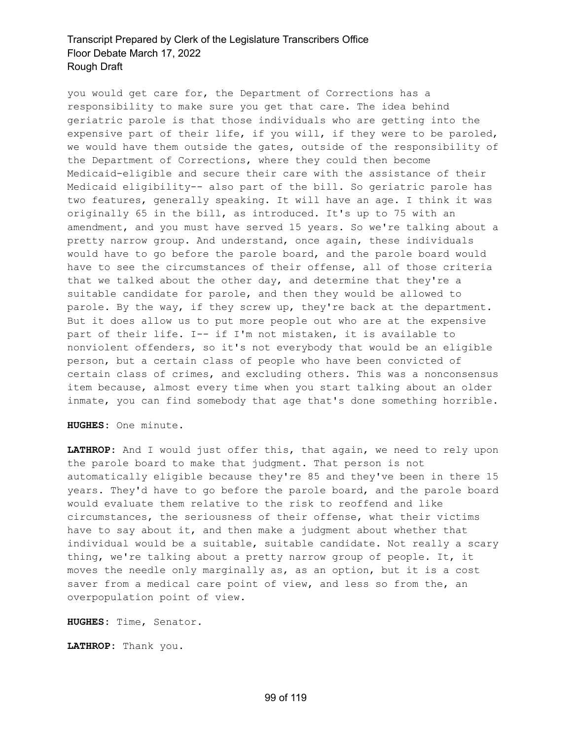you would get care for, the Department of Corrections has a responsibility to make sure you get that care. The idea behind geriatric parole is that those individuals who are getting into the expensive part of their life, if you will, if they were to be paroled, we would have them outside the gates, outside of the responsibility of the Department of Corrections, where they could then become Medicaid-eligible and secure their care with the assistance of their Medicaid eligibility-- also part of the bill. So geriatric parole has two features, generally speaking. It will have an age. I think it was originally 65 in the bill, as introduced. It's up to 75 with an amendment, and you must have served 15 years. So we're talking about a pretty narrow group. And understand, once again, these individuals would have to go before the parole board, and the parole board would have to see the circumstances of their offense, all of those criteria that we talked about the other day, and determine that they're a suitable candidate for parole, and then they would be allowed to parole. By the way, if they screw up, they're back at the department. But it does allow us to put more people out who are at the expensive part of their life. I-- if I'm not mistaken, it is available to nonviolent offenders, so it's not everybody that would be an eligible person, but a certain class of people who have been convicted of certain class of crimes, and excluding others. This was a nonconsensus item because, almost every time when you start talking about an older inmate, you can find somebody that age that's done something horrible.

**HUGHES:** One minute.

**LATHROP:** And I would just offer this, that again, we need to rely upon the parole board to make that judgment. That person is not automatically eligible because they're 85 and they've been in there 15 years. They'd have to go before the parole board, and the parole board would evaluate them relative to the risk to reoffend and like circumstances, the seriousness of their offense, what their victims have to say about it, and then make a judgment about whether that individual would be a suitable, suitable candidate. Not really a scary thing, we're talking about a pretty narrow group of people. It, it moves the needle only marginally as, as an option, but it is a cost saver from a medical care point of view, and less so from the, an overpopulation point of view.

**HUGHES:** Time, Senator.

**LATHROP:** Thank you.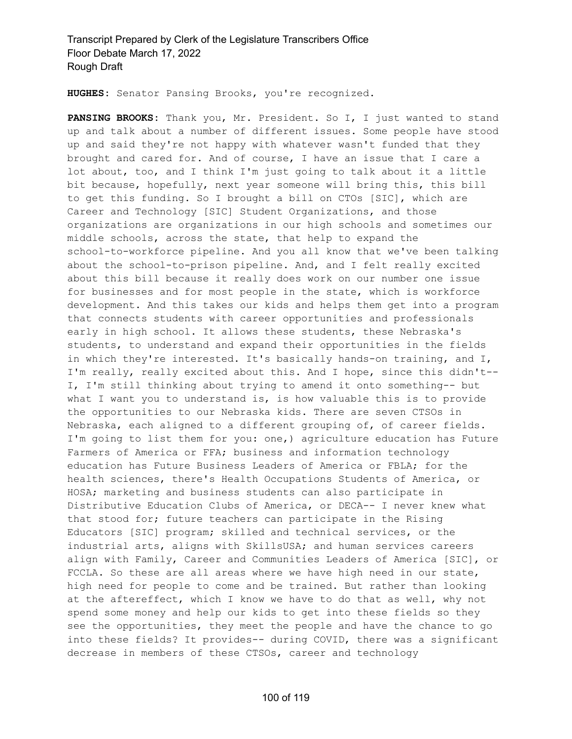**HUGHES:** Senator Pansing Brooks, you're recognized.

**PANSING BROOKS:** Thank you, Mr. President. So I, I just wanted to stand up and talk about a number of different issues. Some people have stood up and said they're not happy with whatever wasn't funded that they brought and cared for. And of course, I have an issue that I care a lot about, too, and I think I'm just going to talk about it a little bit because, hopefully, next year someone will bring this, this bill to get this funding. So I brought a bill on CTOs [SIC], which are Career and Technology [SIC] Student Organizations, and those organizations are organizations in our high schools and sometimes our middle schools, across the state, that help to expand the school-to-workforce pipeline. And you all know that we've been talking about the school-to-prison pipeline. And, and I felt really excited about this bill because it really does work on our number one issue for businesses and for most people in the state, which is workforce development. And this takes our kids and helps them get into a program that connects students with career opportunities and professionals early in high school. It allows these students, these Nebraska's students, to understand and expand their opportunities in the fields in which they're interested. It's basically hands-on training, and I, I'm really, really excited about this. And I hope, since this didn't-- I, I'm still thinking about trying to amend it onto something-- but what I want you to understand is, is how valuable this is to provide the opportunities to our Nebraska kids. There are seven CTSOs in Nebraska, each aligned to a different grouping of, of career fields. I'm going to list them for you: one,) agriculture education has Future Farmers of America or FFA; business and information technology education has Future Business Leaders of America or FBLA; for the health sciences, there's Health Occupations Students of America, or HOSA; marketing and business students can also participate in Distributive Education Clubs of America, or DECA-- I never knew what that stood for; future teachers can participate in the Rising Educators [SIC] program; skilled and technical services, or the industrial arts, aligns with SkillsUSA; and human services careers align with Family, Career and Communities Leaders of America [SIC], or FCCLA. So these are all areas where we have high need in our state, high need for people to come and be trained. But rather than looking at the aftereffect, which I know we have to do that as well, why not spend some money and help our kids to get into these fields so they see the opportunities, they meet the people and have the chance to go into these fields? It provides-- during COVID, there was a significant decrease in members of these CTSOs, career and technology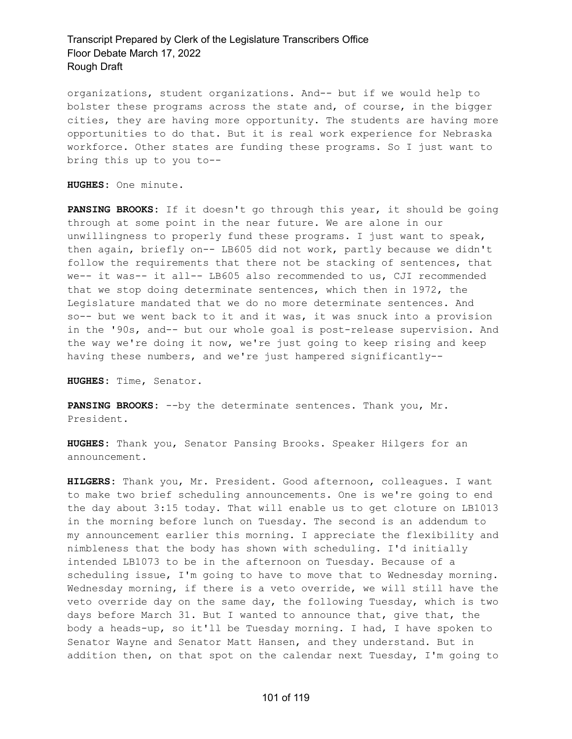organizations, student organizations. And-- but if we would help to bolster these programs across the state and, of course, in the bigger cities, they are having more opportunity. The students are having more opportunities to do that. But it is real work experience for Nebraska workforce. Other states are funding these programs. So I just want to bring this up to you to--

**HUGHES:** One minute.

**PANSING BROOKS:** If it doesn't go through this year, it should be going through at some point in the near future. We are alone in our unwillingness to properly fund these programs. I just want to speak, then again, briefly on-- LB605 did not work, partly because we didn't follow the requirements that there not be stacking of sentences, that we-- it was-- it all-- LB605 also recommended to us, CJI recommended that we stop doing determinate sentences, which then in 1972, the Legislature mandated that we do no more determinate sentences. And so-- but we went back to it and it was, it was snuck into a provision in the '90s, and-- but our whole goal is post-release supervision. And the way we're doing it now, we're just going to keep rising and keep having these numbers, and we're just hampered significantly--

**HUGHES:** Time, Senator.

**PANSING BROOKS:** --by the determinate sentences. Thank you, Mr. President.

**HUGHES:** Thank you, Senator Pansing Brooks. Speaker Hilgers for an announcement.

**HILGERS:** Thank you, Mr. President. Good afternoon, colleagues. I want to make two brief scheduling announcements. One is we're going to end the day about 3:15 today. That will enable us to get cloture on LB1013 in the morning before lunch on Tuesday. The second is an addendum to my announcement earlier this morning. I appreciate the flexibility and nimbleness that the body has shown with scheduling. I'd initially intended LB1073 to be in the afternoon on Tuesday. Because of a scheduling issue, I'm going to have to move that to Wednesday morning. Wednesday morning, if there is a veto override, we will still have the veto override day on the same day, the following Tuesday, which is two days before March 31. But I wanted to announce that, give that, the body a heads-up, so it'll be Tuesday morning. I had, I have spoken to Senator Wayne and Senator Matt Hansen, and they understand. But in addition then, on that spot on the calendar next Tuesday, I'm going to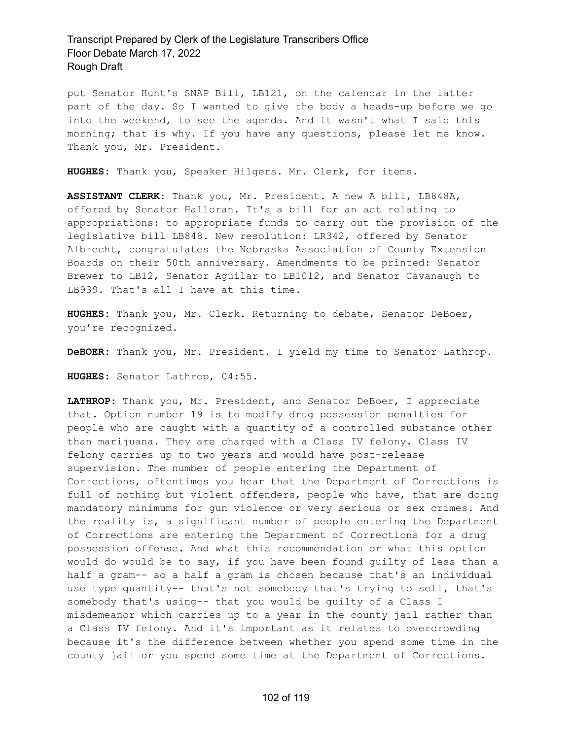put Senator Hunt's SNAP Bill, LB121, on the calendar in the latter part of the day. So I wanted to give the body a heads-up before we go into the weekend, to see the agenda. And it wasn't what I said this morning; that is why. If you have any questions, please let me know. Thank you, Mr. President.

**HUGHES:** Thank you, Speaker Hilgers. Mr. Clerk, for items.

**ASSISTANT CLERK:** Thank you, Mr. President. A new A bill, LB848A, offered by Senator Halloran. It's a bill for an act relating to appropriations: to appropriate funds to carry out the provision of the legislative bill LB848. New resolution: LR342, offered by Senator Albrecht, congratulates the Nebraska Association of County Extension Boards on their 50th anniversary. Amendments to be printed: Senator Brewer to LB12, Senator Aguilar to LB1012, and Senator Cavanaugh to LB939. That's all I have at this time.

**HUGHES:** Thank you, Mr. Clerk. Returning to debate, Senator DeBoer, you're recognized.

**DeBOER:** Thank you, Mr. President. I yield my time to Senator Lathrop.

**HUGHES:** Senator Lathrop, 04:55.

**LATHROP:** Thank you, Mr. President, and Senator DeBoer, I appreciate that. Option number 19 is to modify drug possession penalties for people who are caught with a quantity of a controlled substance other than marijuana. They are charged with a Class IV felony. Class IV felony carries up to two years and would have post-release supervision. The number of people entering the Department of Corrections, oftentimes you hear that the Department of Corrections is full of nothing but violent offenders, people who have, that are doing mandatory minimums for gun violence or very serious or sex crimes. And the reality is, a significant number of people entering the Department of Corrections are entering the Department of Corrections for a drug possession offense. And what this recommendation or what this option would do would be to say, if you have been found guilty of less than a half a gram-- so a half a gram is chosen because that's an individual use type quantity-- that's not somebody that's trying to sell, that's somebody that's using-- that you would be guilty of a Class I misdemeanor which carries up to a year in the county jail rather than a Class IV felony. And it's important as it relates to overcrowding because it's the difference between whether you spend some time in the county jail or you spend some time at the Department of Corrections.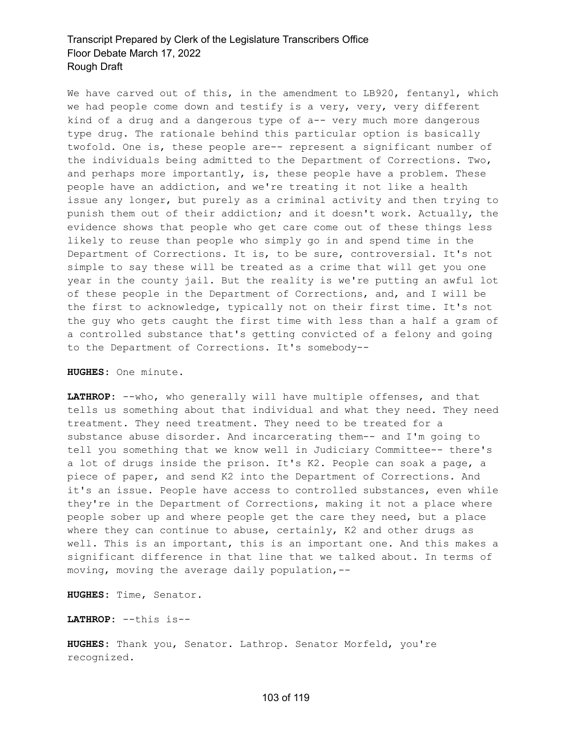We have carved out of this, in the amendment to LB920, fentanyl, which we had people come down and testify is a very, very, very different kind of a drug and a dangerous type of a-- very much more dangerous type drug. The rationale behind this particular option is basically twofold. One is, these people are-- represent a significant number of the individuals being admitted to the Department of Corrections. Two, and perhaps more importantly, is, these people have a problem. These people have an addiction, and we're treating it not like a health issue any longer, but purely as a criminal activity and then trying to punish them out of their addiction; and it doesn't work. Actually, the evidence shows that people who get care come out of these things less likely to reuse than people who simply go in and spend time in the Department of Corrections. It is, to be sure, controversial. It's not simple to say these will be treated as a crime that will get you one year in the county jail. But the reality is we're putting an awful lot of these people in the Department of Corrections, and, and I will be the first to acknowledge, typically not on their first time. It's not the guy who gets caught the first time with less than a half a gram of a controlled substance that's getting convicted of a felony and going to the Department of Corrections. It's somebody--

**HUGHES:** One minute.

**LATHROP:** --who, who generally will have multiple offenses, and that tells us something about that individual and what they need. They need treatment. They need treatment. They need to be treated for a substance abuse disorder. And incarcerating them-- and I'm going to tell you something that we know well in Judiciary Committee-- there's a lot of drugs inside the prison. It's K2. People can soak a page, a piece of paper, and send K2 into the Department of Corrections. And it's an issue. People have access to controlled substances, even while they're in the Department of Corrections, making it not a place where people sober up and where people get the care they need, but a place where they can continue to abuse, certainly, K2 and other drugs as well. This is an important, this is an important one. And this makes a significant difference in that line that we talked about. In terms of moving, moving the average daily population,--

**HUGHES:** Time, Senator.

**LATHROP:** --this is--

**HUGHES:** Thank you, Senator. Lathrop. Senator Morfeld, you're recognized.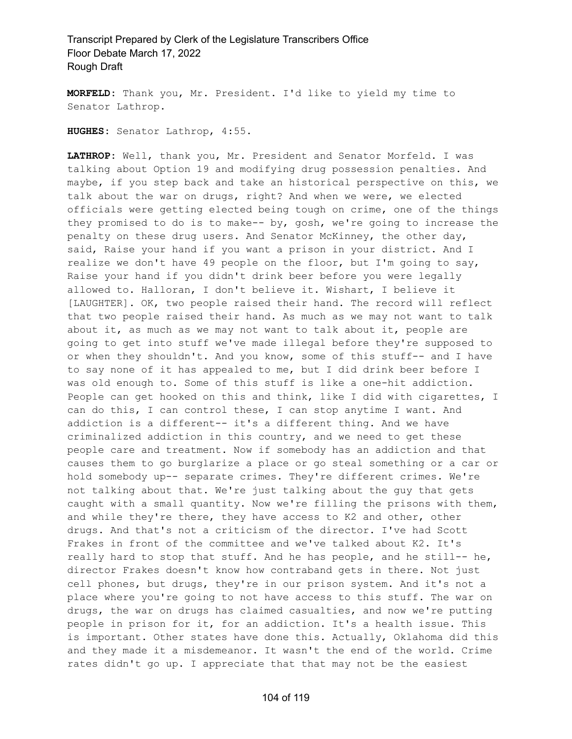**MORFELD:** Thank you, Mr. President. I'd like to yield my time to Senator Lathrop.

**HUGHES:** Senator Lathrop, 4:55.

**LATHROP:** Well, thank you, Mr. President and Senator Morfeld. I was talking about Option 19 and modifying drug possession penalties. And maybe, if you step back and take an historical perspective on this, we talk about the war on drugs, right? And when we were, we elected officials were getting elected being tough on crime, one of the things they promised to do is to make-- by, gosh, we're going to increase the penalty on these drug users. And Senator McKinney, the other day, said, Raise your hand if you want a prison in your district. And I realize we don't have 49 people on the floor, but I'm going to say, Raise your hand if you didn't drink beer before you were legally allowed to. Halloran, I don't believe it. Wishart, I believe it [LAUGHTER]. OK, two people raised their hand. The record will reflect that two people raised their hand. As much as we may not want to talk about it, as much as we may not want to talk about it, people are going to get into stuff we've made illegal before they're supposed to or when they shouldn't. And you know, some of this stuff-- and I have to say none of it has appealed to me, but I did drink beer before I was old enough to. Some of this stuff is like a one-hit addiction. People can get hooked on this and think, like I did with cigarettes, I can do this, I can control these, I can stop anytime I want. And addiction is a different-- it's a different thing. And we have criminalized addiction in this country, and we need to get these people care and treatment. Now if somebody has an addiction and that causes them to go burglarize a place or go steal something or a car or hold somebody up-- separate crimes. They're different crimes. We're not talking about that. We're just talking about the guy that gets caught with a small quantity. Now we're filling the prisons with them, and while they're there, they have access to K2 and other, other drugs. And that's not a criticism of the director. I've had Scott Frakes in front of the committee and we've talked about K2. It's really hard to stop that stuff. And he has people, and he still-- he, director Frakes doesn't know how contraband gets in there. Not just cell phones, but drugs, they're in our prison system. And it's not a place where you're going to not have access to this stuff. The war on drugs, the war on drugs has claimed casualties, and now we're putting people in prison for it, for an addiction. It's a health issue. This is important. Other states have done this. Actually, Oklahoma did this and they made it a misdemeanor. It wasn't the end of the world. Crime rates didn't go up. I appreciate that that may not be the easiest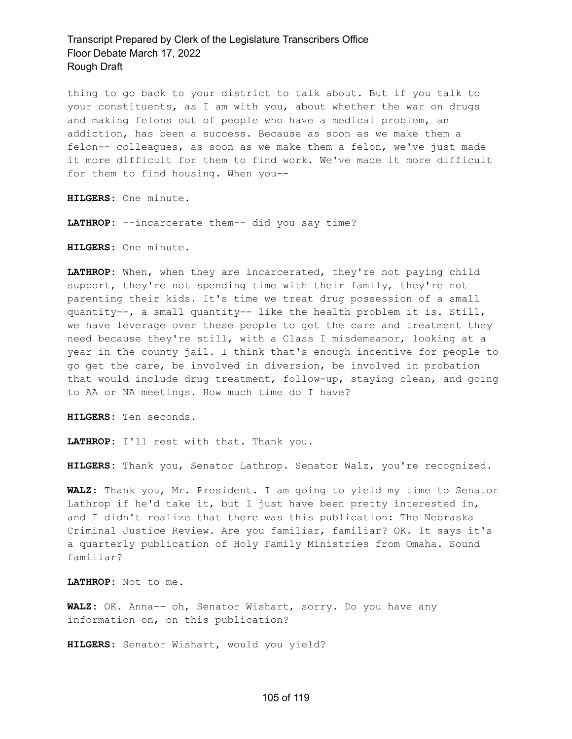thing to go back to your district to talk about. But if you talk to your constituents, as I am with you, about whether the war on drugs and making felons out of people who have a medical problem, an addiction, has been a success. Because as soon as we make them a felon-- colleagues, as soon as we make them a felon, we've just made it more difficult for them to find work. We've made it more difficult for them to find housing. When you--

**HILGERS:** One minute.

**LATHROP:** --incarcerate them-- did you say time?

**HILGERS:** One minute.

**LATHROP:** When, when they are incarcerated, they're not paying child support, they're not spending time with their family, they're not parenting their kids. It's time we treat drug possession of a small quantity--, a small quantity-- like the health problem it is. Still, we have leverage over these people to get the care and treatment they need because they're still, with a Class I misdemeanor, looking at a year in the county jail. I think that's enough incentive for people to go get the care, be involved in diversion, be involved in probation that would include drug treatment, follow-up, staying clean, and going to AA or NA meetings. How much time do I have?

**HILGERS:** Ten seconds.

**LATHROP:** I'll rest with that. Thank you.

**HILGERS:** Thank you, Senator Lathrop. Senator Walz, you're recognized.

**WALZ:** Thank you, Mr. President. I am going to yield my time to Senator Lathrop if he'd take it, but I just have been pretty interested in, and I didn't realize that there was this publication: The Nebraska Criminal Justice Review. Are you familiar, familiar? OK. It says it's a quarterly publication of Holy Family Ministries from Omaha. Sound familiar?

**LATHROP:** Not to me.

**WALZ:** OK. Anna-- oh, Senator Wishart, sorry. Do you have any information on, on this publication?

**HILGERS:** Senator Wishart, would you yield?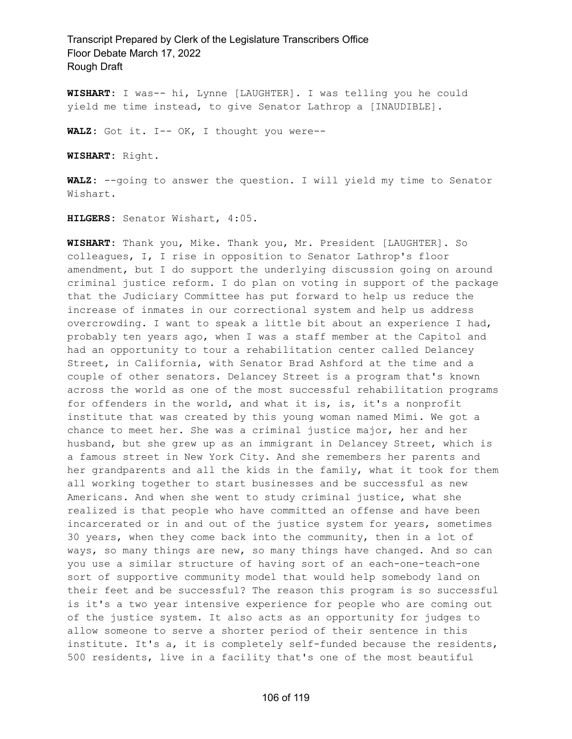**WISHART:** I was-- hi, Lynne [LAUGHTER]. I was telling you he could yield me time instead, to give Senator Lathrop a [INAUDIBLE].

**WALZ:** Got it. I-- OK, I thought you were--

**WISHART:** Right.

**WALZ:** --going to answer the question. I will yield my time to Senator Wishart.

**HILGERS:** Senator Wishart, 4:05.

**WISHART:** Thank you, Mike. Thank you, Mr. President [LAUGHTER]. So colleagues, I, I rise in opposition to Senator Lathrop's floor amendment, but I do support the underlying discussion going on around criminal justice reform. I do plan on voting in support of the package that the Judiciary Committee has put forward to help us reduce the increase of inmates in our correctional system and help us address overcrowding. I want to speak a little bit about an experience I had, probably ten years ago, when I was a staff member at the Capitol and had an opportunity to tour a rehabilitation center called Delancey Street, in California, with Senator Brad Ashford at the time and a couple of other senators. Delancey Street is a program that's known across the world as one of the most successful rehabilitation programs for offenders in the world, and what it is, is, it's a nonprofit institute that was created by this young woman named Mimi. We got a chance to meet her. She was a criminal justice major, her and her husband, but she grew up as an immigrant in Delancey Street, which is a famous street in New York City. And she remembers her parents and her grandparents and all the kids in the family, what it took for them all working together to start businesses and be successful as new Americans. And when she went to study criminal justice, what she realized is that people who have committed an offense and have been incarcerated or in and out of the justice system for years, sometimes 30 years, when they come back into the community, then in a lot of ways, so many things are new, so many things have changed. And so can you use a similar structure of having sort of an each-one-teach-one sort of supportive community model that would help somebody land on their feet and be successful? The reason this program is so successful is it's a two year intensive experience for people who are coming out of the justice system. It also acts as an opportunity for judges to allow someone to serve a shorter period of their sentence in this institute. It's a, it is completely self-funded because the residents, 500 residents, live in a facility that's one of the most beautiful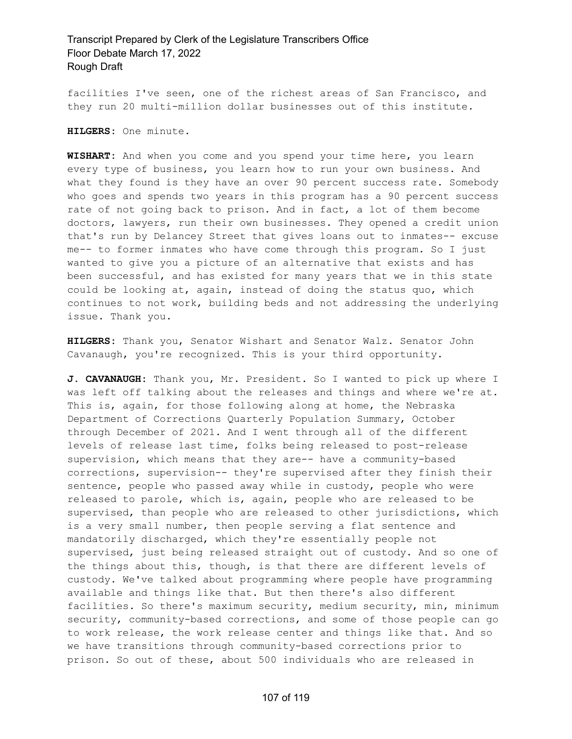facilities I've seen, one of the richest areas of San Francisco, and they run 20 multi-million dollar businesses out of this institute.

**HILGERS:** One minute.

**WISHART:** And when you come and you spend your time here, you learn every type of business, you learn how to run your own business. And what they found is they have an over 90 percent success rate. Somebody who goes and spends two years in this program has a 90 percent success rate of not going back to prison. And in fact, a lot of them become doctors, lawyers, run their own businesses. They opened a credit union that's run by Delancey Street that gives loans out to inmates-- excuse me-- to former inmates who have come through this program. So I just wanted to give you a picture of an alternative that exists and has been successful, and has existed for many years that we in this state could be looking at, again, instead of doing the status quo, which continues to not work, building beds and not addressing the underlying issue. Thank you.

**HILGERS:** Thank you, Senator Wishart and Senator Walz. Senator John Cavanaugh, you're recognized. This is your third opportunity.

**J. CAVANAUGH:** Thank you, Mr. President. So I wanted to pick up where I was left off talking about the releases and things and where we're at. This is, again, for those following along at home, the Nebraska Department of Corrections Quarterly Population Summary, October through December of 2021. And I went through all of the different levels of release last time, folks being released to post-release supervision, which means that they are-- have a community-based corrections, supervision-- they're supervised after they finish their sentence, people who passed away while in custody, people who were released to parole, which is, again, people who are released to be supervised, than people who are released to other jurisdictions, which is a very small number, then people serving a flat sentence and mandatorily discharged, which they're essentially people not supervised, just being released straight out of custody. And so one of the things about this, though, is that there are different levels of custody. We've talked about programming where people have programming available and things like that. But then there's also different facilities. So there's maximum security, medium security, min, minimum security, community-based corrections, and some of those people can go to work release, the work release center and things like that. And so we have transitions through community-based corrections prior to prison. So out of these, about 500 individuals who are released in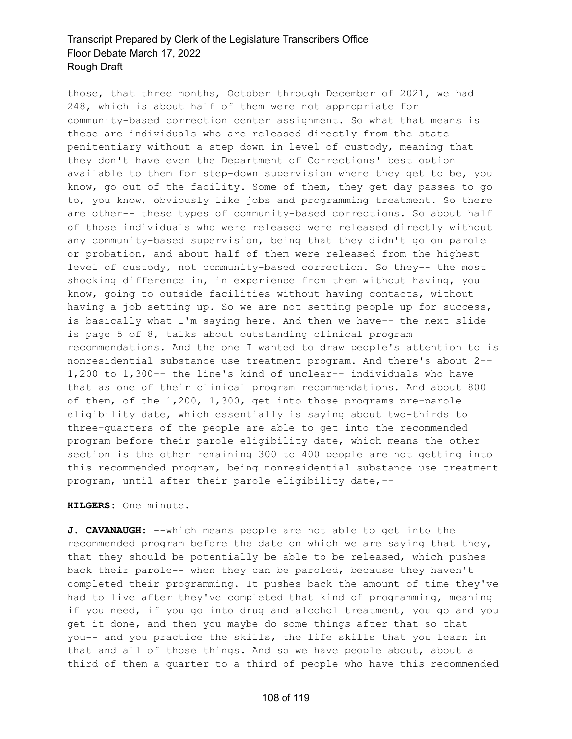those, that three months, October through December of 2021, we had 248, which is about half of them were not appropriate for community-based correction center assignment. So what that means is these are individuals who are released directly from the state penitentiary without a step down in level of custody, meaning that they don't have even the Department of Corrections' best option available to them for step-down supervision where they get to be, you know, go out of the facility. Some of them, they get day passes to go to, you know, obviously like jobs and programming treatment. So there are other-- these types of community-based corrections. So about half of those individuals who were released were released directly without any community-based supervision, being that they didn't go on parole or probation, and about half of them were released from the highest level of custody, not community-based correction. So they-- the most shocking difference in, in experience from them without having, you know, going to outside facilities without having contacts, without having a job setting up. So we are not setting people up for success, is basically what I'm saying here. And then we have-- the next slide is page 5 of 8, talks about outstanding clinical program recommendations. And the one I wanted to draw people's attention to is nonresidential substance use treatment program. And there's about 2-- 1,200 to 1,300-- the line's kind of unclear-- individuals who have that as one of their clinical program recommendations. And about 800 of them, of the 1,200, 1,300, get into those programs pre-parole eligibility date, which essentially is saying about two-thirds to three-quarters of the people are able to get into the recommended program before their parole eligibility date, which means the other section is the other remaining 300 to 400 people are not getting into this recommended program, being nonresidential substance use treatment program, until after their parole eligibility date,--

#### **HILGERS:** One minute.

**J. CAVANAUGH:** --which means people are not able to get into the recommended program before the date on which we are saying that they, that they should be potentially be able to be released, which pushes back their parole-- when they can be paroled, because they haven't completed their programming. It pushes back the amount of time they've had to live after they've completed that kind of programming, meaning if you need, if you go into drug and alcohol treatment, you go and you get it done, and then you maybe do some things after that so that you-- and you practice the skills, the life skills that you learn in that and all of those things. And so we have people about, about a third of them a quarter to a third of people who have this recommended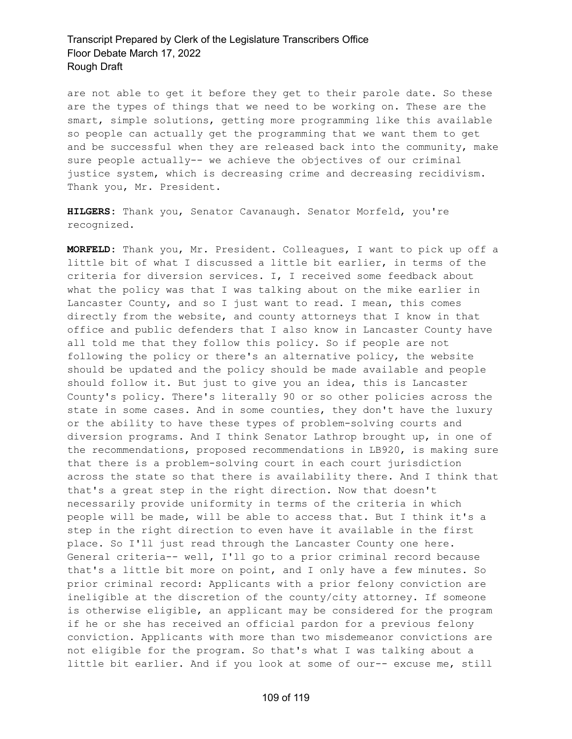are not able to get it before they get to their parole date. So these are the types of things that we need to be working on. These are the smart, simple solutions, getting more programming like this available so people can actually get the programming that we want them to get and be successful when they are released back into the community, make sure people actually-- we achieve the objectives of our criminal justice system, which is decreasing crime and decreasing recidivism. Thank you, Mr. President.

**HILGERS:** Thank you, Senator Cavanaugh. Senator Morfeld, you're recognized.

**MORFELD:** Thank you, Mr. President. Colleagues, I want to pick up off a little bit of what I discussed a little bit earlier, in terms of the criteria for diversion services. I, I received some feedback about what the policy was that I was talking about on the mike earlier in Lancaster County, and so I just want to read. I mean, this comes directly from the website, and county attorneys that I know in that office and public defenders that I also know in Lancaster County have all told me that they follow this policy. So if people are not following the policy or there's an alternative policy, the website should be updated and the policy should be made available and people should follow it. But just to give you an idea, this is Lancaster County's policy. There's literally 90 or so other policies across the state in some cases. And in some counties, they don't have the luxury or the ability to have these types of problem-solving courts and diversion programs. And I think Senator Lathrop brought up, in one of the recommendations, proposed recommendations in LB920, is making sure that there is a problem-solving court in each court jurisdiction across the state so that there is availability there. And I think that that's a great step in the right direction. Now that doesn't necessarily provide uniformity in terms of the criteria in which people will be made, will be able to access that. But I think it's a step in the right direction to even have it available in the first place. So I'll just read through the Lancaster County one here. General criteria-- well, I'll go to a prior criminal record because that's a little bit more on point, and I only have a few minutes. So prior criminal record: Applicants with a prior felony conviction are ineligible at the discretion of the county/city attorney. If someone is otherwise eligible, an applicant may be considered for the program if he or she has received an official pardon for a previous felony conviction. Applicants with more than two misdemeanor convictions are not eligible for the program. So that's what I was talking about a little bit earlier. And if you look at some of our-- excuse me, still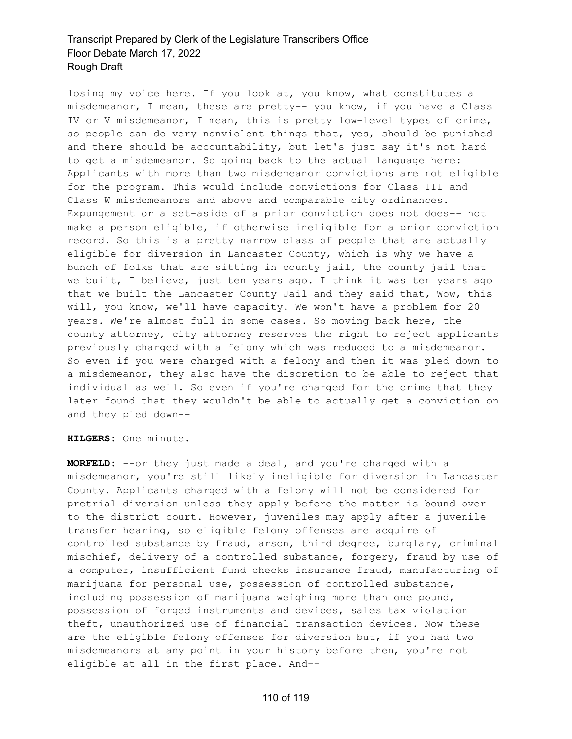losing my voice here. If you look at, you know, what constitutes a misdemeanor, I mean, these are pretty-- you know, if you have a Class IV or V misdemeanor, I mean, this is pretty low-level types of crime, so people can do very nonviolent things that, yes, should be punished and there should be accountability, but let's just say it's not hard to get a misdemeanor. So going back to the actual language here: Applicants with more than two misdemeanor convictions are not eligible for the program. This would include convictions for Class III and Class W misdemeanors and above and comparable city ordinances. Expungement or a set-aside of a prior conviction does not does-- not make a person eligible, if otherwise ineligible for a prior conviction record. So this is a pretty narrow class of people that are actually eligible for diversion in Lancaster County, which is why we have a bunch of folks that are sitting in county jail, the county jail that we built, I believe, just ten years ago. I think it was ten years ago that we built the Lancaster County Jail and they said that, Wow, this will, you know, we'll have capacity. We won't have a problem for 20 years. We're almost full in some cases. So moving back here, the county attorney, city attorney reserves the right to reject applicants previously charged with a felony which was reduced to a misdemeanor. So even if you were charged with a felony and then it was pled down to a misdemeanor, they also have the discretion to be able to reject that individual as well. So even if you're charged for the crime that they later found that they wouldn't be able to actually get a conviction on and they pled down--

**HILGERS:** One minute.

**MORFELD:** --or they just made a deal, and you're charged with a misdemeanor, you're still likely ineligible for diversion in Lancaster County. Applicants charged with a felony will not be considered for pretrial diversion unless they apply before the matter is bound over to the district court. However, juveniles may apply after a juvenile transfer hearing, so eligible felony offenses are acquire of controlled substance by fraud, arson, third degree, burglary, criminal mischief, delivery of a controlled substance, forgery, fraud by use of a computer, insufficient fund checks insurance fraud, manufacturing of marijuana for personal use, possession of controlled substance, including possession of marijuana weighing more than one pound, possession of forged instruments and devices, sales tax violation theft, unauthorized use of financial transaction devices. Now these are the eligible felony offenses for diversion but, if you had two misdemeanors at any point in your history before then, you're not eligible at all in the first place. And--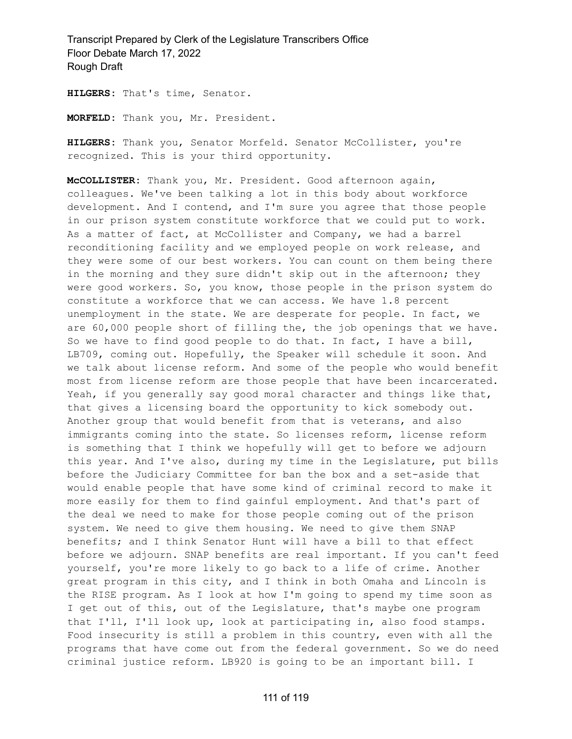**HILGERS:** That's time, Senator.

**MORFELD:** Thank you, Mr. President.

**HILGERS:** Thank you, Senator Morfeld. Senator McCollister, you're recognized. This is your third opportunity.

**McCOLLISTER:** Thank you, Mr. President. Good afternoon again, colleagues. We've been talking a lot in this body about workforce development. And I contend, and I'm sure you agree that those people in our prison system constitute workforce that we could put to work. As a matter of fact, at McCollister and Company, we had a barrel reconditioning facility and we employed people on work release, and they were some of our best workers. You can count on them being there in the morning and they sure didn't skip out in the afternoon; they were good workers. So, you know, those people in the prison system do constitute a workforce that we can access. We have 1.8 percent unemployment in the state. We are desperate for people. In fact, we are 60,000 people short of filling the, the job openings that we have. So we have to find good people to do that. In fact, I have a bill, LB709, coming out. Hopefully, the Speaker will schedule it soon. And we talk about license reform. And some of the people who would benefit most from license reform are those people that have been incarcerated. Yeah, if you generally say good moral character and things like that, that gives a licensing board the opportunity to kick somebody out. Another group that would benefit from that is veterans, and also immigrants coming into the state. So licenses reform, license reform is something that I think we hopefully will get to before we adjourn this year. And I've also, during my time in the Legislature, put bills before the Judiciary Committee for ban the box and a set-aside that would enable people that have some kind of criminal record to make it more easily for them to find gainful employment. And that's part of the deal we need to make for those people coming out of the prison system. We need to give them housing. We need to give them SNAP benefits; and I think Senator Hunt will have a bill to that effect before we adjourn. SNAP benefits are real important. If you can't feed yourself, you're more likely to go back to a life of crime. Another great program in this city, and I think in both Omaha and Lincoln is the RISE program. As I look at how I'm going to spend my time soon as I get out of this, out of the Legislature, that's maybe one program that I'll, I'll look up, look at participating in, also food stamps. Food insecurity is still a problem in this country, even with all the programs that have come out from the federal government. So we do need criminal justice reform. LB920 is going to be an important bill. I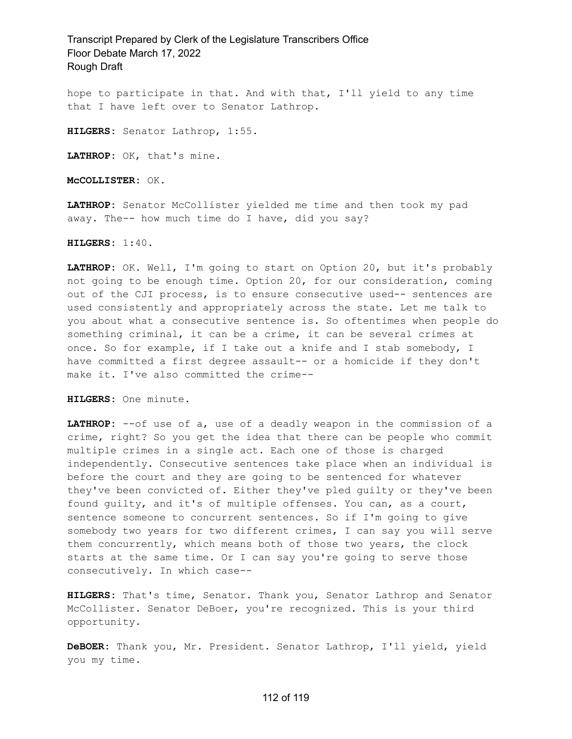hope to participate in that. And with that, I'll yield to any time that I have left over to Senator Lathrop.

**HILGERS:** Senator Lathrop, 1:55.

**LATHROP:** OK, that's mine.

**McCOLLISTER:** OK.

**LATHROP:** Senator McCollister yielded me time and then took my pad away. The-- how much time do I have, did you say?

**HILGERS:** 1:40.

**LATHROP:** OK. Well, I'm going to start on Option 20, but it's probably not going to be enough time. Option 20, for our consideration, coming out of the CJI process, is to ensure consecutive used-- sentences are used consistently and appropriately across the state. Let me talk to you about what a consecutive sentence is. So oftentimes when people do something criminal, it can be a crime, it can be several crimes at once. So for example, if I take out a knife and I stab somebody, I have committed a first degree assault-- or a homicide if they don't make it. I've also committed the crime--

**HILGERS:** One minute.

**LATHROP:** --of use of a, use of a deadly weapon in the commission of a crime, right? So you get the idea that there can be people who commit multiple crimes in a single act. Each one of those is charged independently. Consecutive sentences take place when an individual is before the court and they are going to be sentenced for whatever they've been convicted of. Either they've pled guilty or they've been found guilty, and it's of multiple offenses. You can, as a court, sentence someone to concurrent sentences. So if I'm going to give somebody two years for two different crimes, I can say you will serve them concurrently, which means both of those two years, the clock starts at the same time. Or I can say you're going to serve those consecutively. In which case--

**HILGERS:** That's time, Senator. Thank you, Senator Lathrop and Senator McCollister. Senator DeBoer, you're recognized. This is your third opportunity.

**DeBOER:** Thank you, Mr. President. Senator Lathrop, I'll yield, yield you my time.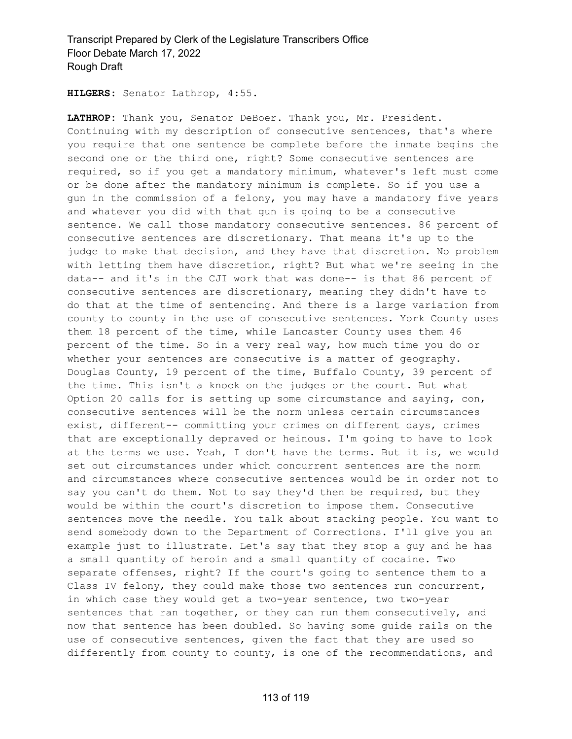**HILGERS:** Senator Lathrop, 4:55.

**LATHROP:** Thank you, Senator DeBoer. Thank you, Mr. President. Continuing with my description of consecutive sentences, that's where you require that one sentence be complete before the inmate begins the second one or the third one, right? Some consecutive sentences are required, so if you get a mandatory minimum, whatever's left must come or be done after the mandatory minimum is complete. So if you use a gun in the commission of a felony, you may have a mandatory five years and whatever you did with that gun is going to be a consecutive sentence. We call those mandatory consecutive sentences. 86 percent of consecutive sentences are discretionary. That means it's up to the judge to make that decision, and they have that discretion. No problem with letting them have discretion, right? But what we're seeing in the data-- and it's in the CJI work that was done-- is that 86 percent of consecutive sentences are discretionary, meaning they didn't have to do that at the time of sentencing. And there is a large variation from county to county in the use of consecutive sentences. York County uses them 18 percent of the time, while Lancaster County uses them 46 percent of the time. So in a very real way, how much time you do or whether your sentences are consecutive is a matter of geography. Douglas County, 19 percent of the time, Buffalo County, 39 percent of the time. This isn't a knock on the judges or the court. But what Option 20 calls for is setting up some circumstance and saying, con, consecutive sentences will be the norm unless certain circumstances exist, different-- committing your crimes on different days, crimes that are exceptionally depraved or heinous. I'm going to have to look at the terms we use. Yeah, I don't have the terms. But it is, we would set out circumstances under which concurrent sentences are the norm and circumstances where consecutive sentences would be in order not to say you can't do them. Not to say they'd then be required, but they would be within the court's discretion to impose them. Consecutive sentences move the needle. You talk about stacking people. You want to send somebody down to the Department of Corrections. I'll give you an example just to illustrate. Let's say that they stop a guy and he has a small quantity of heroin and a small quantity of cocaine. Two separate offenses, right? If the court's going to sentence them to a Class IV felony, they could make those two sentences run concurrent, in which case they would get a two-year sentence, two two-year sentences that ran together, or they can run them consecutively, and now that sentence has been doubled. So having some guide rails on the use of consecutive sentences, given the fact that they are used so differently from county to county, is one of the recommendations, and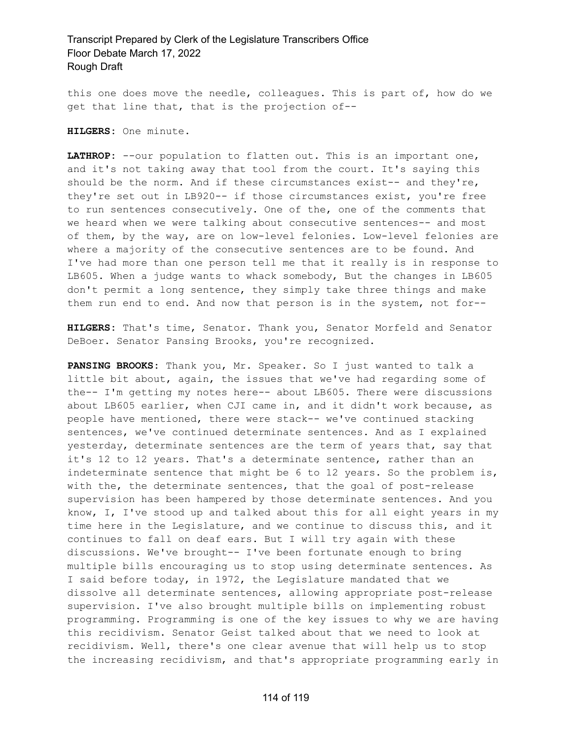this one does move the needle, colleagues. This is part of, how do we get that line that, that is the projection of--

**HILGERS:** One minute.

**LATHROP:** --our population to flatten out. This is an important one, and it's not taking away that tool from the court. It's saying this should be the norm. And if these circumstances exist-- and they're, they're set out in LB920-- if those circumstances exist, you're free to run sentences consecutively. One of the, one of the comments that we heard when we were talking about consecutive sentences-- and most of them, by the way, are on low-level felonies. Low-level felonies are where a majority of the consecutive sentences are to be found. And I've had more than one person tell me that it really is in response to LB605. When a judge wants to whack somebody, But the changes in LB605 don't permit a long sentence, they simply take three things and make them run end to end. And now that person is in the system, not for--

**HILGERS:** That's time, Senator. Thank you, Senator Morfeld and Senator DeBoer. Senator Pansing Brooks, you're recognized.

**PANSING BROOKS:** Thank you, Mr. Speaker. So I just wanted to talk a little bit about, again, the issues that we've had regarding some of the-- I'm getting my notes here-- about LB605. There were discussions about LB605 earlier, when CJI came in, and it didn't work because, as people have mentioned, there were stack-- we've continued stacking sentences, we've continued determinate sentences. And as I explained yesterday, determinate sentences are the term of years that, say that it's 12 to 12 years. That's a determinate sentence, rather than an indeterminate sentence that might be 6 to 12 years. So the problem is, with the, the determinate sentences, that the goal of post-release supervision has been hampered by those determinate sentences. And you know, I, I've stood up and talked about this for all eight years in my time here in the Legislature, and we continue to discuss this, and it continues to fall on deaf ears. But I will try again with these discussions. We've brought-- I've been fortunate enough to bring multiple bills encouraging us to stop using determinate sentences. As I said before today, in 1972, the Legislature mandated that we dissolve all determinate sentences, allowing appropriate post-release supervision. I've also brought multiple bills on implementing robust programming. Programming is one of the key issues to why we are having this recidivism. Senator Geist talked about that we need to look at recidivism. Well, there's one clear avenue that will help us to stop the increasing recidivism, and that's appropriate programming early in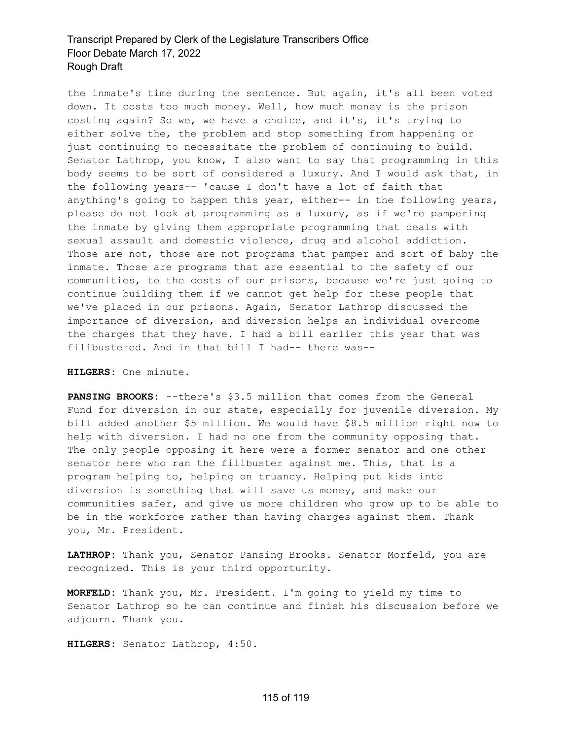the inmate's time during the sentence. But again, it's all been voted down. It costs too much money. Well, how much money is the prison costing again? So we, we have a choice, and it's, it's trying to either solve the, the problem and stop something from happening or just continuing to necessitate the problem of continuing to build. Senator Lathrop, you know, I also want to say that programming in this body seems to be sort of considered a luxury. And I would ask that, in the following years-- 'cause I don't have a lot of faith that anything's going to happen this year, either-- in the following years, please do not look at programming as a luxury, as if we're pampering the inmate by giving them appropriate programming that deals with sexual assault and domestic violence, drug and alcohol addiction. Those are not, those are not programs that pamper and sort of baby the inmate. Those are programs that are essential to the safety of our communities, to the costs of our prisons, because we're just going to continue building them if we cannot get help for these people that we've placed in our prisons. Again, Senator Lathrop discussed the importance of diversion, and diversion helps an individual overcome the charges that they have. I had a bill earlier this year that was filibustered. And in that bill I had-- there was--

**HILGERS:** One minute.

**PANSING BROOKS:** --there's \$3.5 million that comes from the General Fund for diversion in our state, especially for juvenile diversion. My bill added another \$5 million. We would have \$8.5 million right now to help with diversion. I had no one from the community opposing that. The only people opposing it here were a former senator and one other senator here who ran the filibuster against me. This, that is a program helping to, helping on truancy. Helping put kids into diversion is something that will save us money, and make our communities safer, and give us more children who grow up to be able to be in the workforce rather than having charges against them. Thank you, Mr. President.

**LATHROP:** Thank you, Senator Pansing Brooks. Senator Morfeld, you are recognized. This is your third opportunity.

**MORFELD:** Thank you, Mr. President. I'm going to yield my time to Senator Lathrop so he can continue and finish his discussion before we adjourn. Thank you.

**HILGERS:** Senator Lathrop, 4:50.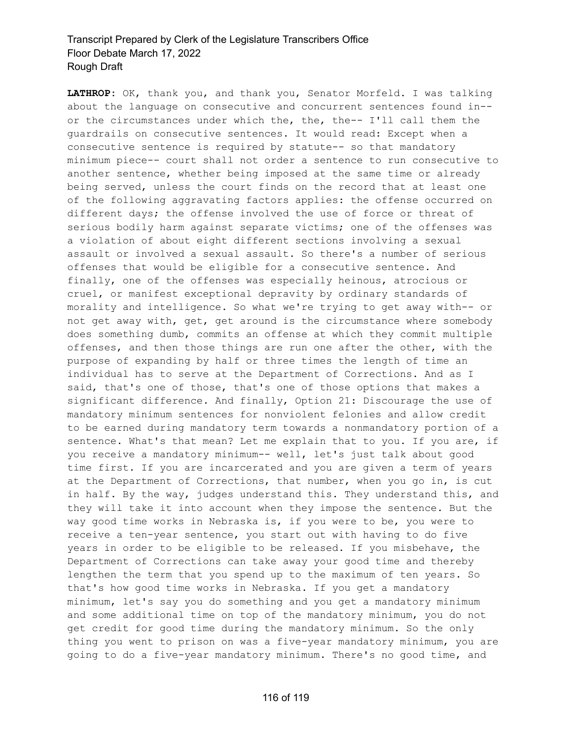**LATHROP:** OK, thank you, and thank you, Senator Morfeld. I was talking about the language on consecutive and concurrent sentences found in- or the circumstances under which the, the, the-- I'll call them the guardrails on consecutive sentences. It would read: Except when a consecutive sentence is required by statute-- so that mandatory minimum piece-- court shall not order a sentence to run consecutive to another sentence, whether being imposed at the same time or already being served, unless the court finds on the record that at least one of the following aggravating factors applies: the offense occurred on different days; the offense involved the use of force or threat of serious bodily harm against separate victims; one of the offenses was a violation of about eight different sections involving a sexual assault or involved a sexual assault. So there's a number of serious offenses that would be eligible for a consecutive sentence. And finally, one of the offenses was especially heinous, atrocious or cruel, or manifest exceptional depravity by ordinary standards of morality and intelligence. So what we're trying to get away with-- or not get away with, get, get around is the circumstance where somebody does something dumb, commits an offense at which they commit multiple offenses, and then those things are run one after the other, with the purpose of expanding by half or three times the length of time an individual has to serve at the Department of Corrections. And as I said, that's one of those, that's one of those options that makes a significant difference. And finally, Option 21: Discourage the use of mandatory minimum sentences for nonviolent felonies and allow credit to be earned during mandatory term towards a nonmandatory portion of a sentence. What's that mean? Let me explain that to you. If you are, if you receive a mandatory minimum-- well, let's just talk about good time first. If you are incarcerated and you are given a term of years at the Department of Corrections, that number, when you go in, is cut in half. By the way, judges understand this. They understand this, and they will take it into account when they impose the sentence. But the way good time works in Nebraska is, if you were to be, you were to receive a ten-year sentence, you start out with having to do five years in order to be eligible to be released. If you misbehave, the Department of Corrections can take away your good time and thereby lengthen the term that you spend up to the maximum of ten years. So that's how good time works in Nebraska. If you get a mandatory minimum, let's say you do something and you get a mandatory minimum and some additional time on top of the mandatory minimum, you do not get credit for good time during the mandatory minimum. So the only thing you went to prison on was a five-year mandatory minimum, you are going to do a five-year mandatory minimum. There's no good time, and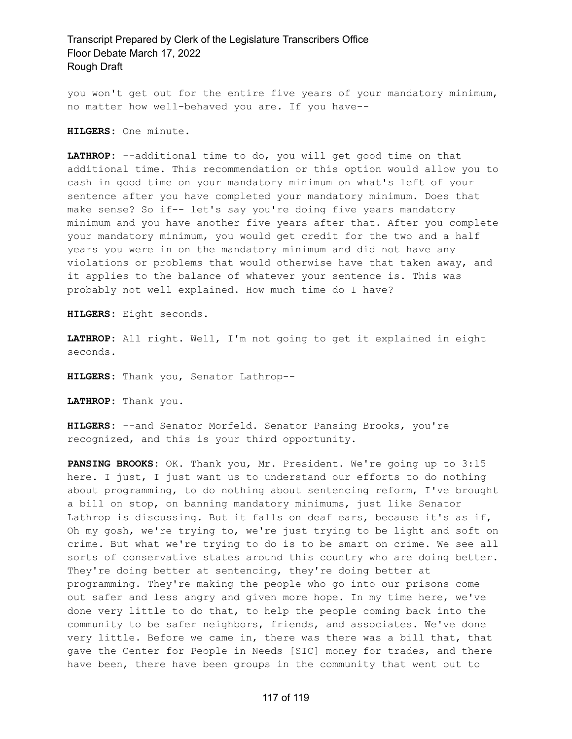you won't get out for the entire five years of your mandatory minimum, no matter how well-behaved you are. If you have--

**HILGERS:** One minute.

**LATHROP:** --additional time to do, you will get good time on that additional time. This recommendation or this option would allow you to cash in good time on your mandatory minimum on what's left of your sentence after you have completed your mandatory minimum. Does that make sense? So if-- let's say you're doing five years mandatory minimum and you have another five years after that. After you complete your mandatory minimum, you would get credit for the two and a half years you were in on the mandatory minimum and did not have any violations or problems that would otherwise have that taken away, and it applies to the balance of whatever your sentence is. This was probably not well explained. How much time do I have?

**HILGERS:** Eight seconds.

**LATHROP:** All right. Well, I'm not going to get it explained in eight seconds.

**HILGERS:** Thank you, Senator Lathrop--

**LATHROP:** Thank you.

**HILGERS:** --and Senator Morfeld. Senator Pansing Brooks, you're recognized, and this is your third opportunity.

**PANSING BROOKS:** OK. Thank you, Mr. President. We're going up to 3:15 here. I just, I just want us to understand our efforts to do nothing about programming, to do nothing about sentencing reform, I've brought a bill on stop, on banning mandatory minimums, just like Senator Lathrop is discussing. But it falls on deaf ears, because it's as if, Oh my gosh, we're trying to, we're just trying to be light and soft on crime. But what we're trying to do is to be smart on crime. We see all sorts of conservative states around this country who are doing better. They're doing better at sentencing, they're doing better at programming. They're making the people who go into our prisons come out safer and less angry and given more hope. In my time here, we've done very little to do that, to help the people coming back into the community to be safer neighbors, friends, and associates. We've done very little. Before we came in, there was there was a bill that, that gave the Center for People in Needs [SIC] money for trades, and there have been, there have been groups in the community that went out to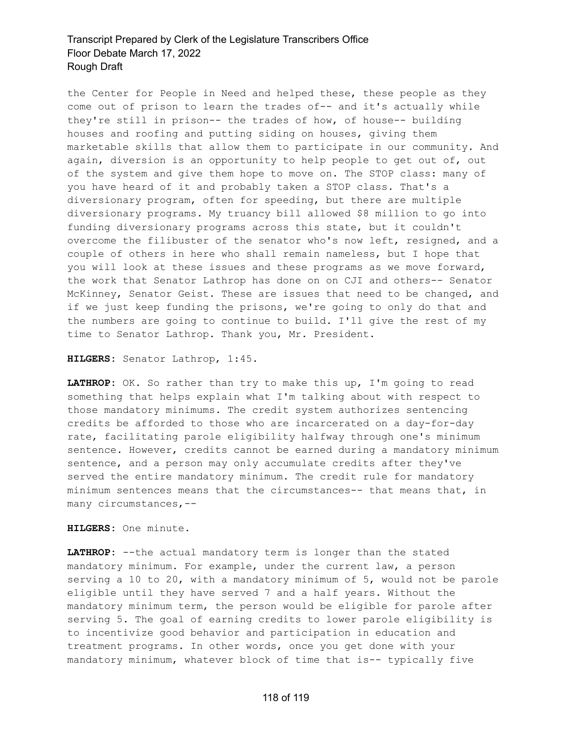the Center for People in Need and helped these, these people as they come out of prison to learn the trades of-- and it's actually while they're still in prison-- the trades of how, of house-- building houses and roofing and putting siding on houses, giving them marketable skills that allow them to participate in our community. And again, diversion is an opportunity to help people to get out of, out of the system and give them hope to move on. The STOP class: many of you have heard of it and probably taken a STOP class. That's a diversionary program, often for speeding, but there are multiple diversionary programs. My truancy bill allowed \$8 million to go into funding diversionary programs across this state, but it couldn't overcome the filibuster of the senator who's now left, resigned, and a couple of others in here who shall remain nameless, but I hope that you will look at these issues and these programs as we move forward, the work that Senator Lathrop has done on on CJI and others-- Senator McKinney, Senator Geist. These are issues that need to be changed, and if we just keep funding the prisons, we're going to only do that and the numbers are going to continue to build. I'll give the rest of my time to Senator Lathrop. Thank you, Mr. President.

#### **HILGERS:** Senator Lathrop, 1:45.

LATHROP: OK. So rather than try to make this up, I'm going to read something that helps explain what I'm talking about with respect to those mandatory minimums. The credit system authorizes sentencing credits be afforded to those who are incarcerated on a day-for-day rate, facilitating parole eligibility halfway through one's minimum sentence. However, credits cannot be earned during a mandatory minimum sentence, and a person may only accumulate credits after they've served the entire mandatory minimum. The credit rule for mandatory minimum sentences means that the circumstances-- that means that, in many circumstances,--

**HILGERS:** One minute.

**LATHROP:** --the actual mandatory term is longer than the stated mandatory minimum. For example, under the current law, a person serving a 10 to 20, with a mandatory minimum of 5, would not be parole eligible until they have served 7 and a half years. Without the mandatory minimum term, the person would be eligible for parole after serving 5. The goal of earning credits to lower parole eligibility is to incentivize good behavior and participation in education and treatment programs. In other words, once you get done with your mandatory minimum, whatever block of time that is-- typically five